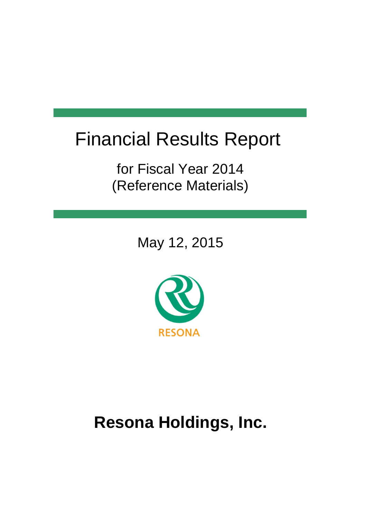# Financial Results Report

for Fiscal Year 2014 (Reference Materials)

May 12, 2015



# **Resona Holdings, Inc.**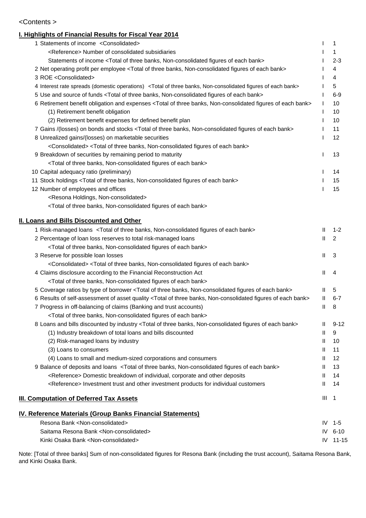#### <Contents >

#### **I. Highlights of Financial Results for Fiscal Year 2014**

| 1 Statements of income <consolidated></consolidated>                                                                                  |              | 1              |
|---------------------------------------------------------------------------------------------------------------------------------------|--------------|----------------|
| <reference> Number of consolidated subsidiaries</reference>                                                                           |              | 1              |
| Statements of income <total bank="" banks,="" each="" figures="" non-consolidated="" of="" three=""></total>                          |              | $2 - 3$        |
| 2 Net operating profit per employee <total bank="" banks,="" each="" figures="" non-consolidated="" of="" three=""></total>           |              | 4              |
| 3 ROE <consolidated></consolidated>                                                                                                   |              | 4              |
| 4 Interest rate spreads (domestic operations) <total bank="" banks,="" each="" figures="" non-consolidated="" of="" three=""></total> |              | 5              |
| 5 Use and source of funds <total bank="" banks,="" each="" figures="" non-consolidated="" of="" three=""></total>                     |              | $6-9$          |
| 6 Retirement benefit obligation and expenses <total bank="" banks,="" each="" figures="" non-consolidated="" of="" three=""></total>  |              | 10             |
| (1) Retirement benefit obligation                                                                                                     |              | 10             |
| (2) Retirement benefit expenses for defined benefit plan                                                                              |              | 10             |
| 7 Gains /(losses) on bonds and stocks <total bank="" banks,="" each="" figures="" non-consolidated="" of="" three=""></total>         |              | 11             |
| 8 Unrealized gains/(losses) on marketable securities                                                                                  |              | 12             |
| <consolidated> <total bank="" banks,="" each="" figures="" non-consolidated="" of="" three=""></total></consolidated>                 |              |                |
| 9 Breakdown of securities by remaining period to maturity                                                                             |              | 13             |
| <total bank="" banks,="" each="" figures="" non-consolidated="" of="" three=""></total>                                               |              |                |
| 10 Capital adequacy ratio (preliminary)                                                                                               |              | 14             |
| 11 Stock holdings <total bank="" banks,="" each="" figures="" non-consolidated="" of="" three=""></total>                             |              | 15             |
| 12 Number of employees and offices                                                                                                    |              | 15             |
| <resona holdings,="" non-consolidated=""></resona>                                                                                    |              |                |
| <total bank="" banks,="" each="" figures="" non-consolidated="" of="" three=""></total>                                               |              |                |
|                                                                                                                                       |              |                |
| <b>II. Loans and Bills Discounted and Other</b>                                                                                       |              |                |
| 1 Risk-managed loans <total bank="" banks,="" each="" figures="" non-consolidated="" of="" three=""></total>                          | Ш            | $1 - 2$        |
| 2 Percentage of loan loss reserves to total risk-managed loans                                                                        | $\mathbf{I}$ | 2              |
| <total bank="" banks,="" each="" figures="" non-consolidated="" of="" three=""></total>                                               |              |                |
| 3 Reserve for possible loan losses                                                                                                    | Ш            | 3              |
| <consolidated> <total bank="" banks,="" each="" figures="" non-consolidated="" of="" three=""></total></consolidated>                 |              |                |
| 4 Claims disclosure according to the Financial Reconstruction Act                                                                     | Ш            | 4              |
| <total bank="" banks,="" each="" figures="" non-consolidated="" of="" three=""></total>                                               |              |                |
| 5 Coverage ratios by type of borrower <total bank="" banks,="" each="" figures="" non-consolidated="" of="" three=""></total>         | Ш            | 5              |
| 6 Results of self-assessment of asset quality <total bank="" banks,="" each="" figures="" non-consolidated="" of="" three=""></total> | Ш            | $6 - 7$        |
| 7 Progress in off-balancing of claims (Banking and trust accounts)                                                                    | Ш            | 8              |
| <total bank="" banks,="" each="" figures="" non-consolidated="" of="" three=""></total>                                               |              |                |
| 8 Loans and bills discounted by industry <total bank="" banks,="" each="" figures="" non-consolidated="" of="" three=""></total>      | Ш            | $9 - 12$       |
| (1) Industry breakdown of total loans and bills discounted                                                                            | Ш            | 9              |
| (2) Risk-managed loans by industry                                                                                                    | H.           | 10             |
| (3) Loans to consumers                                                                                                                | H.           | 11             |
| (4) Loans to small and medium-sized corporations and consumers                                                                        | Ш            | 12             |
| 9 Balance of deposits and loans <total bank="" banks,="" each="" figures="" non-consolidated="" of="" three=""></total>               | H.           | 13             |
| <reference> Domestic breakdown of individual, corporate and other deposits</reference>                                                | Ш            | 14             |
| <reference> Investment trust and other investment products for individual customers</reference>                                       | Ш            | 14             |
|                                                                                                                                       |              |                |
| <b>III. Computation of Deferred Tax Assets</b>                                                                                        | Ш            | $\overline{1}$ |
| <u>IV. Reference Materials (Group Banks Financial Statements)</u>                                                                     |              |                |
| Resona Bank <non-consolidated></non-consolidated>                                                                                     |              | IV $1-5$       |
| Saitama Resona Bank <non-consolidated></non-consolidated>                                                                             | IV           | $6 - 10$       |
| Kinki Osaka Bank <non-consolidated></non-consolidated>                                                                                |              | IV 11-15       |
|                                                                                                                                       |              |                |

Note: [Total of three banks] Sum of non-consolidated figures for Resona Bank (including the trust account), Saitama Resona Bank, and Kinki Osaka Bank.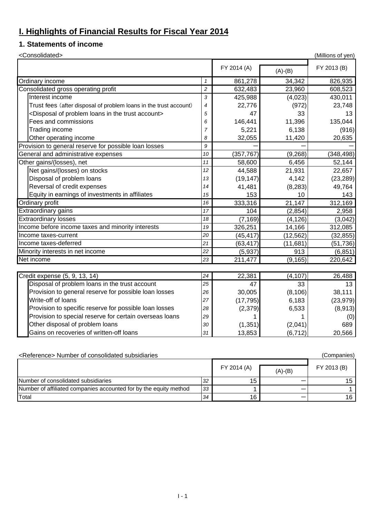### **I. Highlights of Financial Results for Fiscal Year 2014**

#### **1. Statements of income**

| <consolidated></consolidated>                                                    |                |             |           | (Millions of yen) |
|----------------------------------------------------------------------------------|----------------|-------------|-----------|-------------------|
|                                                                                  |                | FY 2014 (A) | $(A)-(B)$ | FY 2013 (B)       |
| Ordinary income                                                                  | $\mathcal I$   | 861,278     | 34,342    | 826,935           |
| Consolidated gross operating profit                                              | $\overline{c}$ | 632,483     | 23,960    | 608,523           |
| Interest income                                                                  | 3              | 425,988     | (4,023)   | 430,011           |
| Trust fees (after disposal of problem loans in the trust account)                | $\overline{4}$ | 22,776      | (972)     | 23,748            |
| <disposal account="" in="" loans="" of="" problem="" the="" trust=""></disposal> | 5              | 47          | 33        | 13                |
| Fees and commissions                                                             | 6              | 146,441     | 11,396    | 135,044           |
| Trading income                                                                   | $\overline{7}$ | 5,221       | 6,138     | (916)             |
| Other operating income                                                           | 8              | 32,055      | 11,420    | 20,635            |
| Provision to general reserve for possible loan losses                            | 9              |             |           |                   |
| General and administrative expenses                                              | 10             | (357, 767)  | (9, 268)  | (348, 498)        |
| Other gains/(losses), net                                                        | 11             | 58,600      | 6,456     | 52,144            |
| Net gains/(losses) on stocks                                                     | 12             | 44,588      | 21,931    | 22,657            |
| Disposal of problem loans                                                        | 13             | (19, 147)   | 4,142     | (23, 289)         |
| Reversal of credit expenses                                                      | 14             | 41,481      | (8, 283)  | 49,764            |
| Equity in earnings of investments in affiliates                                  | 15             | 153         | 10        | 143               |
| Ordinary profit                                                                  | 16             | 333,316     | 21,147    | 312,169           |
| Extraordinary gains                                                              | 17             | 104         | (2,854)   | 2,958             |
| <b>Extraordinary losses</b>                                                      | 18             | (7, 169)    | (4, 126)  | (3,042)           |
| Income before income taxes and minority interests                                | 19             | 326,251     | 14,166    | 312,085           |
| Income taxes-current                                                             | 20             | (45, 417)   | (12, 562) | (32, 855)         |
| Income taxes-deferred                                                            | 21             | (63, 417)   | (11, 681) | (51, 736)         |
| Minority interests in net income                                                 | 22             | (5,937)     | 913       | (6, 851)          |
| Net income                                                                       | 23             | 211,477     | (9, 165)  | 220,642           |
|                                                                                  |                |             |           |                   |
| Credit expense (5, 9, 13, 14)                                                    | 24             | 22,381      | (4, 107)  | 26,488            |
| Disposal of problem loans in the trust account                                   | 25             | 47          | 33        | 13                |
| Provision to general reserve for possible loan losses                            | 26             | 30,005      | (8, 106)  | 38,111            |
| Write-off of loans                                                               | 27             | (17, 795)   | 6,183     | (23, 979)         |
| Provision to specific reserve for possible loan losses                           | 28             | (2, 379)    | 6,533     | (8,913)           |
| Provision to special reserve for certain overseas loans                          | 29             |             |           | (0)               |
| Other disposal of problem loans                                                  | 30             | (1, 351)    | (2,041)   | 689               |
| Gains on recoveries of written-off loans                                         | 31             | 13,853      | (6, 712)  | 20,566            |

| <reference> Number of consolidated subsidiaries<br/>(Companies)</reference> |    |             |           |             |  |  |  |  |
|-----------------------------------------------------------------------------|----|-------------|-----------|-------------|--|--|--|--|
|                                                                             |    | FY 2014 (A) | $(A)-(B)$ | FY 2013 (B) |  |  |  |  |
| Number of consolidated subsidiaries                                         | 32 | 15          |           | 15.         |  |  |  |  |
| Number of affiliated companies accounted for by the equity method           | 33 |             |           |             |  |  |  |  |
| Total                                                                       | 34 | 16          |           | 16 I        |  |  |  |  |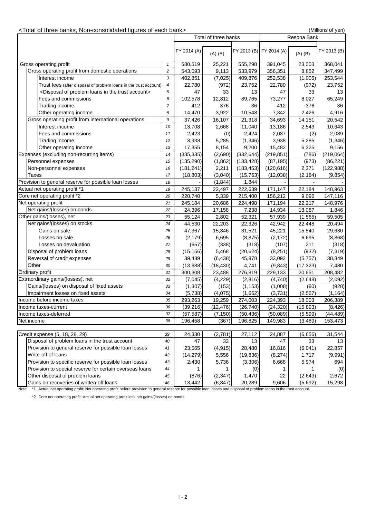#### <Total of three banks, Non-consolidated figures of each bank> (Millions of yen)

|                                                        |                                                                                  |                |             | Total of three banks |            | Resona Bank             |           |             |
|--------------------------------------------------------|----------------------------------------------------------------------------------|----------------|-------------|----------------------|------------|-------------------------|-----------|-------------|
|                                                        |                                                                                  |                | FY 2014 (A) | $(A)-(B)$            |            | FY 2013 (B) FY 2014 (A) | $(A)-(B)$ | FY 2013 (B) |
|                                                        | Gross operating profit                                                           | $\mathbf{1}$   | 580,519     | 25,221               | 555,298    | 391,045                 | 23,003    | 368,041     |
|                                                        | Gross operating profit from domestic operations                                  | $\overline{c}$ | 543,093     | 9,113                | 533,979    | 356,351                 | 8,852     | 347,499     |
|                                                        | Interest income                                                                  | 3              | 402,851     | (7,025)              | 409,876    | 252,538                 | (1,005)   | 253,544     |
|                                                        | Trust fees (after disposal of problem loans in the trust account)                | 4              | 22,780      | (972)                | 23,752     | 22,780                  | (972)     | 23,752      |
|                                                        | <disposal account="" in="" loans="" of="" problem="" the="" trust=""></disposal> | 5              | 47          | 33                   | 13         | 47                      | 33        | 13          |
|                                                        | Fees and commissions                                                             | 6              | 102,578     | 12,812               | 89,765     | 73,277                  | 8,027     | 65,249      |
|                                                        | Trading income                                                                   | $\overline{7}$ | 412         | 376                  | 36         | 412                     | 376       | 36          |
|                                                        | Other operating income                                                           | 8              | 14,470      | 3,922                | 10,548     | 7,342                   | 2,426     | 4,916       |
|                                                        | Gross operating profit from international operations                             | 9              | 37,426      | 16,107               | 21,318     | 34,693                  | 14,151    | 20,542      |
|                                                        | Interest income                                                                  | 10             | 13,708      | 2,668                | 11,040     | 13,186                  | 2,543     | 10,643      |
|                                                        | Fees and commissions                                                             | 11             | 2,423       | (0)                  | 2,424      | 2,087                   | (2)       | 2,089       |
|                                                        | Trading income                                                                   | 12             | 3,938       | 5,285                | (1,346)    | 3,938                   | 5,285     | (1, 346)    |
|                                                        | Other operating income                                                           | 13             | 17,355      | 8,154                | 9,200      | 15,482                  | 6,325     | 9,156       |
|                                                        | Expenses (excluding non-recurring items)                                         | 14             | (335, 335)  | (2,690)              | (332, 644) | (219, 851)              | (786)     | (219,064)   |
|                                                        | Personnel expenses                                                               | 15             | (135, 290)  | (1,862)              | (133, 428) | (87, 195)               | (973)     | (86, 221)   |
|                                                        | Non-personnel expenses                                                           | 16             | (181, 241)  | 2,211                | (183, 453) | (120, 616)              | 2,371     | (122, 988)  |
| <b>Taxes</b>                                           |                                                                                  | 17             | (18, 803)   | (3,040)              | (15, 763)  | (12,038)                | (2, 184)  | (9, 854)    |
|                                                        | Provision to general reserve for possible loan losses                            | 18             |             | (1, 844)             | 1,844      |                         |           |             |
|                                                        | Actual net operating profit *1                                                   | 19             | 245,137     | 22,497               | 222,639    | 171,147                 | 22,184    | 148,963     |
|                                                        | Core net operating profit *2                                                     | 20             | 220,740     | 5,339                | 215,400    | 156,212                 | 9,096     | 147,116     |
|                                                        | Net operating profit                                                             | 21             | 245,184     | 20,686               | 224,498    | 171,194                 | 22,217    | 148,976     |
|                                                        | Net gains/(losses) on bonds                                                      | 22             | 24,396      | 17,158               | 7,238      | 14,934                  | 13,087    | 1,846       |
|                                                        | Other gains/(losses), net                                                        | 23             | 55,124      | 2,802                | 52,321     | 57,939                  | (1, 565)  | 59,505      |
|                                                        | Net gains/(losses) on stocks                                                     | 24             | 44,530      | 22,203               | 22,326     | 42,942                  | 22,448    | 20,494      |
|                                                        | Gains on sale                                                                    | 25             |             |                      |            |                         |           |             |
|                                                        |                                                                                  |                | 47,367      | 15,846               | 31,521     | 45,221                  | 15,540    | 29,680      |
|                                                        | Losses on sale                                                                   | 26             | (2, 179)    | 6,695                | (8, 875)   | (2, 172)                | 6,695     | (8,868)     |
|                                                        | Losses on devaluation                                                            | 27             | (657)       | (338)                | (318)      | (107)                   | 211       | (318)       |
|                                                        | Disposal of problem loans                                                        | 28             | (15, 156)   | 5,468                | (20, 624)  | (8,251)                 | (932)     | (7, 319)    |
|                                                        | Reversal of credit expenses                                                      | 29             | 39,439      | (6, 438)             | 45,878     | 33,092                  | (5,757)   | 38,849      |
| Other                                                  |                                                                                  | 30             | (13, 688)   | (18, 430)            | 4,741      | (9, 843)                | (17, 323) | 7,480       |
|                                                        | Ordinary profit                                                                  | 31             | 300,308     | 23,488               | 276,819    | 229,133                 | 20,651    | 208,482     |
|                                                        | Extraordinary gains/(losses), net                                                | 32             | (7,045)     | (4,229)              | (2,816)    | (4,740)                 | (2,648)   | (2,092)     |
|                                                        | Gains/(losses) on disposal of fixed assets                                       | 33             | (1, 307)    | (153)                | (1, 153)   | (1,008)                 | (80)      | (928)       |
|                                                        | Impairment losses on fixed assets                                                | 34             | (5,738)     | (4,075)              | (1,662)    | (3,731)                 | (2, 567)  | (1, 164)    |
|                                                        | Income before income taxes                                                       | 35             | 293,263     | 19,259               | 274,003    | 224,393                 | 18,003    | 206,389     |
|                                                        | Income taxes-current                                                             | 36             | (39.216)    | (12.476)             | (26.740)   | (24.320)                | (15.893)  | (8, 426)    |
|                                                        | Income taxes-deferred                                                            | 37             | (57, 587)   | (7, 150)             | (50, 436)  | (50,089)                | (5,599)   | (44, 489)   |
| Net income                                             |                                                                                  | 38             | 196,458     | (367)                | 196,825    | 149,983                 | (3, 489)  | 153,473     |
|                                                        |                                                                                  |                |             |                      |            |                         |           |             |
|                                                        | Credit expense (5, 18, 28, 29)                                                   | 39             | 24,330      | (2,781)              | 27,112     | 24,887                  | (6,656)   | 31,544      |
|                                                        | Disposal of problem loans in the trust account                                   | 40             | 47          | 33                   | 13         | 47                      | 33        | 13          |
|                                                        | Provision to general reserve for possible loan losses                            | 41             | 23,565      | (4, 915)             | 28,480     | 16,816                  | (6,041)   | 22,857      |
|                                                        | Write-off of loans                                                               | 42             | (14, 279)   | 5,556                | (19, 836)  | (8,274)                 | 1,717     | (9,991)     |
| Provision to specific reserve for possible loan losses |                                                                                  | 43             | 2,430       | 5,736                | (3,306)    | 6,668                   | 5,974     | 694         |
|                                                        | Provision to special reserve for certain overseas loans                          | 44             | 1           | 1                    | (0)        | 1                       | 1         | (0)         |
|                                                        | Other disposal of problem loans                                                  | 45             | (876)       | (2, 347)             | 1,470      | 22                      | (2,649)   | 2,672       |
|                                                        | Gains on recoveries of written-off loans                                         | 46             | 13,442      | (6, 847)             | 20,289     | 9,606                   | (5,692)   | 15,298      |

Note \*1. Actual net operating profit: Net operating profit before provision to general reserve for possible loan losses and disposal of problem loans in the trust account.

\*2. Core net operating profit: Actual net operating profit less net gains/(losses) on bonds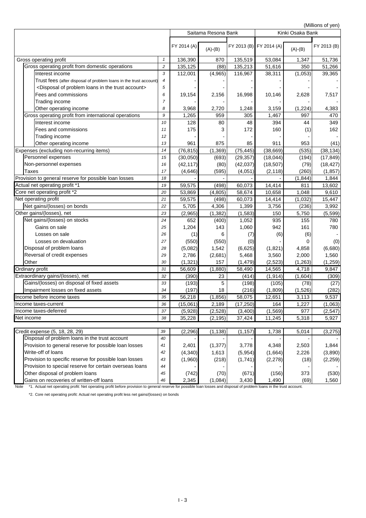(Millions of yen)

|                                                                                                                                                                                |            | Saitama Resona Bank |           |           |                         | ויוסע וט פווטוווויון,<br>Kinki Osaka Bank |             |  |
|--------------------------------------------------------------------------------------------------------------------------------------------------------------------------------|------------|---------------------|-----------|-----------|-------------------------|-------------------------------------------|-------------|--|
|                                                                                                                                                                                |            | FY 2014 (A)         | $(A)-(B)$ |           | FY 2013 (B) FY 2014 (A) | $(A)-(B)$                                 | FY 2013 (B) |  |
| Gross operating profit                                                                                                                                                         | 1          | 136,390             | 870       | 135,519   | 53,084                  | 1,347                                     | 51,736      |  |
| Gross operating profit from domestic operations                                                                                                                                | $\sqrt{2}$ | 135,125             | (88)      | 135,213   | 51,616                  | 350                                       | 51,266      |  |
| Interest income                                                                                                                                                                | 3          | 112,001             | (4,965)   | 116,967   | 38,311                  | (1,053)                                   | 39,365      |  |
| Trust fees (after disposal of problem loans in the trust account)                                                                                                              | 4          |                     |           |           |                         |                                           |             |  |
| <disposal account="" in="" loans="" of="" problem="" the="" trust=""></disposal>                                                                                               | 5          |                     |           |           |                         |                                           |             |  |
| Fees and commissions                                                                                                                                                           | 6          | 19,154              | 2,156     | 16,998    | 10,146                  | 2,628                                     | 7,517       |  |
| Trading income                                                                                                                                                                 | 7          |                     |           |           |                         |                                           |             |  |
| Other operating income                                                                                                                                                         | 8          | 3,968               | 2,720     | 1,248     | 3,159                   | (1,224)                                   | 4,383       |  |
| Gross operating profit from international operations                                                                                                                           | 9          | 1,265               | 959       | 305       | 1,467                   | 997                                       | 470         |  |
| Interest income                                                                                                                                                                | 10         | 128                 | 80        | 48        | 394                     | 44                                        | 349         |  |
| Fees and commissions                                                                                                                                                           | 11         | 175                 | 3         | 172       | 160                     | (1)                                       | 162         |  |
| Trading income                                                                                                                                                                 | 12         |                     |           |           |                         |                                           |             |  |
| Other operating income                                                                                                                                                         | 13         | 961                 | 875       | 85        | 911                     | 953                                       | (41)        |  |
| Expenses (excluding non-recurring items)                                                                                                                                       | 14         | (76, 815)           | (1, 369)  | (75, 445) | (38, 669)               | (535)                                     | (38, 134)   |  |
| Personnel expenses                                                                                                                                                             | 15         | (30,050)            | (693)     | (29, 357) | (18,044)                | (194)                                     | (17, 849)   |  |
| Non-personnel expenses                                                                                                                                                         | 16         | (42, 117)           | (80)      | (42, 037) | (18, 507)               | (79)                                      | (18, 427)   |  |
| <b>Taxes</b>                                                                                                                                                                   | 17         | (4,646)             | (595)     | (4,051)   | (2, 118)                | (260)                                     | (1, 857)    |  |
| Provision to general reserve for possible loan losses                                                                                                                          | 18         |                     |           |           |                         | (1, 844)                                  | 1,844       |  |
| Actual net operating profit *1                                                                                                                                                 | 19         | 59,575              | (498)     | 60,073    | 14,414                  | 811                                       | 13,602      |  |
| Core net operating profit *2                                                                                                                                                   | 20         | 53,869              | (4, 805)  | 58,674    | 10,658                  | 1,048                                     | 9,610       |  |
| Net operating profit                                                                                                                                                           | 21         | 59,575              | (498)     | 60,073    | 14,414                  | (1,032)                                   | 15,447      |  |
| Net gains/(losses) on bonds                                                                                                                                                    | 22         | 5,705               | 4,306     | 1,399     | 3,756                   | (236)                                     | 3,992       |  |
| Other gains/(losses), net                                                                                                                                                      | 23         | (2,965)             | (1, 382)  | (1, 583)  | 150                     | 5,750                                     | (5, 599)    |  |
| Net gains/(losses) on stocks                                                                                                                                                   | 24         | 652                 | (400)     | 1,052     | 935                     | 155                                       | 780         |  |
| Gains on sale                                                                                                                                                                  | 25         | 1,204               | 143       | 1,060     | 942                     | 161                                       | 780         |  |
| Losses on sale                                                                                                                                                                 | 26         | (1)                 | 6         | (7)       | (6)                     | (6)                                       |             |  |
| Losses on devaluation                                                                                                                                                          | 27         | (550)               | (550)     | (0)       |                         | 0                                         | (0)         |  |
| Disposal of problem loans                                                                                                                                                      | 28         | (5,082)             | 1,542     | (6,625)   | (1,821)                 | 4,858                                     | (6,680)     |  |
| Reversal of credit expenses                                                                                                                                                    | 29         | 2,786               | (2,681)   | 5,468     | 3,560                   | 2,000                                     | 1,560       |  |
| Other                                                                                                                                                                          | 30         | (1, 321)            | 157       | (1, 479)  | (2,523)                 | (1, 263)                                  | (1,259)     |  |
| Ordinary profit                                                                                                                                                                | 31         | 56,609              | (1,880)   | 58,490    | 14,565                  | 4,718                                     | 9,847       |  |
| Extraordinary gains/(losses), net                                                                                                                                              | 32         | (390)               | 23        | (414)     | (1, 914)                | (1,604)                                   | (309)       |  |
| Gains/(losses) on disposal of fixed assets                                                                                                                                     | 33         | (193)               | 5         | (198)     | (105)                   | (78)                                      | (27)        |  |
| Impairment losses on fixed assets                                                                                                                                              | 34         | (197)               | 18        | (216)     | (1,809)                 | (1,526)                                   | (282)       |  |
| Income before income taxes                                                                                                                                                     | 35         | 56,218              | (1, 856)  | 58,075    | 12,651                  | 3,113                                     | 9,537       |  |
| Income taxes-current<br>Income taxes-deferred                                                                                                                                  | 36<br>37   | (15,061)            | 2,189     | (17, 250) | 164                     | 1,227                                     | (1,063)     |  |
| Net income                                                                                                                                                                     | 38         | (5,928)             | (2,528)   | (3,400)   | (1, 569)                | 977<br>5,318                              | (2, 547)    |  |
|                                                                                                                                                                                |            | 35,228              | (2, 195)  | 37,424    | 11,245                  |                                           | 5,927       |  |
| Credit expense (5, 18, 28, 29)                                                                                                                                                 | 39         | (2, 296)            | (1, 138)  | (1, 157)  | 1,738                   | 5,014                                     | (3, 275)    |  |
| Disposal of problem loans in the trust account                                                                                                                                 | 40         |                     |           |           |                         |                                           |             |  |
| Provision to general reserve for possible loan losses                                                                                                                          | 41         | 2,401               | (1, 377)  | 3,778     | 4,348                   | 2,503                                     | 1,844       |  |
| Write-off of loans                                                                                                                                                             | 42         | (4, 340)            | 1,613     | (5,954)   | (1,664)                 | 2,226                                     | (3,890)     |  |
| Provision to specific reserve for possible loan losses                                                                                                                         | 43         | (1,960)             | (218)     | (1,741)   | (2, 278)                | (18)                                      | (2,259)     |  |
| Provision to special reserve for certain overseas loans                                                                                                                        | 44         |                     |           |           |                         |                                           |             |  |
| Other disposal of problem loans                                                                                                                                                | 45         | (742)               | (70)      | (671)     | (156)                   | 373                                       | (530)       |  |
| Gains on recoveries of written-off loans                                                                                                                                       | 46         | 2,345               | (1,084)   | 3,430     | 1,490                   | (69)                                      | 1,560       |  |
| *1. Actual net operating profit: Net operating profit before provision to general reserve for possible loan losses and disposal of problem loans in the trust account.<br>Note |            |                     |           |           |                         |                                           |             |  |

\*2. Core net operating profit: Actual net operating profit less net gains/(losses) on bonds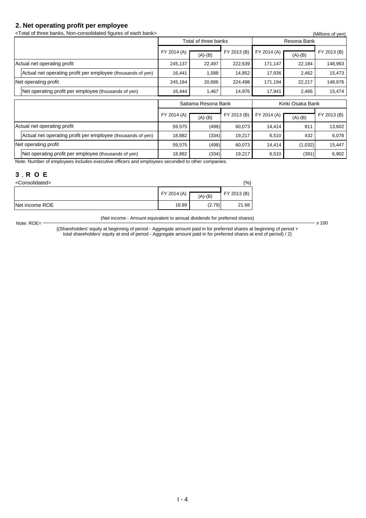#### **2. Net operating profit per employee**

<Total of three banks, Non-consolidated figures of each bank> (Millions of yen)

| $\sim$ דטנסרטר נהורכס טסרוויס, דיסוד סטרוסטווטמוכט הקטרכס טר סמטרו טמרווי<br>(MIIIIONS OF YELL) |           |             |                                                               |           |             |  |  |  |
|-------------------------------------------------------------------------------------------------|-----------|-------------|---------------------------------------------------------------|-----------|-------------|--|--|--|
|                                                                                                 |           |             |                                                               |           |             |  |  |  |
| FY 2014 (A)                                                                                     | $(A)-(B)$ | FY 2013 (B) | FY 2014 (A)                                                   | $(A)-(B)$ | FY 2013 (B) |  |  |  |
| 245,137                                                                                         | 22,497    | 222,639     | 171,147                                                       | 22,184    | 148,963     |  |  |  |
| 16,441                                                                                          | 1,588     | 14,852      | 17,936                                                        | 2,462     | 15,473      |  |  |  |
| 245,184                                                                                         | 20,686    | 224,498     | 171,194                                                       | 22,217    | 148,976     |  |  |  |
| 16,444                                                                                          | 1,467     | 14,976      | 17,941                                                        | 2,466     | 15,474      |  |  |  |
|                                                                                                 |           |             | Kinki Osaka Bank                                              |           |             |  |  |  |
| FY 2014 (A)                                                                                     | $(A)-(B)$ | FY 2013 (B) | FY 2014 (A)                                                   | $(A)-(B)$ | FY 2013 (B) |  |  |  |
| 59,575                                                                                          |           | 60,073      | 14,414                                                        | 811       | 13,602      |  |  |  |
|                                                                                                 |           | 19,217      | 6,510                                                         | 432       | 6,078       |  |  |  |
|                                                                                                 |           |             |                                                               |           |             |  |  |  |
| 59,575                                                                                          | (498)     | 60,073      | 14,414                                                        | (1,032)   | 15,447      |  |  |  |
|                                                                                                 |           | 18,882      | Total of three banks<br>Saitama Resona Bank<br>(498)<br>(334) |           | Resona Bank |  |  |  |

Note: Number of employees includes executive officers and employees seconded to other companies.

#### **3**.**R O E**

Note: ROE=

| <consolidated></consolidated> |             |           |             |  |  |  |
|-------------------------------|-------------|-----------|-------------|--|--|--|
|                               | FY 2014 (A) | $(A)-(B)$ | FY 2013 (B) |  |  |  |
| Net income ROE                | 18.89       | (2.79)    | 21.68       |  |  |  |

(Net income - Amount equivalent to annual dividends for preferred shares)

 $- x 100$ 

{(Shareholders' equity at beginning of period - Aggregate amount paid in for preferred shares at beginning of period + total shareholders' equity at end of period - Aggregate amount paid in for preferred shares at end of period) / 2}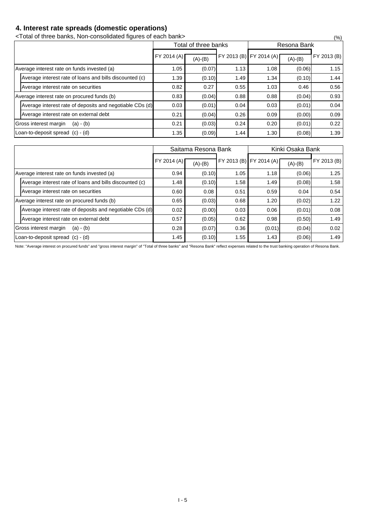### **4. Interest rate spreads (domestic operations)**

<Total of three banks, Non-consolidated figures of each bank> (%)

|                                                          |             | Total of three banks |      | Resona Bank             |           |             |  |  |
|----------------------------------------------------------|-------------|----------------------|------|-------------------------|-----------|-------------|--|--|
|                                                          | FY 2014 (A) | $(A)-(B)$            |      | FY 2013 (B) FY 2014 (A) | $(A)-(B)$ | FY 2013 (B) |  |  |
| Average interest rate on funds invested (a)              | 1.05        | (0.07)               | 1.13 | 1.08                    | (0.06)    | 1.15        |  |  |
| Average interest rate of loans and bills discounted (c)  | 1.39        | (0.10)               | 1.49 | 1.34                    | (0.10)    | 1.44        |  |  |
| Average interest rate on securities                      | 0.82        | 0.27                 | 0.55 | 1.03                    | 0.46      | 0.56        |  |  |
| Average interest rate on procured funds (b)              | 0.83        | (0.04)               | 0.88 | 0.88                    | (0.04)    | 0.93        |  |  |
| Average interest rate of deposits and negotiable CDs (d) | 0.03        | (0.01)               | 0.04 | 0.03                    | (0.01)    | 0.04        |  |  |
| Average interest rate on external debt                   | 0.21        | (0.04)               | 0.26 | 0.09                    | (0.00)    | 0.09        |  |  |
| Gross interest margin<br>$(a) - (b)$                     | 0.21        | (0.03)               | 0.24 | 0.20                    | (0.01)    | 0.22        |  |  |
| Loan-to-deposit spread (c) - (d)                         | 1.35        | (0.09)               | 1.44 | 1.30                    | (0.08)    | 1.39        |  |  |

|                                                          |             | Saitama Resona Bank |      | Kinki Osaka Bank        |           |             |  |  |
|----------------------------------------------------------|-------------|---------------------|------|-------------------------|-----------|-------------|--|--|
|                                                          | FY 2014 (A) | $(A)-(B)$           |      | FY 2013 (B) FY 2014 (A) | $(A)-(B)$ | FY 2013 (B) |  |  |
| Average interest rate on funds invested (a)              | 0.94        | (0.10)              | 1.05 | 1.18                    | (0.06)    | 1.25        |  |  |
| Average interest rate of loans and bills discounted (c)  | 1.48        | (0.10)              | 1.58 | 1.49                    | (0.08)    | 1.58        |  |  |
| Average interest rate on securities                      | 0.60        | 0.08                | 0.51 | 0.59                    | 0.04      | 0.54        |  |  |
| Average interest rate on procured funds (b)              | 0.65        | (0.03)              | 0.68 | 1.20                    | (0.02)    | 1.22        |  |  |
| Average interest rate of deposits and negotiable CDs (d) | 0.02        | (0.00)              | 0.03 | 0.06                    | (0.01)    | 0.08        |  |  |
| Average interest rate on external debt                   | 0.57        | (0.05)              | 0.62 | 0.98                    | (0.50)    | 1.49        |  |  |
| Gross interest margin<br>$(a) - (b)$                     | 0.28        | (0.07)              | 0.36 | (0.01)                  | (0.04)    | 0.02        |  |  |
| Loan-to-deposit spread (c) - (d)                         | 1.45        | (0.10)              | 1.55 | 1.43                    | (0.06)    | 1.49        |  |  |

Note: "Average interest on procured funds" and "gross interest margin" of "Total of three banks" and "Resona Bank" reflect expenses related to the trust banking operation of Resona Bank.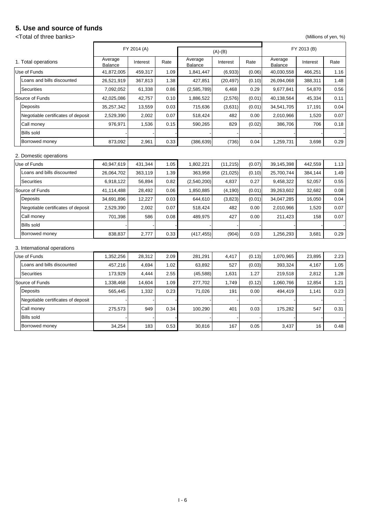### **5. Use and source of funds**

### <Total of three banks> (Millions of yen, %)

|                                    |                    | FY 2014 (A) |      |                    | $(A)-(B)$ |        |                    | FY 2013 (B) |      |
|------------------------------------|--------------------|-------------|------|--------------------|-----------|--------|--------------------|-------------|------|
| 1. Total operations                | Average<br>Balance | Interest    | Rate | Average<br>Balance | Interest  | Rate   | Average<br>Balance | Interest    | Rate |
| Use of Funds                       | 41,872,005         | 459,317     | 1.09 | 1,841,447          | (6,933)   | (0.06) | 40,030,558         | 466,251     | 1.16 |
| Loans and bills discounted         | 26,521,919         | 367,813     | 1.38 | 427,851            | (20, 497) | (0.10) | 26,094,068         | 388,311     | 1.48 |
| <b>Securities</b>                  | 7,092,052          | 61,338      | 0.86 | (2,585,789)        | 6,468     | 0.29   | 9,677,841          | 54,870      | 0.56 |
| Source of Funds                    | 42,025,086         | 42,757      | 0.10 | 1,886,522          | (2,576)   | (0.01) | 40,138,564         | 45,334      | 0.11 |
| Deposits                           | 35,257,342         | 13,559      | 0.03 | 715,636            | (3,631)   | (0.01) | 34,541,705         | 17,191      | 0.04 |
| Negotiable certificates of deposit | 2,529,390          | 2,002       | 0.07 | 518,424            | 482       | 0.00   | 2,010,966          | 1,520       | 0.07 |
| Call money                         | 976,971            | 1,536       | 0.15 | 590,265            | 829       | (0.02) | 386,706            | 706         | 0.18 |
| <b>Bills sold</b>                  |                    |             |      |                    |           |        |                    |             |      |
| Borrowed money                     | 873,092            | 2,961       | 0.33 | (386, 639)         | (736)     | 0.04   | 1,259,731          | 3,698       | 0.29 |
| 2. Domestic operations             |                    |             |      |                    |           |        |                    |             |      |
| Use of Funds                       | 40,947,619         | 431,344     | 1.05 | 1,802,221          | (11, 215) | (0.07) | 39,145,398         | 442,559     | 1.13 |
| Loans and bills discounted         | 26,064,702         | 363,119     | 1.39 | 363,958            | (21, 025) | (0.10) | 25,700,744         | 384,144     | 1.49 |
| <b>Securities</b>                  | 6,918,122          | 56,894      | 0.82 | (2,540,200)        | 4,837     | 0.27   | 9,458,322          | 52,057      | 0.55 |
| Source of Funds                    | 41,114,488         | 28,492      | 0.06 | 1,850,885          | (4, 190)  | (0.01) | 39,263,602         | 32,682      | 0.08 |
| Deposits                           | 34,691,896         | 12,227      | 0.03 | 644,610            | (3,823)   | (0.01) | 34,047,285         | 16,050      | 0.04 |
| Negotiable certificates of deposit | 2,529,390          | 2,002       | 0.07 | 518,424            | 482       | 0.00   | 2,010,966          | 1,520       | 0.07 |
| Call money                         | 701,398            | 586         | 0.08 | 489,975            | 427       | 0.00   | 211,423            | 158         | 0.07 |
| <b>Bills sold</b>                  |                    |             |      |                    |           |        |                    |             |      |
| Borrowed money                     | 838,837            | 2,777       | 0.33 | (417, 455)         | (904)     | 0.03   | 1,256,293          | 3,681       | 0.29 |
| 3. International operations        |                    |             |      |                    |           |        |                    |             |      |
| Use of Funds                       | 1,352,256          | 28,312      | 2.09 | 281,291            | 4,417     | (0.13) | 1,070,965          | 23,895      | 2.23 |
| Loans and bills discounted         | 457,216            | 4,694       | 1.02 | 63,892             | 527       | (0.03) | 393,324            | 4,167       | 1.05 |
| <b>Securities</b>                  | 173,929            | 4,444       | 2.55 | (45, 588)          | 1,631     | 1.27   | 219,518            | 2,812       | 1.28 |
| Source of Funds                    | 1,338,468          | 14,604      | 1.09 | 277,702            | 1,749     | (0.12) | 1,060,766          | 12,854      | 1.21 |
| Deposits                           | 565,445            | 1,332       | 0.23 | 71,026             | 191       | 0.00   | 494,419            | 1,141       | 0.23 |
| Negotiable certificates of deposit |                    |             |      |                    |           |        |                    |             |      |
| Call money                         | 275,573            | 949         | 0.34 | 100,290            | 401       | 0.03   | 175,282            | 547         | 0.31 |
| <b>Bills sold</b>                  |                    |             |      |                    |           |        |                    |             |      |
| Borrowed money                     | 34,254             | 183         | 0.53 | 30,816             | 167       | 0.05   | 3,437              | 16          | 0.48 |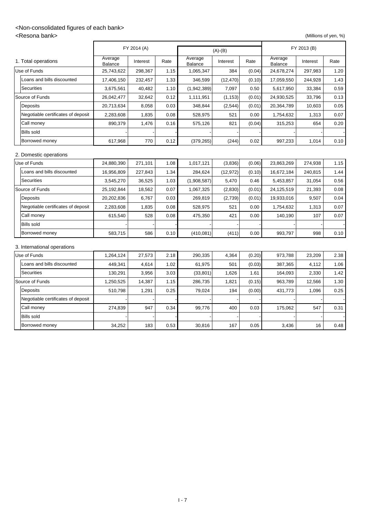### <Non-consolidated figures of each bank>

<Resona bank> (Millions of yen, %)

|                                    |                    | FY 2014 (A) |      | $(A)-(B)$                 |           |        | FY 2013 (B)        |          |      |
|------------------------------------|--------------------|-------------|------|---------------------------|-----------|--------|--------------------|----------|------|
| 1. Total operations                | Average<br>Balance | Interest    | Rate | Average<br><b>Balance</b> | Interest  | Rate   | Average<br>Balance | Interest | Rate |
| Use of Funds                       | 25,743,622         | 298,367     | 1.15 | 1,065,347                 | 384       | (0.04) | 24,678,274         | 297,983  | 1.20 |
| Loans and bills discounted         | 17,406,150         | 232,457     | 1.33 | 346,599                   | (12, 470) | (0.10) | 17,059,550         | 244,928  | 1.43 |
| <b>Securities</b>                  | 3,675,561          | 40,482      | 1.10 | (1,942,389)               | 7,097     | 0.50   | 5,617,950          | 33,384   | 0.59 |
| Source of Funds                    | 26,042,477         | 32,642      | 0.12 | 1,111,951                 | (1, 153)  | (0.01) | 24,930,525         | 33,796   | 0.13 |
| Deposits                           | 20,713,634         | 8,058       | 0.03 | 348,844                   | (2, 544)  | (0.01) | 20,364,789         | 10,603   | 0.05 |
| Negotiable certificates of deposit | 2,283,608          | 1,835       | 0.08 | 528,975                   | 521       | 0.00   | 1,754,632          | 1,313    | 0.07 |
| Call money                         | 890,379            | 1,476       | 0.16 | 575,126                   | 821       | (0.04) | 315,253            | 654      | 0.20 |
| <b>Bills sold</b>                  |                    |             |      |                           |           |        |                    |          |      |
| Borrowed money                     | 617,968            | 770         | 0.12 | (379, 265)                | (244)     | 0.02   | 997,233            | 1,014    | 0.10 |
| 2. Domestic operations             |                    |             |      |                           |           |        |                    |          |      |
| Use of Funds                       | 24,880,390         | 271,101     | 1.08 | 1,017,121                 | (3,836)   | (0.06) | 23,863,269         | 274,938  | 1.15 |
| Loans and bills discounted         | 16,956,809         | 227,843     | 1.34 | 284,624                   | (12, 972) | (0.10) | 16,672,184         | 240,815  | 1.44 |
| <b>Securities</b>                  | 3,545,270          | 36,525      | 1.03 | (1,908,587)               | 5,470     | 0.46   | 5,453,857          | 31,054   | 0.56 |
| Source of Funds                    | 25,192,844         | 18,562      | 0.07 | 1,067,325                 | (2,830)   | (0.01) | 24,125,519         | 21,393   | 0.08 |
| Deposits                           | 20,202,836         | 6,767       | 0.03 | 269,819                   | (2,739)   | (0.01) | 19,933,016         | 9,507    | 0.04 |
| Negotiable certificates of deposit | 2,283,608          | 1,835       | 0.08 | 528,975                   | 521       | 0.00   | 1,754,632          | 1,313    | 0.07 |
| Call money                         | 615,540            | 528         | 0.08 | 475,350                   | 421       | 0.00   | 140,190            | 107      | 0.07 |
| <b>Bills sold</b>                  |                    |             |      |                           |           |        |                    |          |      |
| Borrowed money                     | 583,715            | 586         | 0.10 | (410, 081)                | (411)     | 0.00   | 993,797            | 998      | 0.10 |
| 3. International operations        |                    |             |      |                           |           |        |                    |          |      |
| Use of Funds                       | 1,264,124          | 27,573      | 2.18 | 290,335                   | 4,364     | (0.20) | 973,788            | 23,209   | 2.38 |
| Loans and bills discounted         | 449,341            | 4,614       | 1.02 | 61,975                    | 501       | (0.03) | 387,365            | 4,112    | 1.06 |
| Securities                         | 130,291            | 3,956       | 3.03 | (33, 801)                 | 1,626     | 1.61   | 164,093            | 2,330    | 1.42 |
| Source of Funds                    | 1,250,525          | 14,387      | 1.15 | 286,735                   | 1,821     | (0.15) | 963,789            | 12,566   | 1.30 |
| Deposits                           | 510,798            | 1,291       | 0.25 | 79,024                    | 194       | (0.00) | 431,773            | 1,096    | 0.25 |
| Negotiable certificates of deposit |                    |             |      |                           |           |        |                    |          |      |
| Call money                         | 274,839            | 947         | 0.34 | 99,776                    | 400       | 0.03   | 175,062            | 547      | 0.31 |
| <b>Bills sold</b>                  |                    |             |      |                           |           |        |                    |          |      |
| Borrowed money                     | 34,252             | 183         | 0.53 | 30,816                    | 167       | 0.05   | 3,436              | 16       | 0.48 |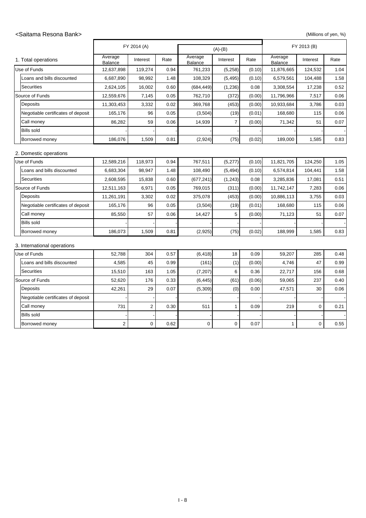#### <Saitama Resona Bank> (Millions of yen, %)

|                                    |                           | FY 2014 (A)    |      |                    | $(A)-(B)$      |        | FY 2013 (B)        |          |      |
|------------------------------------|---------------------------|----------------|------|--------------------|----------------|--------|--------------------|----------|------|
| 1. Total operations                | Average<br><b>Balance</b> | Interest       | Rate | Average<br>Balance | Interest       | Rate   | Average<br>Balance | Interest | Rate |
| Use of Funds                       | 12,637,898                | 119,274        | 0.94 | 761,233            | (5,258)        | (0.10) | 11,876,665         | 124,532  | 1.04 |
| Loans and bills discounted         | 6,687,890                 | 98,992         | 1.48 | 108,329            | (5, 495)       | (0.10) | 6,579,561          | 104,488  | 1.58 |
| <b>Securities</b>                  | 2,624,105                 | 16,002         | 0.60 | (684, 449)         | (1, 236)       | 0.08   | 3,308,554          | 17,238   | 0.52 |
| Source of Funds                    | 12,559,676                | 7,145          | 0.05 | 762,710            | (372)          | (0.00) | 11,796,966         | 7,517    | 0.06 |
| Deposits                           | 11,303,453                | 3,332          | 0.02 | 369,768            | (453)          | (0.00) | 10,933,684         | 3,786    | 0.03 |
| Negotiable certificates of deposit | 165,176                   | 96             | 0.05 | (3,504)            | (19)           | (0.01) | 168,680            | 115      | 0.06 |
| Call money                         | 86,282                    | 59             | 0.06 | 14,939             | $\overline{7}$ | (0.00) | 71,342             | 51       | 0.07 |
| <b>Bills sold</b>                  |                           |                |      |                    |                |        |                    |          |      |
| Borrowed money                     | 186,076                   | 1,509          | 0.81 | (2,924)            | (75)           | (0.02) | 189,000            | 1,585    | 0.83 |
| 2. Domestic operations             |                           |                |      |                    |                |        |                    |          |      |
| Use of Funds                       | 12,589,216                | 118,973        | 0.94 | 767,511            | (5, 277)       | (0.10) | 11,821,705         | 124,250  | 1.05 |
| Loans and bills discounted         | 6,683,304                 | 98,947         | 1.48 | 108,490            | (5, 494)       | (0.10) | 6,574,814          | 104,441  | 1.58 |
| <b>Securities</b>                  | 2,608,595                 | 15,838         | 0.60 | (677, 241)         | (1,243)        | 0.08   | 3,285,836          | 17,081   | 0.51 |
| Source of Funds                    | 12,511,163                | 6,971          | 0.05 | 769,015            | (311)          | (0.00) | 11,742,147         | 7,283    | 0.06 |
| Deposits                           | 11,261,191                | 3,302          | 0.02 | 375,078            | (453)          | (0.00) | 10,886,113         | 3,755    | 0.03 |
| Negotiable certificates of deposit | 165,176                   | 96             | 0.05 | (3,504)            | (19)           | (0.01) | 168,680            | 115      | 0.06 |
| Call money                         | 85,550                    | 57             | 0.06 | 14,427             | 5              | (0.00) | 71,123             | 51       | 0.07 |
| <b>Bills sold</b>                  |                           |                |      |                    |                |        |                    |          |      |
| Borrowed money                     | 186,073                   | 1,509          | 0.81 | (2,925)            | (75)           | (0.02) | 188,999            | 1,585    | 0.83 |
| 3. International operations        |                           |                |      |                    |                |        |                    |          |      |
| Use of Funds                       | 52,788                    | 304            | 0.57 | (6, 418)           | 18             | 0.09   | 59,207             | 285      | 0.48 |
| Loans and bills discounted         | 4,585                     | 45             | 0.99 | (161)              | (1)            | (0.00) | 4,746              | 47       | 0.99 |
| Securities                         | 15,510                    | 163            | 1.05 | (7, 207)           | 6              | 0.36   | 22,717             | 156      | 0.68 |
| Source of Funds                    | 52,620                    | 176            | 0.33 | (6, 445)           | (61)           | (0.06) | 59,065             | 237      | 0.40 |
| Deposits                           | 42,261                    | 29             | 0.07 | (5,309)            | (0)            | 0.00   | 47,571             | 30       | 0.06 |
| Negotiable certificates of deposit |                           |                |      |                    |                |        |                    |          |      |
| Call money                         | 731                       | $\overline{c}$ | 0.30 | 511                | $\mathbf{1}$   | 0.09   | 219                | 0        | 0.21 |
| <b>Bills sold</b>                  |                           |                |      |                    |                |        |                    |          |      |
| Borrowed money                     | $\overline{c}$            | 0              | 0.62 | 0                  | $\pmb{0}$      | 0.07   | 1                  | 0        | 0.55 |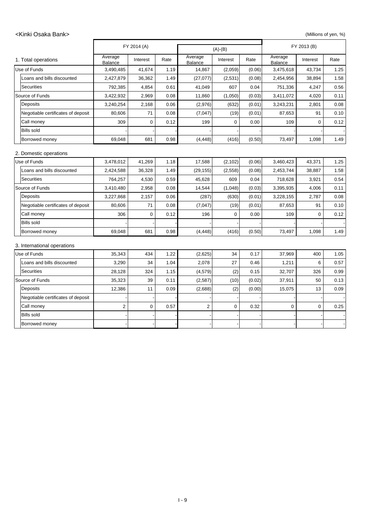#### <Kinki Osaka Bank> (Millions of yen, %)

|                                    |                    | FY 2014 (A)      |      | $(A)-(B)$               |          |        |                           | FY 2013 (B) |      |  |
|------------------------------------|--------------------|------------------|------|-------------------------|----------|--------|---------------------------|-------------|------|--|
| 1. Total operations                | Average<br>Balance | Interest         | Rate | Average<br>Balance      | Interest | Rate   | Average<br><b>Balance</b> | Interest    | Rate |  |
| Use of Funds                       | 3,490,485          | 41,674           | 1.19 | 14,867                  | (2,059)  | (0.06) | 3,475,618                 | 43,734      | 1.25 |  |
| Loans and bills discounted         | 2,427,879          | 36,362           | 1.49 | (27, 077)               | (2,531)  | (0.08) | 2,454,956                 | 38,894      | 1.58 |  |
| <b>Securities</b>                  | 792,385            | 4,854            | 0.61 | 41,049                  | 607      | 0.04   | 751,336                   | 4,247       | 0.56 |  |
| Source of Funds                    | 3,422,932          | 2,969            | 0.08 | 11,860                  | (1,050)  | (0.03) | 3,411,072                 | 4,020       | 0.11 |  |
| Deposits                           | 3,240,254          | 2,168            | 0.06 | (2,976)                 | (632)    | (0.01) | 3,243,231                 | 2,801       | 0.08 |  |
| Negotiable certificates of deposit | 80,606             | 71               | 0.08 | (7,047)                 | (19)     | (0.01) | 87,653                    | 91          | 0.10 |  |
| Call money                         | 309                | $\Omega$         | 0.12 | 199                     | $\Omega$ | 0.00   | 109                       | $\mathbf 0$ | 0.12 |  |
| <b>Bills sold</b>                  |                    |                  |      |                         |          |        |                           |             |      |  |
| Borrowed money                     | 69,048             | 681              | 0.98 | (4, 448)                | (416)    | (0.50) | 73,497                    | 1,098       | 1.49 |  |
| 2. Domestic operations             |                    |                  |      |                         |          |        |                           |             |      |  |
| Use of Funds                       | 3,478,012          | 41,269           | 1.18 | 17,588                  | (2, 102) | (0.06) | 3,460,423                 | 43,371      | 1.25 |  |
| Loans and bills discounted         | 2,424,588          | 36,328           | 1.49 | (29, 155)               | (2, 558) | (0.08) | 2,453,744                 | 38,887      | 1.58 |  |
| <b>Securities</b>                  | 764,257            | 4,530            | 0.59 | 45,628                  | 609      | 0.04   | 718,628                   | 3,921       | 0.54 |  |
| Source of Funds                    | 3,410,480          | 2,958            | 0.08 | 14,544                  | (1,048)  | (0.03) | 3,395,935                 | 4,006       | 0.11 |  |
| Deposits                           | 3,227,868          | 2,157            | 0.06 | (287)                   | (630)    | (0.01) | 3,228,155                 | 2,787       | 0.08 |  |
| Negotiable certificates of deposit | 80,606             | 71               | 0.08 | (7,047)                 | (19)     | (0.01) | 87,653                    | 91          | 0.10 |  |
| Call money                         | 306                | 0                | 0.12 | 196                     | 0        | 0.00   | 109                       | $\mathbf 0$ | 0.12 |  |
| <b>Bills sold</b>                  |                    |                  |      |                         |          |        |                           |             |      |  |
| Borrowed money                     | 69,048             | 681              | 0.98 | (4, 448)                | (416)    | (0.50) | 73,497                    | 1,098       | 1.49 |  |
| 3. International operations        |                    |                  |      |                         |          |        |                           |             |      |  |
| Use of Funds                       | 35,343             | 434              | 1.22 | (2,625)                 | 34       | 0.17   | 37,969                    | 400         | 1.05 |  |
| Loans and bills discounted         | 3,290              | 34               | 1.04 | 2,078                   | 27       | 0.46   | 1,211                     | 6           | 0.57 |  |
| <b>Securities</b>                  | 28,128             | 324              | 1.15 | (4, 579)                | (2)      | 0.15   | 32,707                    | 326         | 0.99 |  |
| Source of Funds                    | 35,323             | 39               | 0.11 | (2,587)                 | (10)     | (0.02) | 37,911                    | 50          | 0.13 |  |
| Deposits                           | 12,386             | 11               | 0.09 | (2,688)                 | (2)      | (0.00) | 15,075                    | 13          | 0.09 |  |
| Negotiable certificates of deposit |                    |                  |      |                         |          |        |                           |             |      |  |
| Call money                         | $\overline{c}$     | $\boldsymbol{0}$ | 0.57 | $\overline{\mathbf{c}}$ | 0        | 0.32   | 0                         | $\pmb{0}$   | 0.25 |  |
| <b>Bills sold</b>                  |                    |                  |      |                         |          |        |                           |             |      |  |
| Borrowed money                     |                    |                  |      |                         |          |        |                           |             |      |  |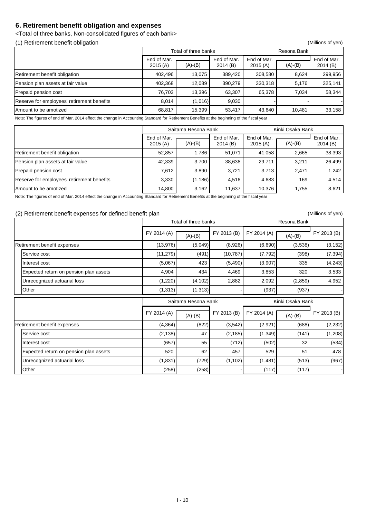#### **6. Retirement benefit obligation and expenses**

<Total of three banks, Non-consolidated figures of each bank>

(1) Retirement benefit obligation (Millions of yen)

|                                            |                        | Total of three banks |                        | Resona Bank            |           |                        |  |
|--------------------------------------------|------------------------|----------------------|------------------------|------------------------|-----------|------------------------|--|
|                                            | End of Mar.<br>2015(A) | $(A)-(B)$            | End of Mar.<br>2014(B) | End of Mar.<br>2015(A) | $(A)-(B)$ | End of Mar.<br>2014(B) |  |
| Retirement benefit obligation              | 402,496                | 13,075               | 389,420                | 308,580                | 8,624     | 299,956                |  |
| Pension plan assets at fair value          | 402,368                | 12,089               | 390,279                | 330,318                | 5,176     | 325,141                |  |
| Prepaid pension cost                       | 76,703                 | 13,396               | 63,307                 | 65,378                 | 7,034     | 58,344                 |  |
| Reserve for employees' retirement benefits | 8,014                  | (1,016)              | 9,030                  |                        |           |                        |  |
| Amount to be amotized                      | 68,817                 | 15,399               | 53,417                 | 43,640                 | 10,481    | 33,158                 |  |

Note: The figures of end of Mar. 2014 effect the change in Accounting Standard for Retirement Benefits at the beginning of the fiscal year

|                                            |                        | Saitama Resona Bank |                        |                        | Kinki Osaka Bank |                        |
|--------------------------------------------|------------------------|---------------------|------------------------|------------------------|------------------|------------------------|
|                                            | End of Mar.<br>2015(A) | $(A)-(B)$           | End of Mar.<br>2014(B) | End of Mar.<br>2015(A) | $(A)-(B)$        | End of Mar.<br>2014(B) |
| Retirement benefit obligation              | 52,857                 | 1,786               | 51,071                 | 41,058                 | 2,665            | 38,393                 |
| Pension plan assets at fair value          | 42,339                 | 3,700               | 38,638                 | 29,711                 | 3,211            | 26,499                 |
| Prepaid pension cost                       | 7,612                  | 3,890               | 3,721                  | 3,713                  | 2,471            | 1,242                  |
| Reserve for employees' retirement benefits | 3,330                  | (1, 186)            | 4,516                  | 4,683                  | 169              | 4,514                  |
| Amount to be amotized                      | 14,800                 | 3,162               | 11,637                 | 10,376                 | 1,755            | 8,621                  |

Note: The figures of end of Mar. 2014 effect the change in Accounting Standard for Retirement Benefits at the beginning of the fiscal year

#### (2) Retirement benefit expenses for defined benefit plan (Millions of yen)

| $\sqrt{ }$ |                                        |             | Total of three banks |             |             | Resona Bank      |             |  |  |  |
|------------|----------------------------------------|-------------|----------------------|-------------|-------------|------------------|-------------|--|--|--|
|            |                                        | FY 2014 (A) | $(A)-(B)$            | FY 2013 (B) | FY 2014 (A) | $(A)-(B)$        | FY 2013 (B) |  |  |  |
|            | Retirement benefit expenses            | (13, 976)   | (5,049)              | (8,926)     | (6,690)     | (3,538)          | (3, 152)    |  |  |  |
|            | Service cost                           | (11, 279)   | (491)                | (10, 787)   | (7, 792)    | (398)            | (7, 394)    |  |  |  |
|            | Interest cost                          | (5,067)     | 423                  | (5, 490)    | (3,907)     | 335              | (4, 243)    |  |  |  |
|            | Expected return on pension plan assets | 4,904       | 434                  | 4,469       | 3,853       | 320              | 3,533       |  |  |  |
|            | Unrecognized actuarial loss            | (1,220)     | (4, 102)             | 2,882       | 2,092       | (2,859)          | 4,952       |  |  |  |
|            | Other                                  | (1, 313)    | (1, 313)             |             | (937)       | (937)            |             |  |  |  |
|            |                                        |             |                      |             |             |                  |             |  |  |  |
|            |                                        |             | Saitama Resona Bank  |             |             | Kinki Osaka Bank |             |  |  |  |
|            |                                        | FY 2014 (A) | $(A)-(B)$            | FY 2013 (B) | FY 2014 (A) | $(A)-(B)$        | FY 2013 (B) |  |  |  |
|            | Retirement benefit expenses            | (4, 364)    | (822)                | (3, 542)    | (2,921)     | (688)            | (2, 232)    |  |  |  |
|            | Service cost                           | (2, 138)    | 47                   | (2, 185)    | (1, 349)    | (141)            | (1, 208)    |  |  |  |
|            | Interest cost                          | (657)       | 55                   | (712)       | (502)       | 32               | (534)       |  |  |  |
|            | Expected return on pension plan assets | 520         | 62                   | 457         | 529         | 51               | 478         |  |  |  |
|            | Unrecognized actuarial loss            | (1,831)     | (729)                | (1, 102)    | (1,481)     | (513)            | (967)       |  |  |  |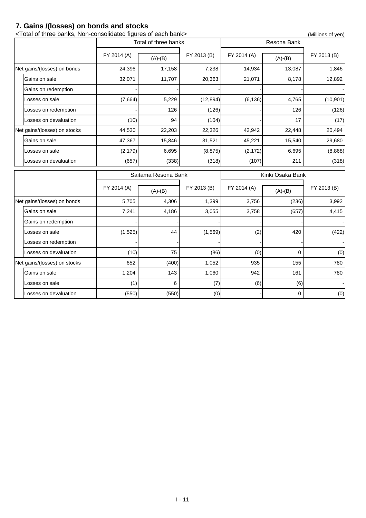### **7. Gains /(losses) on bonds and stocks**

| <total bank="" banks,="" each="" figures="" non-consolidated="" of="" three=""><br/>(Millions of yen)</total> |                     |                      |             |             |                  |             |  |  |
|---------------------------------------------------------------------------------------------------------------|---------------------|----------------------|-------------|-------------|------------------|-------------|--|--|
|                                                                                                               |                     | Total of three banks |             |             | Resona Bank      |             |  |  |
|                                                                                                               | FY 2014 (A)         | $(A)-(B)$            | FY 2013 (B) | FY 2014 (A) | $(A)-(B)$        | FY 2013 (B) |  |  |
| Net gains/(losses) on bonds                                                                                   | 24,396              | 17,158               | 7,238       | 14,934      | 13,087           | 1,846       |  |  |
| Gains on sale                                                                                                 | 32,071              | 11,707               | 20,363      | 21,071      | 8,178            | 12,892      |  |  |
| Gains on redemption                                                                                           |                     |                      |             |             |                  |             |  |  |
| Losses on sale                                                                                                | (7,664)             | 5,229                | (12, 894)   | (6, 136)    | 4,765            | (10, 901)   |  |  |
| Losses on redemption                                                                                          |                     | 126                  | (126)       |             | 126              | (126)       |  |  |
| Losses on devaluation                                                                                         | (10)                | 94                   | (104)       |             | 17               | (17)        |  |  |
| Net gains/(losses) on stocks                                                                                  | 44,530              | 22,203               | 22,326      | 42,942      | 22,448           | 20,494      |  |  |
| Gains on sale                                                                                                 | 47,367              | 15,846               | 31,521      | 45,221      | 15,540           | 29,680      |  |  |
| Losses on sale                                                                                                | (2, 179)            | 6,695                | (8, 875)    | (2, 172)    | 6,695            | (8,868)     |  |  |
| Losses on devaluation                                                                                         | (657)               | (338)                | (318)       | (107)       | 211              | (318)       |  |  |
|                                                                                                               | Saitama Resona Bank |                      |             |             |                  |             |  |  |
|                                                                                                               |                     |                      |             |             | Kinki Osaka Bank |             |  |  |
|                                                                                                               | FY 2014 (A)         | $(A)-(B)$            | FY 2013 (B) | FY 2014 (A) | $(A)-(B)$        | FY 2013 (B) |  |  |
| Net gains/(losses) on bonds                                                                                   | 5,705               | 4,306                | 1,399       | 3,756       | (236)            | 3,992       |  |  |
| Gains on sale                                                                                                 | 7,241               | 4,186                | 3,055       | 3,758       | (657)            | 4,415       |  |  |
| Gains on redemption                                                                                           |                     |                      |             |             |                  |             |  |  |
| Losses on sale                                                                                                | (1,525)             | 44                   | (1, 569)    | (2)         | 420              | (422)       |  |  |
| Losses on redemption                                                                                          |                     |                      |             |             |                  |             |  |  |
| Losses on devaluation                                                                                         | (10)                | 75                   | (86)        | (0)         | $\pmb{0}$        | (0)         |  |  |
| Net gains/(losses) on stocks                                                                                  | 652                 | (400)                | 1,052       | 935         | 155              | 780         |  |  |
| Gains on sale                                                                                                 | 1,204               | 143                  | 1,060       | 942         | 161              | 780         |  |  |
| Losses on sale                                                                                                | (1)                 | 6                    | (7)         | (6)         | (6)              |             |  |  |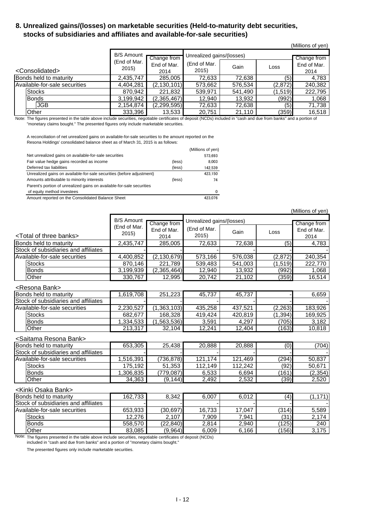#### **8. Unrealized gains/(losses) on marketable securities (Held-to-maturity debt securities, stocks of subsidiaries and affiliates and available-for-sale securities)**

|                               |                   |                     |                           |         |         | (Millions of yen)   |
|-------------------------------|-------------------|---------------------|---------------------------|---------|---------|---------------------|
|                               | <b>B/S Amount</b> |                     | Unrealized gains/(losses) |         |         |                     |
|                               | (End of Mar.      | Change from         |                           |         |         | Change from         |
| <consolidated></consolidated> | 2015)             | End of Mar.<br>2014 | (End of Mar.<br>2015)     | Gain    | Loss    | End of Mar.<br>2014 |
|                               |                   |                     |                           |         |         |                     |
| Bonds held to maturity        | 2,435,747         | 285,005             | 72,633                    | 72,638  | (5)     | 4,783               |
| Available-for-sale securities | 4,404,281         | (2, 130, 101)       | 573,662                   | 576,534 | (2,872) | 240,382             |
| <b>Stocks</b>                 | 870,942           | 221,832             | 539,971                   | 541,490 | (1,519) | 222,795             |
| <b>Bonds</b>                  | 3,199,942         | (2,365,467)         | 12,940                    | 13,932  | (992)   | 1,068               |
| <b>JGB</b>                    | 2,154,874         | (2, 299, 595)       | 72,633                    | 72,638  | (5)     | 71,738              |
| Other                         | 333,396           | 13,533              | 20,751                    | 21,110  | (359)   | 16,518              |

Note: The figures presented in the table above include securities, negotiable certificates of deposit (NCDs) included in "cash and due from banks" and a portion of "monetary claims bought." The presented figures only include marketable securities.

A reconciliation of net unrealized gains on available-for-sale securities to the amount reported on the Resona Holdings' consolidated balance sheet as of March 31, 2015 is as follows:

|                                                                       |        | (Millions of yen) |
|-----------------------------------------------------------------------|--------|-------------------|
| Net unrealized gains on available-for-sale securities                 |        | 573,693           |
| Fair value hedge gains recorded as income                             | (less) | 8.003             |
| Deferred tax liabilities                                              | (less) | 142.539           |
| Unrealized gains on available-for-sale securities (before adjustment) |        | 423.150           |
| Amounts attributable to minority interests                            | (less) | 74                |
| Parent's portion of unrealized gains on available-for-sale securities |        |                   |
| of equity method investees                                            |        | 0                 |
| Amount reported on the Consolidated Balance Sheet                     |        | 423.076           |

|                                         |                                   | Unrealized gains/(losses) |              |         |          |             |
|-----------------------------------------|-----------------------------------|---------------------------|--------------|---------|----------|-------------|
|                                         | <b>B/S Amount</b><br>(End of Mar. | Change from               |              |         |          | Change from |
|                                         | 2015                              | End of Mar.               | (End of Mar. | Gain    | Loss     | End of Mar. |
| <total banks="" of="" three=""></total> |                                   | 2014                      | 2015)        |         |          | 2014        |
| Bonds held to maturity                  | 2,435,747                         | 285,005                   | 72,633       | 72,638  | (5)      | 4,783       |
| Stock of subsidiaries and affiliates    |                                   |                           |              |         |          |             |
| Available-for-sale securities           | 4,400,852                         | (2, 130, 679)             | 573,166      | 576,038 | (2,872)  | 240,354     |
| <b>Stocks</b>                           | 870,146                           | 221,789                   | 539,483      | 541,003 | (1,519)  | 222,770     |
| <b>Bonds</b>                            | 3,199,939                         | (2,365,464)               | 12,940       | 13,932  | (992)    | 1,068       |
| Other                                   | 330,767                           | 12,995                    | 20,742       | 21,102  | (359)    | 16,514      |
| <resona bank=""></resona>               |                                   |                           |              |         |          |             |
| Bonds held to maturity                  | 1,619,708                         | 251,223                   | 45,737       | 45,737  |          | 6,659       |
| Stock of subsidiaries and affiliates    |                                   |                           |              |         |          |             |
| Available-for-sale securities           | 2,230,527                         | (1,363,103)               | 435,258      | 437,521 | (2, 263) | 183,926     |
| <b>Stocks</b>                           | 682,677                           | 168,328                   | 419,424      | 420,819 | (1, 394) | 169,925     |
| <b>Bonds</b>                            | 1,334,533                         | (1,563,536)               | 3,591        | 4,297   | (705)    | 3,182       |
| Other                                   | 213,317                           | 32,104                    | 12,241       | 12,404  | (163)    | 10,818      |
| <saitama bank="" resona=""></saitama>   |                                   |                           |              |         |          |             |
| Bonds held to maturity                  | 653,305                           | 25,438                    | 20,888       | 20,888  | (0)      | (704)       |
| Stock of subsidiaries and affiliates    |                                   |                           |              |         |          |             |
| Available-for-sale securities           | 1,516,391                         | (736, 878)                | 121,174      | 121,469 | (294)    | 50,837      |
| <b>Stocks</b>                           | 175,192                           | 51,353                    | 112,149      | 112,242 | (92)     | 50,671      |
| <b>Bonds</b>                            | 1,306,835                         | (779, 087)                | 6,533        | 6,694   | (161)    | (2, 354)    |
| Other                                   | 34,363                            | (9, 144)                  | 2,492        | 2,532   | (39)     | 2,520       |
| <kinki bank="" osaka=""></kinki>        |                                   |                           |              |         |          |             |
| Bonds held to maturity                  | 162,733                           | 8,342                     | 6,007        | 6,012   | (4)      | (1, 171)    |
| Stock of subsidiaries and affiliates    |                                   |                           |              |         |          |             |
| Available-for-sale securities           | 653,933                           | (30, 697)                 | 16,733       | 17,047  | (314)    | 5,589       |
| <b>Stocks</b>                           | 12,276                            | 2,107                     | 7,909        | 7,941   | (31)     | 2,174       |

(Millions of yen)

Note: The figures presented in the table above include securities, negotiable certificates of deposit (NCDs)

included in "cash and due from banks" and a portion of "monetary claims bought."

The presented figures only include marketable securities.

Bonds 558,570 (22,840) 2,814 2,940 (125) 240 Other 83,085 (9,964) 6,009 6,166 (156) 3,175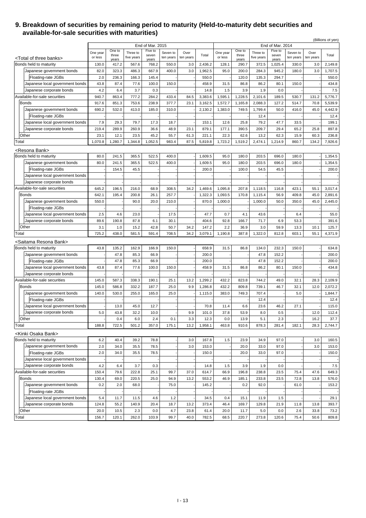#### **9. Breakdown of securities by remaining period to maturity (Held-to-maturity debt securities and available-for-sale securities with maturities)**

|                                         |                     |              |                        |                             |                       |                   |         |                     |         |                        |                             |                       |                   | (Billions of yen) |
|-----------------------------------------|---------------------|--------------|------------------------|-----------------------------|-----------------------|-------------------|---------|---------------------|---------|------------------------|-----------------------------|-----------------------|-------------------|-------------------|
|                                         |                     | One to       |                        | End of Mar. 2015<br>Five to |                       |                   |         |                     | One to  |                        | End of Mar. 2014<br>Five to |                       |                   |                   |
|                                         | One year<br>or less | three        | Three to<br>five years | seven                       | Seven to<br>ten years | Over<br>ten years | Total   | One year<br>or less | three   | Three to<br>five years | seven                       | Seven to<br>ten years | Over<br>ten years | Total             |
| <total banks="" of="" three=""></total> |                     | years        |                        | years                       |                       |                   |         |                     | years   |                        | years                       |                       |                   |                   |
| Bonds held to maturity                  | 130.0               | 417.2        | 567.6                  | 768.2                       | 550.0                 | 3.0               | 2,436.2 | 128.1               | 290.7   | 372.5                  | 1,025.4                     | 330.0                 | 3.0               | 2,149.8           |
| Japanese government bonds               | 82.0                | 323.3        | 486.3                  | 667.9                       | 400.0                 | 3.0               | 1,962.5 | 95.0                | 200.0   | 284.3                  | 945.2                       | 180.0                 | 3.0               | 1,707.5           |
| Floating-rate JGBs                      | 2.0                 | 236.3        | 166.3                  | 145.4                       |                       |                   | 550.0   |                     | 120.0   | 135.3                  | 294.7                       |                       |                   | 550.0             |
| Japanese local government bonds         | 43.8                | 87.4         | 77.6                   | 100.0                       | 150.0                 |                   | 458.9   | 31.5                | 86.8    | 86.2                   | 80.1                        | 150.0                 |                   | 434.8             |
| Japanese corporate bonds                | 4.2                 | 6.4          | 3.7                    | 0.3                         |                       |                   | 14.8    | 1.5                 | 3.9     | 1.9                    | 0.0                         |                       |                   | 7.5               |
| Available-for-sale securities           | 940.7               | 863.4        | 777.2                  | 284.2                       | 433.4                 | 84.5              | 3,383.6 | 1,595.1             | 1,228.5 | 2,101.6                | 189.5                       | 530.7                 | 131.2             | 5,776.7           |
| <b>Bonds</b>                            | 917.6               | 851.3        | 753.6                  | 238.9                       | 377.7                 | 23.1              | 3,162.5 | 1,572.7             | 1,165.8 | 2,088.3                | 127.2                       | 514.7                 | 70.8              | 5,539.9           |
| Japanese government bonds               | 690.2               | 532.0        | 413.0                  | 185.0                       | 310.0                 |                   | 2,130.2 | 1,383.0             | 749.5   | 1,799.4                | 50.0                        | 416.0                 | 45.0              | 4,442.9           |
| Floating-rate JGBs                      |                     |              |                        |                             |                       |                   |         |                     |         | 12.4                   |                             |                       |                   | 12.4              |
| Japanese local government bonds         | 7.9                 | 29.3         | 79.7                   | 17.3                        | 18.7                  |                   | 153.1   | 12.6                | 25.8    | 79.2                   | 47.7                        | 33.5                  |                   | 199.1             |
| Japanese corporate bonds                | 219.4               | 289.9        | 260.9                  | 36.6                        | 48.9                  | 23.1              | 879.1   | 177.1               | 390.5   | 209.7                  | 29.4                        | 65.2                  | 25.8              | 897.8             |
| Other                                   | 23.1                | 12.1         | 23.5                   | 45.2                        | 55.7                  | 61.3              | 221.1   | 22.3                | 62.6    | 13.2                   | 62.3                        | 15.9                  | 60.3              | 236.8             |
| Total                                   | 1,070.8             | 1,280.7      | 1,344.8                | 1,052.5                     | 983.4                 | 87.5              | 5,819.8 | 1,723.2             | 1,519.2 | 2,474.1                | 1,214.9                     | 860.7                 | 134.2             | 7,926.6           |
| <resona bank=""></resona>               |                     |              |                        |                             |                       |                   |         |                     |         |                        |                             |                       |                   |                   |
| Bonds held to maturity                  | 80.0                | 241.5        | 365.5                  | 522.5                       | 400.0                 |                   | 1,609.5 | 95.0                | 180.0   | 203.5                  | 696.0                       | 180.0                 |                   | 1,354.5           |
| Japanese government bonds               | 80.0                | 241.5        | 365.5                  | 522.5                       | 400.0                 |                   | 1,609.5 | 95.0                | 180.0   | 203.5                  | 696.0                       | 180.0                 |                   | 1,354.5           |
| Floating-rate JGBs                      |                     | 154.5        | 45.5                   |                             |                       |                   | 200.0   |                     | 100.0   | 54.5                   | 45.5                        |                       |                   | 200.0             |
| Japanese local government bonds         |                     |              |                        |                             |                       |                   |         |                     |         |                        |                             |                       |                   |                   |
| Japanese corporate bonds                |                     |              |                        |                             |                       |                   |         |                     |         |                        |                             |                       |                   |                   |
| Available-for-sale securities           | 645.2               | 196.5        | 216.0                  | 68.9                        | 308.5                 | 34.2              | 1,469.6 | 1,095.8             | 207.8   | 1,118.5                | 116.8                       | 423.1                 | 55.1              | 3,017.4           |
| <b>Bonds</b>                            | 642.1               | 195.4        | 200.8                  | 26.1                        | 257.7                 |                   | 1,322.3 | 1,093.5             | 170.8   | 1,115.4                | 56.9                        | 409.8                 | 45.0              | 2,891.6           |
| Japanese government bonds               | 550.0               |              | 90.0                   | 20.0                        | 210.0                 |                   | 870.0   | 1,000.0             |         | 1,000.0                | 50.0                        | 350.0                 | 45.0              | 2,445.0           |
| Floating-rate JGBs                      |                     |              |                        |                             |                       |                   |         |                     |         |                        |                             |                       |                   |                   |
| Japanese local government bonds         | 2.5                 | 4.6          | 23.0                   |                             | 17.5                  |                   | 47.7    | 0.7                 | 4.1     | 43.6                   |                             | 6.4                   |                   | 55.0              |
| Japanese corporate bonds                | 89.6                | 190.8        | 87.8                   | 6.1                         | 30.1                  |                   | 404.6   | 92.8                | 166.7   | 71.7                   | 6.9                         | 53.3                  |                   | 391.6             |
| Other                                   | 3.1                 |              | 15.2                   | 42.8                        | 50.7                  | 34.2              | 147.2   | 2.2                 | 36.9    | 3.0                    | 59.9                        | 13.3                  | 10.1              | 125.7             |
| Total                                   | 725.2               | 1.0<br>438.0 | 581.5                  | 591.4                       | 708.5                 | 34.2              | 3,079.1 | 1,190.8             | 387.8   | 1,322.0                | 812.8                       | 603.1                 | 55.1              | 4,371.9           |
|                                         |                     |              |                        |                             |                       |                   |         |                     |         |                        |                             |                       |                   |                   |
| <saitama bank="" resona=""></saitama>   |                     |              |                        |                             |                       |                   |         |                     |         |                        |                             |                       |                   |                   |
| Bonds held to maturity                  | 43.8                | 135.2        | 162.9                  | 166.9                       | 150.0                 |                   | 658.9   | 31.5                | 86.8    | 134.0                  | 232.3                       | 150.0                 |                   | 634.8             |
| Japanese government bonds               |                     | 47.8         | 85.3                   | 66.9                        |                       |                   | 200.0   |                     |         | 47.8                   | 152.2                       |                       |                   | 200.0             |
| Floating-rate JGBs                      |                     | 47.8         | 85.3                   | 66.9                        |                       |                   | 200.0   |                     |         | 47.8                   | 152.2                       |                       |                   | 200.0             |
| Japanese local government bonds         | 43.8                | 87.4         | 77.6                   | 100.0                       | 150.0                 |                   | 458.9   | 31.5                | 86.8    | 86.2                   | 80.1                        | 150.0                 |                   | 434.8             |
| Japanese corporate bonds                |                     |              |                        |                             |                       |                   |         |                     |         |                        |                             |                       |                   |                   |
| Available-for-sale securities           | 145.0               | 587.3        | 338.3                  | 190.1                       | 25.1                  | 13.2              | 1,299.2 | 432.2               | 823.8   | 744.2                  | 49.0                        | 32.1                  | 28.3              | 2,109.9           |
| <b>Bonds</b>                            | 145.0               | 586.8        | 332.2                  | 187.7                       | 25.0                  | 9.9               | 1,286.8 | 432.2               | 809.8   | 739.1                  | 46.7                        | 32.1                  | 12.0              | 2,072.2           |
| Japanese government bonds               | 140.0               | 530.0        | 255.0                  | 165.0                       | 25.0                  |                   | 1,115.0 | 383.0               | 749.3   | 707.4                  |                             | 5.0                   |                   | 1,844.7           |
| Floating-rate JGBs                      |                     |              |                        |                             |                       |                   |         |                     |         | 12.4                   |                             |                       |                   | 12.4              |
| Japanese local government bonds         |                     | 13.0         | 45.0                   | 12.7                        |                       |                   | 70.8    | 11.4                | 6.6     | 23.6                   | 46.2                        | 27.1                  |                   | 115.0             |
| Japanese corporate bonds                | 5.0                 | 43.8         | 32.2                   | 10.0                        |                       | 9.9               | 101.0   | 37.8                | 53.9    | 8.0                    | 0.5                         |                       | 12.0              | 112.4             |
| Other                                   |                     | 0.4          | 6.0                    | 2.4                         | 0.1                   | 3.3               | 12.3    | 0.0                 | 13.9    | 5.1                    | 2.3                         |                       | 16.2              | 37.7              |
| Total                                   | 188.8               | 722.5        | 501.2                  | 357.0                       | 175.1                 | 13.2              | 1,958.1 | 463.8               | 910.6   | 878.3                  | 281.4                       | 182.1                 | 28.3              | 2,744.7           |
| <kinki bank="" osaka=""></kinki>        |                     |              |                        |                             |                       |                   |         |                     |         |                        |                             |                       |                   |                   |
| Bonds held to maturity                  | 6.2                 | 40.4         | 39.2                   | 78.8                        |                       | 3.0               | 167.8   | 1.5                 | 23.9    | 34.9                   | 97.0                        |                       | 3.0               | 160.5             |
| Japanese government bonds               | 2.0                 | 34.0         | 35.5                   | 78.5                        |                       | 3.0               | 153.0   |                     | 20.0    | 33.0                   | 97.0                        |                       | 3.0               | 153.0             |
| Floating-rate JGBs                      | 2.0                 | 34.0         | 35.5                   | 78.5                        |                       |                   | 150.0   |                     | 20.0    | 33.0                   | 97.0                        |                       |                   | 150.0             |
| Japanese local government bonds         |                     |              |                        |                             |                       |                   |         |                     |         |                        |                             |                       |                   |                   |
|                                         |                     |              |                        |                             |                       |                   |         | 1.5                 |         |                        |                             |                       |                   |                   |
| Japanese corporate bonds                | 4.2                 | 6.4          | 3.7                    | 0.3                         |                       |                   | 14.8    |                     | 3.9     | 1.9                    | 0.0                         |                       |                   | 7.5               |
| Available-for-sale securities           | 150.4               | 79.6         | 222.8                  | 25.1                        | 99.7                  | 37.0              | 614.7   | 66.9                | 196.8   | 238.8                  | 23.5                        | 75.4                  | 47.6              | 649.3             |
| <b>Bonds</b>                            | 130.4               | 69.0         | 220.5                  | 25.0                        | 94.9                  | 13.2              | 553.2   | 46.9                | 185.1   | 233.8                  | 23.5                        | 72.8                  | 13.8              | 576.0             |
| Japanese government bonds               | 0.2                 | 2.0          | 68.0                   |                             | 75.0                  |                   | 145.2   |                     | 0.2     | 92.0                   |                             | 61.0                  |                   | 153.2             |
| Floating-rate JGBs                      |                     |              |                        |                             |                       |                   |         |                     |         |                        |                             |                       |                   |                   |
| Japanese local government bonds         | 5.4                 | 11.7         | 11.5                   | 4.6                         | 1.2                   |                   | 34.5    | 0.4                 | 15.1    | 11.9                   | 1.5                         |                       |                   | 29.1              |
| Japanese corporate bonds                | 124.8               | 55.2         | 140.9                  | 20.4                        | 18.7                  | 13.2              | 373.4   | 46.4                | 169.7   | 129.8                  | 21.9                        | 11.8                  | 13.8              | 393.7             |
| Other                                   | 20.0                | 10.5         | 2.3                    | 0.0                         | 4.7                   | 23.8              | 61.4    | 20.0                | 11.7    | 5.0                    | 0.0                         | 2.6                   | 33.8              | 73.2              |
| Total                                   | 156.7               | 120.1        | 262.0                  | 103.9                       | 99.7                  | 40.0              | 782.5   | 68.5                | 220.7   | 273.8                  | 120.6                       | 75.4                  | 50.6              | 809.8             |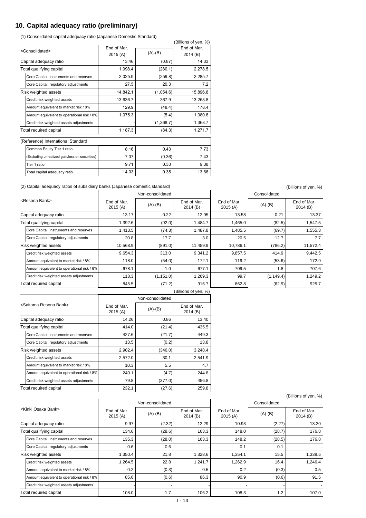### **10**.**Capital adequacy ratio (preliminary)**

(1) Consolidated capital adequacy ratio (Japanese Domestic Standard)

|                      |                                                |            | (Billions of yen, %) |            |  |
|----------------------|------------------------------------------------|------------|----------------------|------------|--|
|                      | <consolidated></consolidated>                  | Fnd of Mar |                      | Fnd of Mar |  |
|                      |                                                | 2015(A)    | $(A)-(B)$            | 2014 (B)   |  |
|                      | Capital adequacy ratio                         | 13.46      | (0.87)               | 14.33      |  |
|                      | Total qualifying capital                       | 1,998.4    | (280.1)              | 2,278.5    |  |
|                      | Core Capital: instruments and reserves         | 2,025.9    | (259.8)              | 2,285.7    |  |
|                      | Core Capital: regulatory adjustments           | 27.5       | 20.3                 | 7.2        |  |
| Risk weighted assets |                                                | 14,842.1   | (1,054.6)            | 15,896.8   |  |
|                      | Credit risk weighted assets                    | 13,636.7   | 367.9                | 13,268.8   |  |
|                      | Amount equivalent to market risk / 8%          | 129.9      | (48.4)               | 178.4      |  |
|                      | Amount equivalent to operational risk / 8%     | 1,075.3    | (5.4)                | 1,080.8    |  |
|                      | Credit risk weighted assets adjustments        |            | (1,368.7)            | 1,368.7    |  |
|                      | Total required capital                         | 1,187.3    | (84.3)               | 1,271.7    |  |
|                      | (Reference) International Standard             |            |                      |            |  |
|                      | Common Equity Tier 1 ratio                     | 8.16       | 0.43                 | 7.73       |  |
|                      | (Excluding unrealized gain/loss on securities) | 7.07       | (0.36)               | 7.43       |  |
|                      | Tier 1 ratio                                   | 9.71       | 0.33                 | 9.38       |  |
|                      | Total capital adequacy ratio                   | 14.03      | 0.35                 | 13.68      |  |

(2) Capital adequacy ratios of subsidiary banks (Japanese domestic standard) (Billions of yen, %)

|                        |                                            |                        | Non-consolidated |                        | Consolidated           |            |                        |  |
|------------------------|--------------------------------------------|------------------------|------------------|------------------------|------------------------|------------|------------------------|--|
|                        | l <resona bank=""></resona>                | End of Mar.<br>2015(A) | $(A)-(B)$        | End of Mar.<br>2014(B) | End of Mar.<br>2015(A) | $(A)-(B)$  | End of Mar.<br>2014(B) |  |
|                        | Capital adequacy ratio                     | 13.17                  | 0.22             | 12.95                  | 13.58                  | 0.21       | 13.37                  |  |
|                        | Total qualifying capital                   | 1,392.6                | (92.0)           | 1,484.7                | 1,465.0                | (82.5)     | 1,547.5                |  |
|                        | Core Capital: instruments and reserves     | 1,413.5                | (74.3)           | 1,487.8                | 1,485.5                | (69.7)     | 1,555.3                |  |
|                        | Core Capital: regulatory adjustments       | 20.8                   | 17.7             | 3.0                    | 20.5                   | 12.7       | 7.7                    |  |
|                        | <b>Risk weighted assets</b>                | 10,568.9               | (891.0)          | 11,459.9               | 10,786.1               | (786.2)    | 11,572.4               |  |
|                        | Credit risk weighted assets                | 9,654.3                | 313.0            | 9,341.2                | 9,857.5                | 414.9      | 9,442.5                |  |
|                        | Amount equivalent to market risk / 8%      | 118.0                  | (54.0)           | 172.1                  | 119.2                  | (53.6)     | 172.9                  |  |
|                        | Amount equivalent to operational risk / 8% | 678.1                  | 1.0              | 677.1                  | 709.5                  | 1.8        | 707.6                  |  |
|                        | Credit risk weighted assets adjustments    | 118.3                  | (1, 151.0)       | 1,269.3                | 99.7                   | (1, 149.4) | 1,249.2                |  |
| Total required capital |                                            | 845.5                  | (71.2)           | 916.7                  | 862.8                  | (62.9)     | 925.7                  |  |
|                        |                                            |                        |                  | $(Rillions$ of ven $%$ |                        |            |                        |  |

| נסק וויסע וט בווטוווען                     |                        |                  |                        |  |  |  |  |  |  |
|--------------------------------------------|------------------------|------------------|------------------------|--|--|--|--|--|--|
|                                            |                        | Non-consolidated |                        |  |  |  |  |  |  |
| <saitama bank="" resona=""></saitama>      | End of Mar.<br>2015(A) | $(A)-(B)$        | End of Mar.<br>2014(B) |  |  |  |  |  |  |
| Capital adequacy ratio                     | 14.26                  | 0.86             | 13.40                  |  |  |  |  |  |  |
| Total qualifying capital                   | 414.0                  | (21.4)           | 435.5                  |  |  |  |  |  |  |
| Core Capital: instruments and reserves     | 427.6                  | (21.7)           | 449.3                  |  |  |  |  |  |  |
| Core Capital: regulatory adjustments       | 13.5                   | (0.2)            | 13.8                   |  |  |  |  |  |  |
| Risk weighted assets                       | 2,902.4                | (346.0)          | 3,248.4                |  |  |  |  |  |  |
| Credit risk weighted assets                | 2,572.0                | 30.1             | 2,541.9                |  |  |  |  |  |  |
| Amount equivalent to market risk / 8%      | 10.3                   | 5.5              | 4.7                    |  |  |  |  |  |  |
| Amount equivalent to operational risk / 8% | 240.1                  | (4.7)            | 244.8                  |  |  |  |  |  |  |
| Credit risk weighted assets adjustments    | 79.8                   | (377.0)          | 456.8                  |  |  |  |  |  |  |
| Total required capital                     | 232.1                  | (27.6)           | 259.8                  |  |  |  |  |  |  |

|                                                 |                                             |                         |                  |                        |                        |           | (Billions of yen, %)   |  |
|-------------------------------------------------|---------------------------------------------|-------------------------|------------------|------------------------|------------------------|-----------|------------------------|--|
|                                                 |                                             |                         | Non-consolidated |                        | Consolidated           |           |                        |  |
|                                                 | <kinki bank="" osaka=""></kinki>            | End of Mar.<br>2015 (A) | $(A)-(B)$        | End of Mar.<br>2014(B) | End of Mar.<br>2015(A) | $(A)-(B)$ | End of Mar.<br>2014(B) |  |
|                                                 | Capital adequacy ratio                      | 9.97                    | (2.32)           | 12.29                  | 10.93                  | (2.27)    | 13.20                  |  |
|                                                 | (28.6)<br>Total qualifying capital<br>134.6 |                         | 163.3            | 148.0                  | (28.7)                 | 176.8     |                        |  |
|                                                 | Core Capital: instruments and reserves      | 135.3                   | (28.0)           | 163.3                  | 148.2                  | (28.5)    | 176.8                  |  |
|                                                 | Core Capital: regulatory adjustments        | 0.6                     | 0.6              |                        | 0.1                    | 0.1       |                        |  |
|                                                 | <b>Risk weighted assets</b>                 | 1,350.4                 | 21.8             | 1,328.6                | 1,354.1                | 15.5      | 1,338.5                |  |
|                                                 | Credit risk weighted assets                 | 1,264.5                 | 22.8             | 1,241.7                | 1,262.9                | 16.4      | 1,246.4                |  |
|                                                 | Amount equivalent to market risk / 8%       | 0.2                     | (0.3)            | 0.5                    | 0.2                    | (0.3)     | 0.5                    |  |
|                                                 | Amount equivalent to operational risk / 8%  | 85.6                    | (0.6)            | 86.3                   | 90.9                   | (0.6)     | 91.5                   |  |
|                                                 | Credit risk weighted assets adjustments     |                         |                  |                        |                        |           |                        |  |
| 1.7<br>Total required capital<br>106.2<br>108.0 |                                             |                         | 108.3            | 1.2                    | 107.0                  |           |                        |  |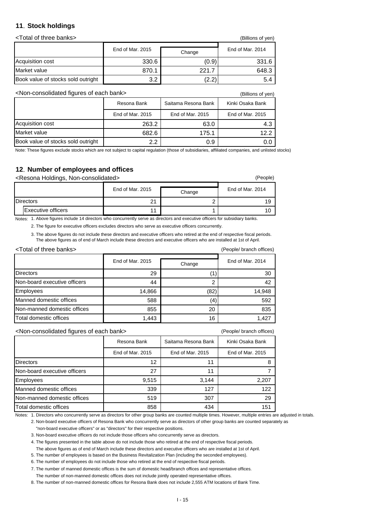#### **11**.**Stock holdings**

<Total of three banks> (Billions of yen)

**Change** 330.6 (0.9) 331.6 870.1 221.7 648.3  $3.2$  (2.2)  $5.4$ End of Mar. 2015 Change End of Mar. 2014 Book value of stocks sold outright Acquisition cost Market value

<Non-consolidated figures of each bank> (Billions of yen)

| וייט אי יט שוויש                   |                  |                     |                  |  |  |  |
|------------------------------------|------------------|---------------------|------------------|--|--|--|
|                                    | Resona Bank      | Saitama Resona Bank | Kinki Osaka Bank |  |  |  |
|                                    | End of Mar. 2015 | End of Mar. 2015    | End of Mar. 2015 |  |  |  |
| Acquisition cost                   | 263.2            | 63.0                | 4.3              |  |  |  |
| Market value                       | 682.6            | 175.1               | 12.2             |  |  |  |
| Book value of stocks sold outright | 2.2              | 0.9                 |                  |  |  |  |

Note: These figures exclude stocks which are not subject to capital regulation (those of subsidiaries, affiliated companies, and unlisted stocks)

#### **12**.**Number of employees and offices**

<Resona Holdings, Non-consolidated> (People)

|  |                           | End of Mar. 2015 | Change | End of Mar. 2014 |  |
|--|---------------------------|------------------|--------|------------------|--|
|  | <b>Directors</b>          | つ1<br>. <u>.</u> |        | 19               |  |
|  | <b>Executive officers</b> | 44               |        |                  |  |

Notes: 1. Above figures include 14 directors who concurrently serve as directors and executive officers for subsidiary banks.

2. The figure for executive officers excludes directors who serve as executive officers concurrently.

3. The above figures do not include these directors and executive officers who retired at the end of respective fiscal periods. The above figures as of end of March include these directors and executive officers who are installed at 1st of April.

| <total banks="" of="" three=""></total> |                            | (People/ branch offices) |                  |
|-----------------------------------------|----------------------------|--------------------------|------------------|
|                                         | End of Mar. 2015<br>Change |                          | End of Mar. 2014 |
| <b>Directors</b>                        | 29                         |                          | 30               |
| Non-board executive officers            | 44                         | ົ                        | 42               |
| Employees                               | 14,866                     | (82)                     | 14,948           |
| Manned domestic offices                 | 588                        | (4)                      | 592              |
| Non-manned domestic offices             | 855                        | 20                       | 835              |
| Total domestic offices                  | 1,443                      | 16                       | 1,427            |

<Non-consolidated figures of each bank> (People/ branch offices)

|                              | Resona Bank      | Saitama Resona Bank | Kinki Osaka Bank |
|------------------------------|------------------|---------------------|------------------|
|                              | End of Mar. 2015 | End of Mar. 2015    | End of Mar. 2015 |
| <b>Directors</b>             | 12               | 11                  | 8                |
| Non-board executive officers | 27               | 11                  |                  |
| <b>Employees</b>             | 9,515            | 3,144               | 2,207            |
| Manned domestic offices      | 339              | 127                 | 122              |
| Non-manned domestic offices  | 519              | 307                 | 29               |
| Total domestic offices       | 858              | 434                 | 151              |

Notes: 1. Directors who concurrently serve as directors for other group banks are counted multiple times. However, multiple entries are adjusted in totals.

2. Non-board executive officers of Resona Bank who concurrently serve as directors of other group banks are counted separately as "non-board executive officers" or as "directors" for their respective positions.

3. Non-board executive officers do not include those officers who concurrently serve as directors.

4. The figures presented in the table above do not include those who retired at the end of respective fiscal periods.

The above figures as of end of March include these directors and executive officers who are installed at 1st of April.

5. The number of employees is based on the Business Revitalization Plan (including the seconded employees).

6. The number of employees do not include those who retired at the end of respective fiscal periods.

7. The number of manned domestic offices is the sum of domestic head/branch offices and representative offices. The number of non-manned domestic offices does not include jointly operated representative offices.

8. The number of non-manned domestic offices for Resona Bank does not include 2,555 ATM locations of Bank Time.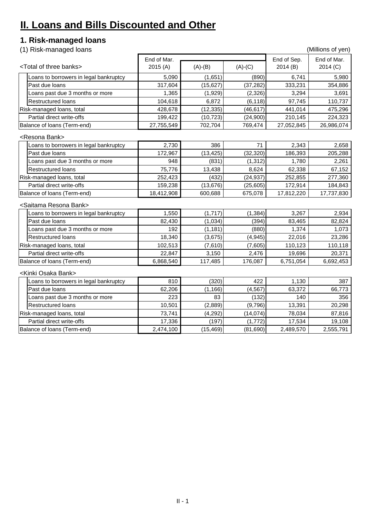# **II. Loans and Bills Discounted and Other**

# **1. Risk-managed loans**

(1) Risk-managed loans (Millions of yen)

|  |                                                                                                                                                                                                                                                                                                                                                                                                                                                                                                                                                                                                                                  | End of Mar. |           |           |                        | End of Mar. |
|--|----------------------------------------------------------------------------------------------------------------------------------------------------------------------------------------------------------------------------------------------------------------------------------------------------------------------------------------------------------------------------------------------------------------------------------------------------------------------------------------------------------------------------------------------------------------------------------------------------------------------------------|-------------|-----------|-----------|------------------------|-------------|
|  | <total banks="" of="" three=""><br/>oans to borrowers in legal bankruptcy<br/>Past due loans<br/>oans past due 3 months or more<br/><b>Restructured loans</b><br/>Risk-managed loans, total<br/>Partial direct write-offs<br/>Balance of loans (Term-end)<br/><resona bank=""><br/>oans to borrowers in legal bankruptcy<br/>Past due loans<br/>oans past due 3 months or more<br/><b>Restructured loans</b><br/>Risk-managed loans, total<br/>Partial direct write-offs<br/>Balance of loans (Term-end)<br/><saitama bank="" resona=""><br/>oans to borrowers in legal bankruptcy<br/>Past due loans</saitama></resona></total> | 2015(A)     | $(A)-(B)$ | $(A)-(C)$ | End of Sep.<br>2014(B) | 2014 (C)    |
|  |                                                                                                                                                                                                                                                                                                                                                                                                                                                                                                                                                                                                                                  | 5,090       | (1,651)   | (890)     | 6,741                  | 5,980       |
|  |                                                                                                                                                                                                                                                                                                                                                                                                                                                                                                                                                                                                                                  | 317,604     | (15, 627) | (37, 282) | 333,231                | 354,886     |
|  |                                                                                                                                                                                                                                                                                                                                                                                                                                                                                                                                                                                                                                  | 1,365       | (1,929)   | (2, 326)  | 3,294                  | 3,691       |
|  |                                                                                                                                                                                                                                                                                                                                                                                                                                                                                                                                                                                                                                  | 104,618     | 6,872     | (6, 118)  | 97,745                 | 110,737     |
|  |                                                                                                                                                                                                                                                                                                                                                                                                                                                                                                                                                                                                                                  | 428,678     | (12, 335) | (46, 617) | 441,014                | 475,296     |
|  |                                                                                                                                                                                                                                                                                                                                                                                                                                                                                                                                                                                                                                  | 199,422     | (10, 723) | (24,900)  | 210,145                | 224,323     |
|  |                                                                                                                                                                                                                                                                                                                                                                                                                                                                                                                                                                                                                                  | 27,755,549  | 702,704   | 769,474   | 27,052,845             | 26,986,074  |
|  |                                                                                                                                                                                                                                                                                                                                                                                                                                                                                                                                                                                                                                  |             |           |           |                        |             |
|  |                                                                                                                                                                                                                                                                                                                                                                                                                                                                                                                                                                                                                                  | 2,730       | 386       | 71        | 2,343                  | 2,658       |
|  |                                                                                                                                                                                                                                                                                                                                                                                                                                                                                                                                                                                                                                  | 172,967     | (13, 425) | (32, 320) | 186,393                | 205,288     |
|  |                                                                                                                                                                                                                                                                                                                                                                                                                                                                                                                                                                                                                                  | 948         | (831)     | (1, 312)  | 1,780                  | 2,261       |
|  |                                                                                                                                                                                                                                                                                                                                                                                                                                                                                                                                                                                                                                  | 75,776      | 13,438    | 8,624     | 62,338                 | 67,152      |
|  |                                                                                                                                                                                                                                                                                                                                                                                                                                                                                                                                                                                                                                  | 252,423     | (432)     | (24, 937) | 252,855                | 277,360     |
|  |                                                                                                                                                                                                                                                                                                                                                                                                                                                                                                                                                                                                                                  | 159,238     | (13, 676) | (25, 605) | 172,914                | 184,843     |
|  |                                                                                                                                                                                                                                                                                                                                                                                                                                                                                                                                                                                                                                  | 18,412,908  | 600,688   | 675,078   | 17,812,220             | 17,737,830  |
|  |                                                                                                                                                                                                                                                                                                                                                                                                                                                                                                                                                                                                                                  |             |           |           |                        |             |
|  |                                                                                                                                                                                                                                                                                                                                                                                                                                                                                                                                                                                                                                  | 1,550       | (1,717)   | (1, 384)  | 3,267                  | 2,934       |
|  |                                                                                                                                                                                                                                                                                                                                                                                                                                                                                                                                                                                                                                  | 82,430      | (1,034)   | (394)     | 83,465                 | 82,824      |
|  | Loans past due 3 months or more                                                                                                                                                                                                                                                                                                                                                                                                                                                                                                                                                                                                  | 192         | (1, 181)  | (880)     | 1,374                  | 1,073       |
|  | <b>Restructured loans</b>                                                                                                                                                                                                                                                                                                                                                                                                                                                                                                                                                                                                        | 18,340      | (3,675)   | (4, 945)  | 22,016                 | 23,286      |
|  | Risk-managed loans, total                                                                                                                                                                                                                                                                                                                                                                                                                                                                                                                                                                                                        | 102,513     | (7,610)   | (7,605)   | 110,123                | 110,118     |
|  | Partial direct write-offs                                                                                                                                                                                                                                                                                                                                                                                                                                                                                                                                                                                                        | 22,847      | 3,150     | 2,476     | 19,696                 | 20,371      |
|  | Balance of loans (Term-end)                                                                                                                                                                                                                                                                                                                                                                                                                                                                                                                                                                                                      | 6,868,540   | 117,485   | 176,087   | 6,751,054              | 6,692,453   |
|  | <kinki bank="" osaka=""></kinki>                                                                                                                                                                                                                                                                                                                                                                                                                                                                                                                                                                                                 |             |           |           |                        |             |
|  | oans to borrowers in legal bankruptcy.                                                                                                                                                                                                                                                                                                                                                                                                                                                                                                                                                                                           | 810         | (320)     | 422       | 1,130                  | 387         |
|  | Past due loans                                                                                                                                                                                                                                                                                                                                                                                                                                                                                                                                                                                                                   | 62,206      | (1, 166)  | (4, 567)  | 63,372                 | 66,773      |
|  | Loans past due 3 months or more                                                                                                                                                                                                                                                                                                                                                                                                                                                                                                                                                                                                  | 223         | 83        | (132)     | 140                    | 356         |
|  | <b>Restructured loans</b>                                                                                                                                                                                                                                                                                                                                                                                                                                                                                                                                                                                                        | 10,501      | (2,889)   | (9,796)   | 13,391                 | 20,298      |
|  | Risk-managed loans, total                                                                                                                                                                                                                                                                                                                                                                                                                                                                                                                                                                                                        | 73,741      | (4,292)   | (14, 074) | 78,034                 | 87,816      |
|  | Partial direct write-offs                                                                                                                                                                                                                                                                                                                                                                                                                                                                                                                                                                                                        | 17,336      | (197)     | (1,772)   | 17,534                 | 19,108      |
|  | Balance of loans (Term-end)                                                                                                                                                                                                                                                                                                                                                                                                                                                                                                                                                                                                      | 2,474,100   | (15, 469) | (81,690)  | 2,489,570              | 2,555,791   |
|  |                                                                                                                                                                                                                                                                                                                                                                                                                                                                                                                                                                                                                                  |             |           |           |                        |             |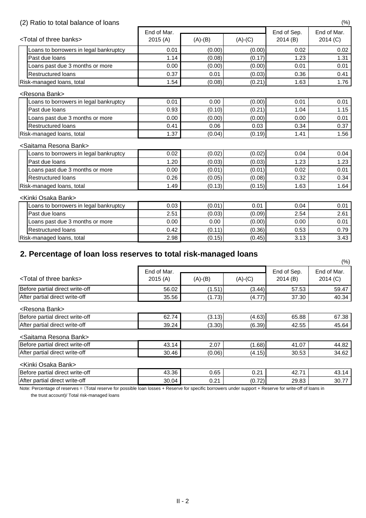### (2) Ratio to total balance of loans (%)

|                                         | End of Mar. |           |           |                        | End of Mar. |  |
|-----------------------------------------|-------------|-----------|-----------|------------------------|-------------|--|
| <total banks="" of="" three=""></total> | 2015(A)     | $(A)-(B)$ | $(A)-(C)$ | End of Sep.<br>2014(B) | 2014 (C)    |  |
| Loans to borrowers in legal bankruptcy  | 0.01        | (0.00)    | (0.00)    | 0.02                   | 0.02        |  |
| Past due loans                          | 1.14        | (0.08)    | (0.17)    | 1.23                   | 1.31        |  |
| coans past due 3 months or more         | 0.00        | (0.00)    | (0.00)    | 0.01                   | 0.01        |  |
| <b>Restructured loans</b>               | 0.37        | 0.01      | (0.03)    | 0.36                   | 0.41        |  |
| Risk-managed loans, total               | 1.54        | (0.08)    | (0.21)    | 1.63                   | 1.76        |  |
| <resona bank=""></resona>               |             |           |           |                        |             |  |
| Loans to borrowers in legal bankruptcy  | 0.01        | 0.00      | (0.00)    | 0.01                   | 0.01        |  |
| Past due loans                          | 0.93        | (0.10)    | (0.21)    | 1.04                   | 1.15        |  |
| Loans past due 3 months or more         | 0.00        | (0.00)    | (0.00)    | 0.00                   | 0.01        |  |
| <b>Restructured loans</b>               | 0.41        | 0.06      | 0.03      | 0.34                   | 0.37        |  |
| Risk-managed loans, total               | 1.37        | (0.04)    | (0.19)    | 1.41                   | 1.56        |  |
| <saitama bank="" resona=""></saitama>   |             |           |           |                        |             |  |
| oans to borrowers in legal bankruptcy.  | 0.02        | (0.02)    | (0.02)    | 0.04                   | 0.04        |  |
| Past due loans                          | 1.20        | (0.03)    | (0.03)    | 1.23                   | 1.23        |  |
| Loans past due 3 months or more         | 0.00        | (0.01)    | (0.01)    | 0.02                   | 0.01        |  |
| <b>Restructured loans</b>               | 0.26        | (0.05)    | (0.08)    | 0.32                   | 0.34        |  |
| Risk-managed loans, total               | 1.49        | (0.13)    | (0.15)    | 1.63                   | 1.64        |  |
| <kinki bank="" osaka=""></kinki>        |             |           |           |                        |             |  |
| oans to borrowers in legal bankruptcy   | 0.03        | (0.01)    | 0.01      | 0.04                   | 0.01        |  |
| Past due loans                          | 2.51        | (0.03)    | (0.09)    | 2.54                   | 2.61        |  |
| Loans past due 3 months or more         | 0.00        | 0.00      | (0.00)    | 0.00                   | 0.01        |  |
| <b>Restructured loans</b>               | 0.42        | (0.11)    | (0.36)    | 0.53                   | 0.79        |  |
| Risk-managed loans, total               | 2.98        | (0.15)    | (0.45)    | 3.13                   | 3.43        |  |

# **2. Percentage of loan loss reserves to total risk-managed loans**

Note: Percentage of reserves = (Total reserve for possible loan losses + Reserve for specific borrowers under support + Reserve for write-off of loans in

|                                         |                        |           |           |                        | $(\%)$                  |
|-----------------------------------------|------------------------|-----------|-----------|------------------------|-------------------------|
| <total banks="" of="" three=""></total> | End of Mar.<br>2015(A) | $(A)-(B)$ | $(A)-(C)$ | End of Sep.<br>2014(B) | End of Mar.<br>2014 (C) |
| Before partial direct write-off         | 56.02                  | (1.51)    | (3.44)    | 57.53                  | 59.47                   |
| After partial direct write-off          | 35.56                  | (1.73)    | (4.77)    | 37.30                  | 40.34                   |
| <resona bank=""></resona>               |                        |           |           |                        |                         |
| Before partial direct write-off         | 62.74                  | (3.13)    | (4.63)    | 65.88                  | 67.38                   |
| After partial direct write-off          | 39.24                  | (3.30)    | (6.39)    | 42.55                  | 45.64                   |
| <saitama bank="" resona=""></saitama>   |                        |           |           |                        |                         |
| Before partial direct write-off         | 43.14                  | 2.07      | (1.68)    | 41.07                  | 44.82                   |
| After partial direct write-off          | 30.46                  | (0.06)    | (4.15)    | 30.53                  | 34.62                   |
| <kinki bank="" osaka=""></kinki>        |                        |           |           |                        |                         |
| Before partial direct write-off         | 43.36                  | 0.65      | 0.21      | 42.71                  | 43.14                   |
| After partial direct write-off          | 30.04                  | 0.21      | (0.72)    | 29.83                  | 30.77                   |

the trust account)/ Total risk-managed loans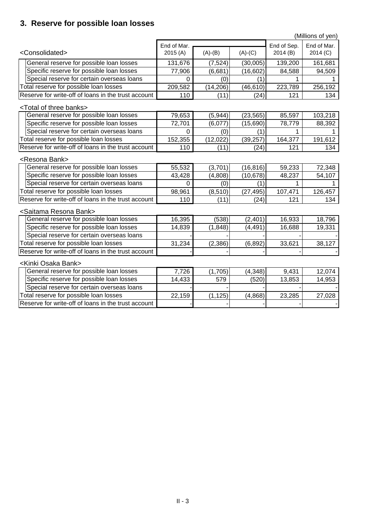# **3. Reserve for possible loan losses**

|                                                     |                |           |                   |             | (Millions of yen) |
|-----------------------------------------------------|----------------|-----------|-------------------|-------------|-------------------|
|                                                     | End of Mar.    |           |                   | End of Sep. | End of Mar.       |
| <consolidated></consolidated>                       | 2015(A)        | $(A)-(B)$ | $(A)-(C)$         | 2014(B)     | 2014 (C)          |
| General reserve for possible loan losses            | 131,676        | (7, 524)  | (30,005)          | 139,200     | 161,681           |
| Specific reserve for possible loan losses           | 77,906         | (6,681)   | (16, 602)         | 84,588      | 94,509            |
| Special reserve for certain overseas loans          | 0              | (0)       | $\left( 1\right)$ |             |                   |
| Total reserve for possible loan losses              | 209,582        | (14, 206) | (46, 610)         | 223,789     | 256,192           |
| Reserve for write-off of loans in the trust account | 110            | (11)      | (24)              | 121         | 134               |
| <total banks="" of="" three=""></total>             |                |           |                   |             |                   |
| General reserve for possible loan losses            | 79,653         | (5, 944)  | (23, 565)         | 85,597      | 103,218           |
| Specific reserve for possible loan losses           | 72,701         | (6,077)   | (15, 690)         | 78,779      | 88,392            |
| Special reserve for certain overseas loans          | $\overline{0}$ | (0)       | (1)               |             |                   |
| Total reserve for possible loan losses              | 152,355        | (12, 022) | (39, 257)         | 164,377     | 191,612           |
| Reserve for write-off of loans in the trust account | 110            | (11)      | (24)              | 121         | 134               |
| <resona bank=""></resona>                           |                |           |                   |             |                   |
| General reserve for possible loan losses            | 55,532         | (3,701)   | (16, 816)         | 59,233      | 72,348            |
| Specific reserve for possible loan losses           | 43,428         | (4,808)   | (10, 678)         | 48,237      | 54,107            |
| Special reserve for certain overseas loans          | $\overline{0}$ | (0)       | (1)               |             |                   |
| Total reserve for possible loan losses              | 98,961         | (8, 510)  | (27, 495)         | 107,471     | 126,457           |
| Reserve for write-off of loans in the trust account | 110            | (11)      | (24)              | 121         | 134               |
| <saitama bank="" resona=""></saitama>               |                |           |                   |             |                   |
| General reserve for possible loan losses            | 16,395         | (538)     | (2,401)           | 16,933      | 18,796            |
| Specific reserve for possible loan losses           | 14,839         | (1,848)   | (4, 491)          | 16,688      | 19,331            |
| Special reserve for certain overseas loans          |                |           |                   |             |                   |
| Total reserve for possible loan losses              | 31,234         | (2,386)   | (6, 892)          | 33,621      | 38,127            |
| Reserve for write-off of loans in the trust account |                |           |                   |             |                   |
| <kinki bank="" osaka=""></kinki>                    |                |           |                   |             |                   |
| General reserve for possible loan losses            | 7,726          | (1,705)   | (4, 348)          | 9,431       | 12,074            |
| Specific reserve for possible loan losses           | 14,433         | 579       | (520)             | 13,853      | 14,953            |
| Special reserve for certain overseas loans          |                |           |                   |             |                   |
| Total reserve for possible loan losses              | 22,159         | (1, 125)  | (4,868)           | 23,285      | 27,028            |
| Reserve for write-off of loans in the trust account |                |           |                   |             |                   |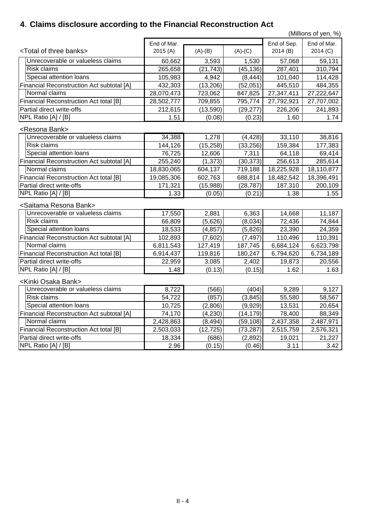# **4**.**Claims disclosure according to the Financial Reconstruction Act**

(Millions of yen, %)

| <total banks="" of="" three=""><br/>2015(A)<br/><math>(A)-(C)</math><br/>2014 (C)<br/><math>(A)-(B)</math><br/>2014(B)<br/>Unrecoverable or valueless claims<br/>3,593<br/>1,530<br/>57,068<br/>59,131<br/>60,662<br/><b>Risk claims</b><br/>(45, 136)<br/>287,401<br/>310,794<br/>265,658<br/>(21, 743)<br/>Special attention loans<br/>(8, 444)<br/>101,040<br/>114,428<br/>105,983<br/>4,942<br/>484,355<br/><b>Financial Reconstruction Act subtotal [A]</b><br/>432,303<br/>(13,206)<br/>(52,051)<br/>445,510<br/>Normal claims<br/>28,070,473<br/>723,062<br/>27,347,411<br/>27,222,647<br/>847,825<br/><b>Financial Reconstruction Act total [B]</b><br/>28,502,777<br/>709,855<br/>27,792,921<br/>795,774<br/>27,707,002<br/>Partial direct write-offs<br/>212,615<br/>(13, 590)<br/>226,206<br/>241,893<br/>(29, 277)<br/>NPL Ratio [A] / [B]<br/>1.51<br/>(0.08)<br/>(0.23)<br/>1.74<br/>1.60<br/><resona bank=""><br/>Unrecoverable or valueless claims<br/>34,388<br/>33,110<br/>38,816<br/>1,278<br/>(4, 428)<br/><b>Risk claims</b><br/>144,126<br/>(15, 258)<br/>(33, 256)<br/>159,384<br/>177,383<br/>Special attention loans<br/>12,606<br/>69,414<br/>76,725<br/>7,311<br/>64,118<br/><b>Financial Reconstruction Act subtotal [A]</b><br/>255,240<br/>(1, 373)<br/>(30, 373)<br/>256,613<br/>285,614<br/>Normal claims<br/>18,830,065<br/>18,225,928<br/>604,137<br/>719,188<br/>18,110,877<br/><b>Financial Reconstruction Act total [B]</b><br/>19,085,306<br/>602,763<br/>688,814<br/>18,482,542<br/>18,396,491<br/>Partial direct write-offs<br/>171,321<br/>(15,988)<br/>187,310<br/>200,109<br/>(28, 787)<br/>NPL Ratio <math>[A]/[B]</math><br/>1.38<br/>1.55<br/>1.33<br/>(0.05)<br/>(0.21)<br/><saitama bank="" resona=""><br/>Unrecoverable or valueless claims<br/>2,881<br/>6,363<br/>14,668<br/>11,187<br/>17,550<br/><b>Risk claims</b><br/>(5,626)<br/>(8,034)<br/>72,436<br/>66,809<br/>74,844<br/>Special attention loans<br/>23,390<br/>18,533<br/>(4, 857)<br/>(5,826)<br/>24,359<br/><b>Financial Reconstruction Act subtotal [A]</b><br/>102,893<br/>(7,602)<br/>(7, 497)<br/>110,496<br/>110,391<br/>Normal claims<br/>127,419<br/>187,745<br/>6,684,124<br/>6,811,543<br/>6,623,798<br/>119,816<br/>6,734,189<br/><b>Financial Reconstruction Act total [B]</b><br/>6,914,437<br/>180,247<br/>6,794,620<br/>Partial direct write-offs<br/>3,085<br/>19,873<br/>22,959<br/>2,402<br/>20,556<br/>NPL Ratio [A] / [B]<br/>(0.13)<br/>1.62<br/>(0.15)<br/>1.63<br/>1.48<br/><kinki bank="" osaka=""><br/>Unrecoverable or valueless claims<br/>8,722<br/>(566)<br/>9,127<br/>(404)<br/>9,289<br/><b>Risk claims</b><br/>54,722<br/>(857)<br/>55,580<br/>58,567<br/>(3, 845)<br/>Special attention loans<br/>13,531<br/>10,725<br/>(2,806)<br/>(9,929)<br/>20,654<br/><b>Financial Reconstruction Act subtotal [A]</b><br/>74,170<br/>(4,230)<br/>(14, 179)<br/>78,400<br/>88,349<br/>Normal claims<br/>2,428,863<br/>2,437,358<br/>(8, 494)<br/>(59,108)<br/>2,487,971<br/><b>Financial Reconstruction Act total [B]</b><br/>2,503,033<br/>(12, 725)<br/>(73, 287)<br/>2,515,759<br/>2,576,321<br/>Partial direct write-offs<br/>(686)<br/>18,334<br/>(2,892)<br/>19,021<br/>21,227<br/>NPL Ratio [A] / [B]<br/>2.96<br/>3.11<br/>(0.15)<br/>(0.46)<br/>3.42</kinki></saitama></resona></total> | End of Mar. |  | End of Sep. | End of Mar. |  |
|---------------------------------------------------------------------------------------------------------------------------------------------------------------------------------------------------------------------------------------------------------------------------------------------------------------------------------------------------------------------------------------------------------------------------------------------------------------------------------------------------------------------------------------------------------------------------------------------------------------------------------------------------------------------------------------------------------------------------------------------------------------------------------------------------------------------------------------------------------------------------------------------------------------------------------------------------------------------------------------------------------------------------------------------------------------------------------------------------------------------------------------------------------------------------------------------------------------------------------------------------------------------------------------------------------------------------------------------------------------------------------------------------------------------------------------------------------------------------------------------------------------------------------------------------------------------------------------------------------------------------------------------------------------------------------------------------------------------------------------------------------------------------------------------------------------------------------------------------------------------------------------------------------------------------------------------------------------------------------------------------------------------------------------------------------------------------------------------------------------------------------------------------------------------------------------------------------------------------------------------------------------------------------------------------------------------------------------------------------------------------------------------------------------------------------------------------------------------------------------------------------------------------------------------------------------------------------------------------------------------------------------------------------------------------------------------------------------------------------------------------------------------------------------------------------------------------------------------------------------------------------------------------------------------------------------------------------------------------------------------------------------------------------------------------------------------------------------------------------------------------------------------------------------------------------------------------------------------------------------------------------------------------------------------------------------------------------------|-------------|--|-------------|-------------|--|
|                                                                                                                                                                                                                                                                                                                                                                                                                                                                                                                                                                                                                                                                                                                                                                                                                                                                                                                                                                                                                                                                                                                                                                                                                                                                                                                                                                                                                                                                                                                                                                                                                                                                                                                                                                                                                                                                                                                                                                                                                                                                                                                                                                                                                                                                                                                                                                                                                                                                                                                                                                                                                                                                                                                                                                                                                                                                                                                                                                                                                                                                                                                                                                                                                                                                                                                                       |             |  |             |             |  |
|                                                                                                                                                                                                                                                                                                                                                                                                                                                                                                                                                                                                                                                                                                                                                                                                                                                                                                                                                                                                                                                                                                                                                                                                                                                                                                                                                                                                                                                                                                                                                                                                                                                                                                                                                                                                                                                                                                                                                                                                                                                                                                                                                                                                                                                                                                                                                                                                                                                                                                                                                                                                                                                                                                                                                                                                                                                                                                                                                                                                                                                                                                                                                                                                                                                                                                                                       |             |  |             |             |  |
|                                                                                                                                                                                                                                                                                                                                                                                                                                                                                                                                                                                                                                                                                                                                                                                                                                                                                                                                                                                                                                                                                                                                                                                                                                                                                                                                                                                                                                                                                                                                                                                                                                                                                                                                                                                                                                                                                                                                                                                                                                                                                                                                                                                                                                                                                                                                                                                                                                                                                                                                                                                                                                                                                                                                                                                                                                                                                                                                                                                                                                                                                                                                                                                                                                                                                                                                       |             |  |             |             |  |
|                                                                                                                                                                                                                                                                                                                                                                                                                                                                                                                                                                                                                                                                                                                                                                                                                                                                                                                                                                                                                                                                                                                                                                                                                                                                                                                                                                                                                                                                                                                                                                                                                                                                                                                                                                                                                                                                                                                                                                                                                                                                                                                                                                                                                                                                                                                                                                                                                                                                                                                                                                                                                                                                                                                                                                                                                                                                                                                                                                                                                                                                                                                                                                                                                                                                                                                                       |             |  |             |             |  |
|                                                                                                                                                                                                                                                                                                                                                                                                                                                                                                                                                                                                                                                                                                                                                                                                                                                                                                                                                                                                                                                                                                                                                                                                                                                                                                                                                                                                                                                                                                                                                                                                                                                                                                                                                                                                                                                                                                                                                                                                                                                                                                                                                                                                                                                                                                                                                                                                                                                                                                                                                                                                                                                                                                                                                                                                                                                                                                                                                                                                                                                                                                                                                                                                                                                                                                                                       |             |  |             |             |  |
|                                                                                                                                                                                                                                                                                                                                                                                                                                                                                                                                                                                                                                                                                                                                                                                                                                                                                                                                                                                                                                                                                                                                                                                                                                                                                                                                                                                                                                                                                                                                                                                                                                                                                                                                                                                                                                                                                                                                                                                                                                                                                                                                                                                                                                                                                                                                                                                                                                                                                                                                                                                                                                                                                                                                                                                                                                                                                                                                                                                                                                                                                                                                                                                                                                                                                                                                       |             |  |             |             |  |
|                                                                                                                                                                                                                                                                                                                                                                                                                                                                                                                                                                                                                                                                                                                                                                                                                                                                                                                                                                                                                                                                                                                                                                                                                                                                                                                                                                                                                                                                                                                                                                                                                                                                                                                                                                                                                                                                                                                                                                                                                                                                                                                                                                                                                                                                                                                                                                                                                                                                                                                                                                                                                                                                                                                                                                                                                                                                                                                                                                                                                                                                                                                                                                                                                                                                                                                                       |             |  |             |             |  |
|                                                                                                                                                                                                                                                                                                                                                                                                                                                                                                                                                                                                                                                                                                                                                                                                                                                                                                                                                                                                                                                                                                                                                                                                                                                                                                                                                                                                                                                                                                                                                                                                                                                                                                                                                                                                                                                                                                                                                                                                                                                                                                                                                                                                                                                                                                                                                                                                                                                                                                                                                                                                                                                                                                                                                                                                                                                                                                                                                                                                                                                                                                                                                                                                                                                                                                                                       |             |  |             |             |  |
|                                                                                                                                                                                                                                                                                                                                                                                                                                                                                                                                                                                                                                                                                                                                                                                                                                                                                                                                                                                                                                                                                                                                                                                                                                                                                                                                                                                                                                                                                                                                                                                                                                                                                                                                                                                                                                                                                                                                                                                                                                                                                                                                                                                                                                                                                                                                                                                                                                                                                                                                                                                                                                                                                                                                                                                                                                                                                                                                                                                                                                                                                                                                                                                                                                                                                                                                       |             |  |             |             |  |
|                                                                                                                                                                                                                                                                                                                                                                                                                                                                                                                                                                                                                                                                                                                                                                                                                                                                                                                                                                                                                                                                                                                                                                                                                                                                                                                                                                                                                                                                                                                                                                                                                                                                                                                                                                                                                                                                                                                                                                                                                                                                                                                                                                                                                                                                                                                                                                                                                                                                                                                                                                                                                                                                                                                                                                                                                                                                                                                                                                                                                                                                                                                                                                                                                                                                                                                                       |             |  |             |             |  |
|                                                                                                                                                                                                                                                                                                                                                                                                                                                                                                                                                                                                                                                                                                                                                                                                                                                                                                                                                                                                                                                                                                                                                                                                                                                                                                                                                                                                                                                                                                                                                                                                                                                                                                                                                                                                                                                                                                                                                                                                                                                                                                                                                                                                                                                                                                                                                                                                                                                                                                                                                                                                                                                                                                                                                                                                                                                                                                                                                                                                                                                                                                                                                                                                                                                                                                                                       |             |  |             |             |  |
|                                                                                                                                                                                                                                                                                                                                                                                                                                                                                                                                                                                                                                                                                                                                                                                                                                                                                                                                                                                                                                                                                                                                                                                                                                                                                                                                                                                                                                                                                                                                                                                                                                                                                                                                                                                                                                                                                                                                                                                                                                                                                                                                                                                                                                                                                                                                                                                                                                                                                                                                                                                                                                                                                                                                                                                                                                                                                                                                                                                                                                                                                                                                                                                                                                                                                                                                       |             |  |             |             |  |
|                                                                                                                                                                                                                                                                                                                                                                                                                                                                                                                                                                                                                                                                                                                                                                                                                                                                                                                                                                                                                                                                                                                                                                                                                                                                                                                                                                                                                                                                                                                                                                                                                                                                                                                                                                                                                                                                                                                                                                                                                                                                                                                                                                                                                                                                                                                                                                                                                                                                                                                                                                                                                                                                                                                                                                                                                                                                                                                                                                                                                                                                                                                                                                                                                                                                                                                                       |             |  |             |             |  |
|                                                                                                                                                                                                                                                                                                                                                                                                                                                                                                                                                                                                                                                                                                                                                                                                                                                                                                                                                                                                                                                                                                                                                                                                                                                                                                                                                                                                                                                                                                                                                                                                                                                                                                                                                                                                                                                                                                                                                                                                                                                                                                                                                                                                                                                                                                                                                                                                                                                                                                                                                                                                                                                                                                                                                                                                                                                                                                                                                                                                                                                                                                                                                                                                                                                                                                                                       |             |  |             |             |  |
|                                                                                                                                                                                                                                                                                                                                                                                                                                                                                                                                                                                                                                                                                                                                                                                                                                                                                                                                                                                                                                                                                                                                                                                                                                                                                                                                                                                                                                                                                                                                                                                                                                                                                                                                                                                                                                                                                                                                                                                                                                                                                                                                                                                                                                                                                                                                                                                                                                                                                                                                                                                                                                                                                                                                                                                                                                                                                                                                                                                                                                                                                                                                                                                                                                                                                                                                       |             |  |             |             |  |
|                                                                                                                                                                                                                                                                                                                                                                                                                                                                                                                                                                                                                                                                                                                                                                                                                                                                                                                                                                                                                                                                                                                                                                                                                                                                                                                                                                                                                                                                                                                                                                                                                                                                                                                                                                                                                                                                                                                                                                                                                                                                                                                                                                                                                                                                                                                                                                                                                                                                                                                                                                                                                                                                                                                                                                                                                                                                                                                                                                                                                                                                                                                                                                                                                                                                                                                                       |             |  |             |             |  |
|                                                                                                                                                                                                                                                                                                                                                                                                                                                                                                                                                                                                                                                                                                                                                                                                                                                                                                                                                                                                                                                                                                                                                                                                                                                                                                                                                                                                                                                                                                                                                                                                                                                                                                                                                                                                                                                                                                                                                                                                                                                                                                                                                                                                                                                                                                                                                                                                                                                                                                                                                                                                                                                                                                                                                                                                                                                                                                                                                                                                                                                                                                                                                                                                                                                                                                                                       |             |  |             |             |  |
|                                                                                                                                                                                                                                                                                                                                                                                                                                                                                                                                                                                                                                                                                                                                                                                                                                                                                                                                                                                                                                                                                                                                                                                                                                                                                                                                                                                                                                                                                                                                                                                                                                                                                                                                                                                                                                                                                                                                                                                                                                                                                                                                                                                                                                                                                                                                                                                                                                                                                                                                                                                                                                                                                                                                                                                                                                                                                                                                                                                                                                                                                                                                                                                                                                                                                                                                       |             |  |             |             |  |
|                                                                                                                                                                                                                                                                                                                                                                                                                                                                                                                                                                                                                                                                                                                                                                                                                                                                                                                                                                                                                                                                                                                                                                                                                                                                                                                                                                                                                                                                                                                                                                                                                                                                                                                                                                                                                                                                                                                                                                                                                                                                                                                                                                                                                                                                                                                                                                                                                                                                                                                                                                                                                                                                                                                                                                                                                                                                                                                                                                                                                                                                                                                                                                                                                                                                                                                                       |             |  |             |             |  |
|                                                                                                                                                                                                                                                                                                                                                                                                                                                                                                                                                                                                                                                                                                                                                                                                                                                                                                                                                                                                                                                                                                                                                                                                                                                                                                                                                                                                                                                                                                                                                                                                                                                                                                                                                                                                                                                                                                                                                                                                                                                                                                                                                                                                                                                                                                                                                                                                                                                                                                                                                                                                                                                                                                                                                                                                                                                                                                                                                                                                                                                                                                                                                                                                                                                                                                                                       |             |  |             |             |  |
|                                                                                                                                                                                                                                                                                                                                                                                                                                                                                                                                                                                                                                                                                                                                                                                                                                                                                                                                                                                                                                                                                                                                                                                                                                                                                                                                                                                                                                                                                                                                                                                                                                                                                                                                                                                                                                                                                                                                                                                                                                                                                                                                                                                                                                                                                                                                                                                                                                                                                                                                                                                                                                                                                                                                                                                                                                                                                                                                                                                                                                                                                                                                                                                                                                                                                                                                       |             |  |             |             |  |
|                                                                                                                                                                                                                                                                                                                                                                                                                                                                                                                                                                                                                                                                                                                                                                                                                                                                                                                                                                                                                                                                                                                                                                                                                                                                                                                                                                                                                                                                                                                                                                                                                                                                                                                                                                                                                                                                                                                                                                                                                                                                                                                                                                                                                                                                                                                                                                                                                                                                                                                                                                                                                                                                                                                                                                                                                                                                                                                                                                                                                                                                                                                                                                                                                                                                                                                                       |             |  |             |             |  |
|                                                                                                                                                                                                                                                                                                                                                                                                                                                                                                                                                                                                                                                                                                                                                                                                                                                                                                                                                                                                                                                                                                                                                                                                                                                                                                                                                                                                                                                                                                                                                                                                                                                                                                                                                                                                                                                                                                                                                                                                                                                                                                                                                                                                                                                                                                                                                                                                                                                                                                                                                                                                                                                                                                                                                                                                                                                                                                                                                                                                                                                                                                                                                                                                                                                                                                                                       |             |  |             |             |  |
|                                                                                                                                                                                                                                                                                                                                                                                                                                                                                                                                                                                                                                                                                                                                                                                                                                                                                                                                                                                                                                                                                                                                                                                                                                                                                                                                                                                                                                                                                                                                                                                                                                                                                                                                                                                                                                                                                                                                                                                                                                                                                                                                                                                                                                                                                                                                                                                                                                                                                                                                                                                                                                                                                                                                                                                                                                                                                                                                                                                                                                                                                                                                                                                                                                                                                                                                       |             |  |             |             |  |
|                                                                                                                                                                                                                                                                                                                                                                                                                                                                                                                                                                                                                                                                                                                                                                                                                                                                                                                                                                                                                                                                                                                                                                                                                                                                                                                                                                                                                                                                                                                                                                                                                                                                                                                                                                                                                                                                                                                                                                                                                                                                                                                                                                                                                                                                                                                                                                                                                                                                                                                                                                                                                                                                                                                                                                                                                                                                                                                                                                                                                                                                                                                                                                                                                                                                                                                                       |             |  |             |             |  |
|                                                                                                                                                                                                                                                                                                                                                                                                                                                                                                                                                                                                                                                                                                                                                                                                                                                                                                                                                                                                                                                                                                                                                                                                                                                                                                                                                                                                                                                                                                                                                                                                                                                                                                                                                                                                                                                                                                                                                                                                                                                                                                                                                                                                                                                                                                                                                                                                                                                                                                                                                                                                                                                                                                                                                                                                                                                                                                                                                                                                                                                                                                                                                                                                                                                                                                                                       |             |  |             |             |  |
|                                                                                                                                                                                                                                                                                                                                                                                                                                                                                                                                                                                                                                                                                                                                                                                                                                                                                                                                                                                                                                                                                                                                                                                                                                                                                                                                                                                                                                                                                                                                                                                                                                                                                                                                                                                                                                                                                                                                                                                                                                                                                                                                                                                                                                                                                                                                                                                                                                                                                                                                                                                                                                                                                                                                                                                                                                                                                                                                                                                                                                                                                                                                                                                                                                                                                                                                       |             |  |             |             |  |
|                                                                                                                                                                                                                                                                                                                                                                                                                                                                                                                                                                                                                                                                                                                                                                                                                                                                                                                                                                                                                                                                                                                                                                                                                                                                                                                                                                                                                                                                                                                                                                                                                                                                                                                                                                                                                                                                                                                                                                                                                                                                                                                                                                                                                                                                                                                                                                                                                                                                                                                                                                                                                                                                                                                                                                                                                                                                                                                                                                                                                                                                                                                                                                                                                                                                                                                                       |             |  |             |             |  |
|                                                                                                                                                                                                                                                                                                                                                                                                                                                                                                                                                                                                                                                                                                                                                                                                                                                                                                                                                                                                                                                                                                                                                                                                                                                                                                                                                                                                                                                                                                                                                                                                                                                                                                                                                                                                                                                                                                                                                                                                                                                                                                                                                                                                                                                                                                                                                                                                                                                                                                                                                                                                                                                                                                                                                                                                                                                                                                                                                                                                                                                                                                                                                                                                                                                                                                                                       |             |  |             |             |  |
|                                                                                                                                                                                                                                                                                                                                                                                                                                                                                                                                                                                                                                                                                                                                                                                                                                                                                                                                                                                                                                                                                                                                                                                                                                                                                                                                                                                                                                                                                                                                                                                                                                                                                                                                                                                                                                                                                                                                                                                                                                                                                                                                                                                                                                                                                                                                                                                                                                                                                                                                                                                                                                                                                                                                                                                                                                                                                                                                                                                                                                                                                                                                                                                                                                                                                                                                       |             |  |             |             |  |
|                                                                                                                                                                                                                                                                                                                                                                                                                                                                                                                                                                                                                                                                                                                                                                                                                                                                                                                                                                                                                                                                                                                                                                                                                                                                                                                                                                                                                                                                                                                                                                                                                                                                                                                                                                                                                                                                                                                                                                                                                                                                                                                                                                                                                                                                                                                                                                                                                                                                                                                                                                                                                                                                                                                                                                                                                                                                                                                                                                                                                                                                                                                                                                                                                                                                                                                                       |             |  |             |             |  |
|                                                                                                                                                                                                                                                                                                                                                                                                                                                                                                                                                                                                                                                                                                                                                                                                                                                                                                                                                                                                                                                                                                                                                                                                                                                                                                                                                                                                                                                                                                                                                                                                                                                                                                                                                                                                                                                                                                                                                                                                                                                                                                                                                                                                                                                                                                                                                                                                                                                                                                                                                                                                                                                                                                                                                                                                                                                                                                                                                                                                                                                                                                                                                                                                                                                                                                                                       |             |  |             |             |  |
|                                                                                                                                                                                                                                                                                                                                                                                                                                                                                                                                                                                                                                                                                                                                                                                                                                                                                                                                                                                                                                                                                                                                                                                                                                                                                                                                                                                                                                                                                                                                                                                                                                                                                                                                                                                                                                                                                                                                                                                                                                                                                                                                                                                                                                                                                                                                                                                                                                                                                                                                                                                                                                                                                                                                                                                                                                                                                                                                                                                                                                                                                                                                                                                                                                                                                                                                       |             |  |             |             |  |
|                                                                                                                                                                                                                                                                                                                                                                                                                                                                                                                                                                                                                                                                                                                                                                                                                                                                                                                                                                                                                                                                                                                                                                                                                                                                                                                                                                                                                                                                                                                                                                                                                                                                                                                                                                                                                                                                                                                                                                                                                                                                                                                                                                                                                                                                                                                                                                                                                                                                                                                                                                                                                                                                                                                                                                                                                                                                                                                                                                                                                                                                                                                                                                                                                                                                                                                                       |             |  |             |             |  |
|                                                                                                                                                                                                                                                                                                                                                                                                                                                                                                                                                                                                                                                                                                                                                                                                                                                                                                                                                                                                                                                                                                                                                                                                                                                                                                                                                                                                                                                                                                                                                                                                                                                                                                                                                                                                                                                                                                                                                                                                                                                                                                                                                                                                                                                                                                                                                                                                                                                                                                                                                                                                                                                                                                                                                                                                                                                                                                                                                                                                                                                                                                                                                                                                                                                                                                                                       |             |  |             |             |  |
|                                                                                                                                                                                                                                                                                                                                                                                                                                                                                                                                                                                                                                                                                                                                                                                                                                                                                                                                                                                                                                                                                                                                                                                                                                                                                                                                                                                                                                                                                                                                                                                                                                                                                                                                                                                                                                                                                                                                                                                                                                                                                                                                                                                                                                                                                                                                                                                                                                                                                                                                                                                                                                                                                                                                                                                                                                                                                                                                                                                                                                                                                                                                                                                                                                                                                                                                       |             |  |             |             |  |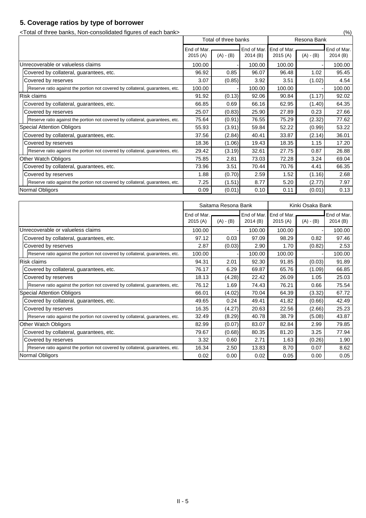## **5. Coverage ratios by type of borrower**

<Total of three banks, Non-consolidated figures of each bank> (%)

|                                                                               | Total of three banks |             | Resona Bank |             |             |             |
|-------------------------------------------------------------------------------|----------------------|-------------|-------------|-------------|-------------|-------------|
|                                                                               | End of Mar.          |             | End of Mar. | End of Mar. |             | End of Mar. |
|                                                                               | 2015(A)              | $(A) - (B)$ | 2014(B)     | 2015(A)     | $(A) - (B)$ | 2014(B)     |
| Unrecoverable or valueless claims                                             | 100.00               |             | 100.00      | 100.00      |             | 100.00      |
| Covered by collateral, guarantees, etc.                                       | 96.92                | 0.85        | 96.07       | 96.48       | 1.02        | 95.45       |
| Covered by reserves                                                           | 3.07                 | (0.85)      | 3.92        | 3.51        | (1.02)      | 4.54        |
| Reserve ratio against the portion not covered by collateral, guarantees, etc. | 100.00               |             | 100.00      | 100.00      |             | 100.00      |
| <b>Risk claims</b>                                                            | 91.92                | (0.13)      | 92.06       | 90.84       | (1.17)      | 92.02       |
| Covered by collateral, guarantees, etc.                                       | 66.85                | 0.69        | 66.16       | 62.95       | (1.40)      | 64.35       |
| Covered by reserves                                                           | 25.07                | (0.83)      | 25.90       | 27.89       | 0.23        | 27.66       |
| Reserve ratio against the portion not covered by collateral, guarantees, etc. | 75.64                | (0.91)      | 76.55       | 75.29       | (2.32)      | 77.62       |
| <b>Special Attention Obligors</b>                                             | 55.93                | (3.91)      | 59.84       | 52.22       | (0.99)      | 53.22       |
| Covered by collateral, guarantees, etc.                                       | 37.56                | (2.84)      | 40.41       | 33.87       | (2.14)      | 36.01       |
| Covered by reserves                                                           | 18.36                | (1.06)      | 19.43       | 18.35       | 1.15        | 17.20       |
| Reserve ratio against the portion not covered by collateral, guarantees, etc. | 29.42                | (3.19)      | 32.61       | 27.75       | 0.87        | 26.88       |
| <b>Other Watch Obligors</b>                                                   | 75.85                | 2.81        | 73.03       | 72.28       | 3.24        | 69.04       |
| Covered by collateral, guarantees, etc.                                       | 73.96                | 3.51        | 70.44       | 70.76       | 4.41        | 66.35       |
| Covered by reserves                                                           | 1.88                 | (0.70)      | 2.59        | 1.52        | (1.16)      | 2.68        |
| Reserve ratio against the portion not covered by collateral, guarantees, etc. | 7.25                 | (1.51)      | 8.77        | 5.20        | (2.77)      | 7.97        |
| Normal Obligors                                                               | 0.09                 | (0.01)      | 0.10        | 0.11        | (0.01)      | 0.13        |

|                                                                               | Saitama Resona Bank    |             | Kinki Osaka Bank       |                        |             |                        |
|-------------------------------------------------------------------------------|------------------------|-------------|------------------------|------------------------|-------------|------------------------|
|                                                                               | End of Mar.<br>2015(A) | $(A) - (B)$ | End of Mar.<br>2014(B) | End of Mar.<br>2015(A) | $(A) - (B)$ | End of Mar.<br>2014(B) |
| Unrecoverable or valueless claims                                             | 100.00                 |             | 100.00                 | 100.00                 |             | 100.00                 |
| Covered by collateral, guarantees, etc.                                       | 97.12                  | 0.03        | 97.09                  | 98.29                  | 0.82        | 97.46                  |
| Covered by reserves                                                           | 2.87                   | (0.03)      | 2.90                   | 1.70                   | (0.82)      | 2.53                   |
| Reserve ratio against the portion not covered by collateral, guarantees, etc. | 100.00                 |             | 100.00                 | 100.00                 |             | 100.00                 |
| <b>Risk claims</b>                                                            | 94.31                  | 2.01        | 92.30                  | 91.85                  | (0.03)      | 91.89                  |
| Covered by collateral, guarantees, etc.                                       | 76.17                  | 6.29        | 69.87                  | 65.76                  | (1.09)      | 66.85                  |
| Covered by reserves                                                           | 18.13                  | (4.28)      | 22.42                  | 26.09                  | 1.05        | 25.03                  |
| Reserve ratio against the portion not covered by collateral, guarantees, etc. | 76.12                  | 1.69        | 74.43                  | 76.21                  | 0.66        | 75.54                  |
| <b>Special Attention Obligors</b>                                             | 66.01                  | (4.02)      | 70.04                  | 64.39                  | (3.32)      | 67.72                  |
| Covered by collateral, guarantees, etc.                                       | 49.65                  | 0.24        | 49.41                  | 41.82                  | (0.66)      | 42.49                  |
| Covered by reserves                                                           | 16.35                  | (4.27)      | 20.63                  | 22.56                  | (2.66)      | 25.23                  |
| Reserve ratio against the portion not covered by collateral, guarantees, etc. | 32.49                  | (8.29)      | 40.78                  | 38.79                  | (5.08)      | 43.87                  |
| <b>Other Watch Obligors</b>                                                   | 82.99                  | (0.07)      | 83.07                  | 82.84                  | 2.99        | 79.85                  |
| Covered by collateral, guarantees, etc.                                       | 79.67                  | (0.68)      | 80.35                  | 81.20                  | 3.25        | 77.94                  |
| Covered by reserves                                                           | 3.32                   | 0.60        | 2.71                   | 1.63                   | (0.26)      | 1.90                   |
| Reserve ratio against the portion not covered by collateral, guarantees, etc. | 16.34                  | 2.50        | 13.83                  | 8.70                   | 0.07        | 8.62                   |
| Normal Obligors                                                               | 0.02                   | 0.00        | 0.02                   | 0.05                   | 0.00        | 0.05                   |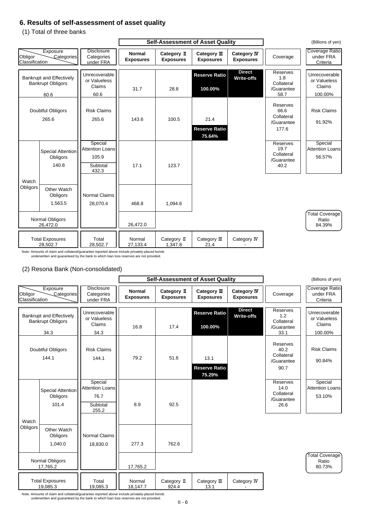### **6. Results of self-assessment of asset quality**

(1) Total of three banks

### (2) Resona Bank (Non-consolidated)

Note: Amounts of claim and collateral/guarantee reported above include privately-placed bonds underwritten and guaranteed by the bank to which loan loss reserves are not provided.

|                           |                                                                     |                                                                 |                                   | <b>Self-Assessment of Asset Quality</b> |                                        | (Billions of yen)                      |                                                              |                                                    |
|---------------------------|---------------------------------------------------------------------|-----------------------------------------------------------------|-----------------------------------|-----------------------------------------|----------------------------------------|----------------------------------------|--------------------------------------------------------------|----------------------------------------------------|
| Obligor<br>Classification | Exposure<br>Categories                                              | <b>Disclosure</b><br>Categories<br>under FRA                    | <b>Normal</b><br><b>Exposures</b> | Category II<br><b>Exposures</b>         | Category III<br><b>Exposures</b>       | <b>Category IV</b><br><b>Exposures</b> | Coverage                                                     | <b>Coverage Ratio</b><br>under FRA<br>Criteria     |
|                           | <b>Bankrupt and Effectively</b><br><b>Bankrupt Obligors</b><br>60.6 | Unrecoverable<br>or Valueless<br>Claims<br>60.6                 | 31.7                              | 28.8                                    | <b>Reserve Ratio</b><br>100.00%        | <b>Direct</b><br><b>Write-offs</b>     | <b>Reserves</b><br>1.8<br>Collateral<br>/Guarantee<br>58.7   | Unrecoverable<br>or Valueless<br>Claims<br>100.00% |
|                           | Doubtful Obligors<br>265.6                                          | <b>Risk Claims</b><br>265.6                                     | 143.6                             | 100.5                                   | 21.4<br><b>Reserve Ratio</b><br>75.64% |                                        | <b>Reserves</b><br>66.6<br>Collateral<br>/Guarantee<br>177.6 | <b>Risk Claims</b><br>91.92%                       |
|                           | <b>Special Attention</b><br>Obligors<br>140.8                       | Special<br><b>Attention Loans</b><br>105.9<br>Subtotal<br>432.3 | 17.1                              | 123.7                                   |                                        |                                        | <b>Reserves</b><br>19.7<br>Collateral<br>/Guarantee<br>40.2  | Special<br><b>Attention Loans</b><br>56.57%        |
| Watch<br>Obligors         | <b>Other Watch</b><br>Obligors<br>1,563.5                           | <b>Normal Claims</b><br>28,070.4                                | 468.8                             | 1,094.6                                 |                                        |                                        |                                                              |                                                    |
|                           | <b>Normal Obligors</b><br>26,472.0                                  |                                                                 | 26,472.0                          |                                         |                                        |                                        |                                                              | Total Coverage<br>Ratio<br>84.39%                  |
|                           | <b>Total Exposures</b><br>28,502.7                                  | Total<br>28,502.7                                               | Normal<br>27,133.4                | Category II<br>1,347.8                  | Category III<br>21.4                   | Category IV                            |                                                              |                                                    |

|                                                             |                                              | <b>Self-Assessment of Asset Quality</b> |                                 |                                        |                                        |                                                      | (Billions of yen)                       |  |
|-------------------------------------------------------------|----------------------------------------------|-----------------------------------------|---------------------------------|----------------------------------------|----------------------------------------|------------------------------------------------------|-----------------------------------------|--|
| Exposure<br>Obligor<br>Categories<br><b>Classification</b>  | <b>Disclosure</b><br>Categories<br>under FRA | <b>Normal</b><br><b>Exposures</b>       | Category II<br><b>Exposures</b> | Category $I\!I\!I$<br><b>Exposures</b> | <b>Category IV</b><br><b>Exposures</b> | Coverage                                             | Coverage Ratio<br>under FRA<br>Criteria |  |
| <b>Bankrupt and Effectively</b><br><b>Bankrupt Obligors</b> | Unrecoverable<br>or Valueless                |                                         |                                 | <b>Reserve Ratio</b>                   | <b>Direct</b><br><b>Write-offs</b>     | <b>Reserves</b><br>1.2<br>Collateral                 | Unrecoverable<br>or Valueless           |  |
| 34.3                                                        | <b>Claims</b><br>34.3                        | 16.8                                    | 17.4                            | 100.00%                                |                                        | /Guarantee<br>33.1                                   | <b>Claims</b><br>100.00%                |  |
| Doubtful Obligors<br>144.1                                  | <b>Risk Claims</b><br>144.1                  | 79.2                                    | 51.6                            | 13.1<br><b>Reserve Ratio</b><br>75.29% |                                        | Reserves<br>40.2<br>Collateral<br>/Guarantee<br>90.7 | <b>Risk Claims</b><br>90.84%            |  |
| <b>Special Attention</b>                                    | Special<br><b>Attention Loans</b>            |                                         |                                 |                                        |                                        | Reserves<br>14.0<br>$O = H = 1 - 1$                  | Special<br><b>Attention Loans</b>       |  |



Note: Amounts of claim and collateral/guarantee reported above include privately-placed bonds underwritten and guaranteed by the bank to which loan loss reserves are not provided.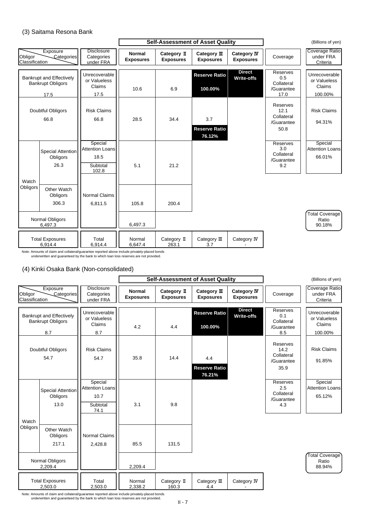### (3) Saitama Resona Bank

### (4) Kinki Osaka Bank (Non-consolidated)

|                           |                                                                     |                                                                | <b>Self-Assessment of Asset Quality</b> |                                 |                                       |                                        |                                                            | (Billions of yen)                                  |
|---------------------------|---------------------------------------------------------------------|----------------------------------------------------------------|-----------------------------------------|---------------------------------|---------------------------------------|----------------------------------------|------------------------------------------------------------|----------------------------------------------------|
| Obligor<br>Classification | Exposure<br>Categories                                              | <b>Disclosure</b><br>Categories<br>under FRA                   | <b>Normal</b><br><b>Exposures</b>       | Category II<br><b>Exposures</b> | Category III<br><b>Exposures</b>      | <b>Category IV</b><br><b>Exposures</b> | Coverage                                                   | <b>Coverage Ratio</b><br>under FRA<br>Criteria     |
|                           | <b>Bankrupt and Effectively</b><br><b>Bankrupt Obligors</b><br>17.5 | Unrecoverable<br>or Valueless<br><b>Claims</b><br>17.5         | 10.6                                    | 6.9                             | <b>Reserve Ratio</b><br>100.00%       | <b>Direct</b><br><b>Write-offs</b>     | <b>Reserves</b><br>0.5<br>Collateral<br>/Guarantee<br>17.0 | Unrecoverable<br>or Valueless<br>Claims<br>100.00% |
|                           | <b>Doubtful Obligors</b><br>66.8                                    | <b>Risk Claims</b><br>66.8                                     | 28.5                                    | 34.4                            | 3.7<br><b>Reserve Ratio</b><br>76.12% |                                        | Reserves<br>12.1<br>Collateral<br>/Guarantee<br>50.8       | <b>Risk Claims</b><br>94.31%                       |
|                           | Special Attention<br>Obligors<br>26.3                               | Special<br><b>Attention Loans</b><br>18.5<br>Subtotal<br>102.8 | 5.1                                     | 21.2                            |                                       |                                        | Reserves<br>3.0<br>Collateral<br>/Guarantee<br>9.2         | Special<br><b>Attention Loans</b><br>66.01%        |
| Watch<br>Obligors         | <b>Other Watch</b><br>Obligors<br>306.3                             | <b>Normal Claims</b><br>6,811.5                                | 105.8                                   | 200.4                           |                                       |                                        |                                                            |                                                    |
|                           | Normal Obligors<br>6,497.3                                          |                                                                | 6,497.3                                 |                                 |                                       |                                        |                                                            | Total Coverage<br>Ratio<br>90.18%                  |
|                           | <b>Total Exposures</b><br>6,914.4                                   | Total<br>6,914.4                                               | Normal<br>6,647.4                       | Category II<br>263.1            | Category III<br>3.7                   | Category IV                            |                                                            |                                                    |

|                                                             |                                              |                                   | <b>Self-Assessment of Asset Quality</b> |                                        |                                        |                                                      | (Billions of yen)                              |
|-------------------------------------------------------------|----------------------------------------------|-----------------------------------|-----------------------------------------|----------------------------------------|----------------------------------------|------------------------------------------------------|------------------------------------------------|
| Exposure<br>Obligor<br>Categories<br><b>Classification</b>  | <b>Disclosure</b><br>Categories<br>under FRA | <b>Normal</b><br><b>Exposures</b> | Category II<br><b>Exposures</b>         | Category $I\!I\!I$<br><b>Exposures</b> | <b>Category IV</b><br><b>Exposures</b> | Coverage                                             | <b>Coverage Ratio</b><br>under FRA<br>Criteria |
| <b>Bankrupt and Effectively</b><br><b>Bankrupt Obligors</b> | Unrecoverable<br>or Valueless                |                                   |                                         | <b>Reserve Ratio</b>                   | <b>Direct</b><br><b>Write-offs</b>     | <b>Reserves</b><br>0.1<br>Collateral                 | Unrecoverable<br>or Valueless                  |
| 8.7                                                         | Claims<br>8.7                                | 4.2                               | 4.4                                     | 100.00%                                |                                        | /Guarantee<br>8.5                                    | Claims<br>100.00%                              |
| Doubtful Obligors<br>54.7                                   | <b>Risk Claims</b><br>54.7                   | 35.8                              | 14.4                                    | 4.4<br><b>Reserve Ratio</b>            |                                        | Reserves<br>14.2<br>Collateral<br>/Guarantee<br>35.9 | <b>Risk Claims</b><br>91.85%                   |
| Special Attention                                           | Special<br><b>Attention Loans</b>            |                                   |                                         | 76.21%                                 |                                        | Reserves<br>2.5<br>$O = H = 1 - H = 1$               | Special<br><b>Attention Loans</b>              |



Note: Amounts of claim and collateral/guarantee reported above include privately-placed bonds underwritten and guaranteed by the bank to which loan loss reserves are not provided.

Note: Amounts of claim and collateral/guarantee reported above include privately-placed bonds underwritten and guaranteed by the bank to which loan loss reserves are not provided.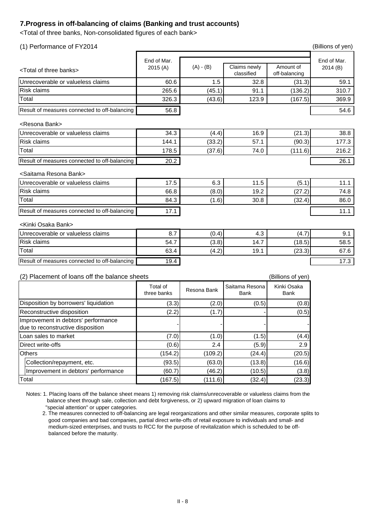### **7.Progress in off-balancing of claims (Banking and trust accounts)**

<Total of three banks, Non-consolidated figures of each bank>

| (1) Performance of FY2014                        |                                |             |                               |                            | (Billions of yen)      |
|--------------------------------------------------|--------------------------------|-------------|-------------------------------|----------------------------|------------------------|
| <total banks="" of="" three=""></total>          | End of Mar.<br>2015(A)         | $(A) - (B)$ | Claims newly<br>classified    | Amount of<br>off-balancing | End of Mar.<br>2014(B) |
| Unrecoverable or valueless claims                | 60.6                           | 1.5         | 32.8                          | (31.3)                     | 59.1                   |
| <b>Risk claims</b>                               | 265.6                          | (45.1)      | 91.1                          | (136.2)                    | 310.7                  |
| Total                                            | 326.3                          | (43.6)      | 123.9                         | (167.5)                    | 369.9                  |
| Result of measures connected to off-balancing    | 56.8                           |             |                               |                            | 54.6                   |
| <resona bank=""></resona>                        |                                |             |                               |                            |                        |
| Unrecoverable or valueless claims                | 34.3                           | (4.4)       | 16.9                          | (21.3)                     | 38.8                   |
| <b>Risk claims</b>                               | 144.1                          | (33.2)      | 57.1                          | (90.3)                     | 177.3                  |
| Total                                            | 178.5                          | (37.6)      | 74.0                          | (111.6)                    | 216.2                  |
| Result of measures connected to off-balancing    | 20.2                           |             |                               |                            | 26.1                   |
| <saitama bank="" resona=""></saitama>            |                                |             |                               |                            |                        |
| Unrecoverable or valueless claims                | 17.5                           | 6.3         | 11.5                          | (5.1)                      | 11.1                   |
| <b>Risk claims</b>                               | 66.8                           | (8.0)       | 19.2                          | (27.2)                     | 74.8                   |
| Total                                            | 84.3                           | (1.6)       | 30.8                          | (32.4)                     | 86.0                   |
| Result of measures connected to off-balancing    | 17.1                           |             |                               |                            | 11.1                   |
| <kinki bank="" osaka=""></kinki>                 |                                |             |                               |                            |                        |
| Unrecoverable or valueless claims                | 8.7                            | (0.4)       | 4.3                           | (4.7)                      | 9.1                    |
| <b>Risk claims</b>                               | 54.7                           | (3.8)       | 14.7                          | (18.5)                     | 58.5                   |
| Total                                            | 63.4                           | (4.2)       | 19.1                          | (23.3)                     | 67.6                   |
| Result of measures connected to off-balancing    | 19.4                           |             |                               |                            | 17.3                   |
| Placement of loans off the balance sheets<br>(2) |                                |             |                               | (Billions of yen)          |                        |
|                                                  | <b>Total of</b><br>three banks | Resona Bank | Saitama Resona<br><b>Bank</b> | Kinki Osaka<br><b>Bank</b> |                        |
| Disposition by borrowers' liquidation            | (3.3)                          | (2.0)       | (0.5)                         | (0.8)                      |                        |

Notes: 1. Placing loans off the balance sheet means 1) removing risk claims/unrecoverable or valueless claims from the balance sheet through sale, collection and debt forgiveness, or 2) upward migration of loan claims to "special attention" or upper categories.

| Disposition by borrowers' liquidation                                    | (3.3)   | (2.0)   | (0.5)  | (0.8)  |
|--------------------------------------------------------------------------|---------|---------|--------|--------|
| <b>Reconstructive disposition</b>                                        | (2.2)   | (1.7)   |        | (0.5)  |
| Improvement in debtors' performance<br>due to reconstructive disposition |         |         |        |        |
| Loan sales to market                                                     | (7.0)   | (1.0)   | (1.5)  | (4.4)  |
| Direct write-offs                                                        | (0.6)   | 2.4     | (5.9)  | 2.9    |
| <b>Others</b>                                                            | (154.2) | (109.2) | (24.4) | (20.5) |
| Collection/repayment, etc.                                               | (93.5)  | (63.0)  | (13.8) | (16.6) |
| Improvement in debtors' performance                                      | (60.7)  | (46.2)  | (10.5) | (3.8)  |
| Total                                                                    | (167.5) | (111.6) | (32.4) | (23.3) |

 2. The measures connected to off-balancing are legal reorganizations and other similar measures, corporate splits to good companies and bad companies, partial direct write-offs of retail exposure to individuals and small- and medium-sized enterprises, and trusts to RCC for the purpose of revitalization which is scheduled to be off balanced before the maturity.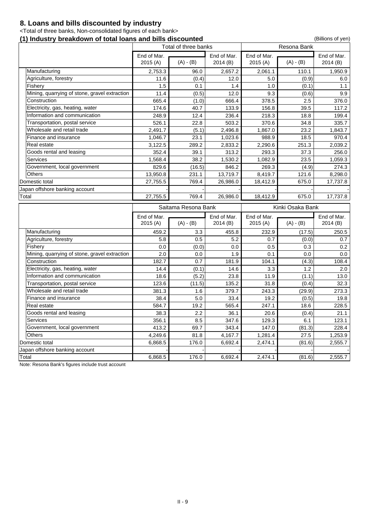### **8. Loans and bills discounted by industry**

<Total of three banks, Non-consolidated figures of each bank>

### **(1) Industry breakdown of total loans and bills discounted** (1) Industry breakdown of total loans and bills discounted

|                                               |             | Total of three banks |             | <b>Resona Bank</b> |                  |             |
|-----------------------------------------------|-------------|----------------------|-------------|--------------------|------------------|-------------|
|                                               | End of Mar. |                      | End of Mar. | End of Mar.        |                  | End of Mar. |
|                                               | 2015(A)     | $(A) - (B)$          | 2014(B)     | 2015(A)            | $(A) - (B)$      | 2014(B)     |
| Manufacturing                                 | 2,753.3     | 96.0                 | 2,657.2     | 2,061.1            | 110.1            | 1,950.9     |
| Agriculture, forestry                         | 11.6        | (0.4)                | 12.0        | 5.0                | (0.9)            | 6.0         |
| Fishery                                       | 1.5         | 0.1                  | 1.4         | 1.0                | (0.1)            | 1.1         |
| Mining, quarrying of stone, gravel extraction | 11.4        | (0.5)                | 12.0        | 9.3                | (0.6)            | 9.9         |
| Construction                                  | 665.4       | (1.0)                | 666.4       | 378.5              | 2.5              | 376.0       |
| Electricity, gas, heating, water              | 174.6       | 40.7                 | 133.9       | 156.8              | 39.5             | 117.2       |
| Information and communication                 | 248.9       | 12.4                 | 236.4       | 218.3              | 18.8             | 199.4       |
| Transportation, postal service                | 526.1       | 22.8                 | 503.2       | 370.6              | 34.8             | 335.7       |
| Wholesale and retail trade                    | 2,491.7     | (5.1)                | 2,496.8     | 1,867.0            | 23.2             | 1,843.7     |
| Finance and insurance                         | 1,046.7     | 23.1                 | 1,023.6     | 988.9              | 18.5             | 970.4       |
| Real estate                                   | 3,122.5     | 289.2                | 2,833.2     | 2,290.6            | 251.3            | 2,039.2     |
| Goods rental and leasing                      | 352.4       | 39.1                 | 313.2       | 293.3              | 37.3             | 256.0       |
| <b>Services</b>                               | 1,568.4     | 38.2                 | 1,530.2     | 1,082.9            | 23.5             | 1,059.3     |
| Government, local government                  | 829.6       | (16.5)               | 846.2       | 269.3              | (4.9)            | 274.3       |
| <b>Others</b>                                 | 13,950.8    | 231.1                | 13,719.7    | 8,419.7            | 121.6            | 8,298.0     |
| Domestic total                                | 27,755.5    | 769.4                | 26,986.0    | 18,412.9           | 675.0            | 17,737.8    |
| Japan offshore banking account                |             |                      |             |                    |                  |             |
| Total                                         | 27,755.5    | 769.4                | 26,986.0    | 18,412.9           | 675.0            | 17,737.8    |
|                                               |             |                      |             |                    |                  |             |
|                                               |             |                      |             |                    |                  |             |
|                                               |             | Saitama Resona Bank  |             |                    | Kinki Osaka Bank |             |
|                                               | End of Mar. |                      | End of Mar. | End of Mar.        |                  | End of Mar. |
|                                               | 2015 (A)    | $(A) - (B)$          | 2014(B)     | 2015(A)            | $(A) - (B)$      | 2014(B)     |
| Manufacturing                                 | 459.2       | 3.3                  | 455.8       | 232.9              | (17.5)           | 250.5       |
| Agriculture, forestry                         | 5.8         | 0.5                  | 5.2         | 0.7                | (0.0)            | 0.7         |
| Fishery                                       | 0.0         | (0.0)                | 0.0         | 0.5                | 0.3              | 0.2         |
| Mining, quarrying of stone, gravel extraction | 2.0         | 0.0                  | 1.9         | 0.1                | 0.0              | 0.0         |
| Construction                                  | 182.7       | 0.7                  | 181.9       | 104.1              | (4.3)            | 108.4       |
| Electricity, gas, heating, water              | 14.4        | (0.1)                | 14.6        | 3.3                | 1.2              | 2.0         |
| Information and communication                 | 18.6        | (5.2)                | 23.8        | 11.9               | (1.1)            | 13.0        |
| Transportation, postal service                | 123.6       | (11.5)               | 135.2       | 31.8               | (0.4)            | 32.3        |
| Wholesale and retail trade                    | 381.3       | 1.6                  | 379.7       | 243.3              | (29.9)           | 273.3       |
| Finance and insurance                         | 38.4        | 5.0                  | 33.4        | 19.2               | (0.5)            | 19.8        |
| Real estate                                   | 584.7       | 19.2                 | 565.4       | 247.1              | 18.6             | 228.5       |
| Goods rental and leasing                      | 38.3        | 2.2                  | 36.1        | 20.6               | (0.4)            | 21.1        |
| <b>Services</b>                               | 356.1       | 8.5                  | 347.6       | 129.3              | 6.1              | 123.1       |
| Government, local government                  | 413.2       | 69.7                 | 343.4       | 147.0              | (81.3)           | 228.4       |
| <b>Others</b>                                 | 4,249.6     | 81.8                 | 4,167.7     | 1,281.4            | 27.5             | 1,253.9     |
| Domestic total                                | 6,868.5     | 176.0                | 6,692.4     | 2,474.1            | (81.6)           | 2,555.7     |
| Japan offshore banking account                | 6,868.5     |                      |             |                    |                  |             |

Note: Resona Bank's figures include trust account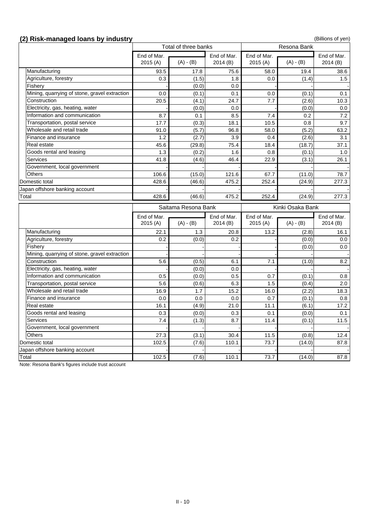# **(2) Risk-managed loans by industry** (2) **Risk-managed loans by industry** (Billions of yen)

|                                               |                  | Total of three banks |             |             |                  |              |
|-----------------------------------------------|------------------|----------------------|-------------|-------------|------------------|--------------|
|                                               | End of Mar.      |                      | End of Mar. | End of Mar. |                  | End of Mar.  |
|                                               | 2015(A)          | $(A) - (B)$          | 2014(B)     | 2015(A)     | $(A) - (B)$      | 2014(B)      |
| Manufacturing                                 | 93.5             | 17.8                 | 75.6        | 58.0        | 19.4             | 38.6         |
| Agriculture, forestry                         | 0.3              | (1.5)                | 1.8         | 0.0         | (1.4)            | 1.5          |
| Fishery                                       |                  | (0.0)                | 0.0         |             |                  |              |
| Mining, quarrying of stone, gravel extraction | 0.0              | (0.1)                | 0.1         | 0.0         | (0.1)            | 0.1          |
| Construction                                  | 20.5             | (4.1)                | 24.7        | 7.7         | (2.6)            | 10.3         |
| Electricity, gas, heating, water              |                  | (0.0)                | 0.0         |             | (0.0)            | 0.0          |
| Information and communication                 | 8.7              | 0.1                  | 8.5         | 7.4         | 0.2              | 7.2          |
| Transportation, postal service                | 17.7             | (0.3)                | 18.1        | 10.5        | 0.8              | 9.7          |
| Wholesale and retail trade                    | 91.0             | (5.7)                | 96.8        | 58.0        | (5.2)            | 63.2         |
| Finance and insurance                         | 1.2              | (2.7)                | 3.9         | 0.4         | (2.6)            | 3.1          |
| Real estate                                   | 45.6             | (29.8)               | 75.4        | 18.4        | (18.7)           | 37.1         |
| Goods rental and leasing                      | 1.3              | (0.2)                | 1.6         | 0.8         | (0.1)            | 1.0          |
| <b>Services</b>                               | 41.8             | (4.6)                | 46.4        | 22.9        | (3.1)            | 26.1         |
| Government, local government                  |                  |                      |             |             |                  |              |
| <b>Others</b>                                 | 106.6            | (15.0)               | 121.6       | 67.7        | (11.0)           | 78.7         |
| Domestic total                                | 428.6            | (46.6)               | 475.2       | 252.4       | (24.9)           | 277.3        |
| Japan offshore banking account                |                  |                      |             |             |                  |              |
| Total                                         | 428.6            | (46.6)               | 475.2       | 252.4       | (24.9)           | 277.3        |
|                                               |                  |                      |             |             |                  |              |
|                                               |                  |                      |             |             |                  |              |
|                                               |                  | Saitama Resona Bank  |             |             | Kinki Osaka Bank |              |
|                                               | End of Mar.      |                      | End of Mar. | End of Mar. |                  | End of Mar.  |
|                                               | 2015(A)          | $(A) - (B)$          | 2014(B)     | 2015(A)     | $(A) - (B)$      | 2014(B)      |
| Manufacturing                                 | 22.1             | 1.3                  | 20.8        | 13.2        | (2.8)            | 16.1         |
| Agriculture, forestry                         | 0.2 <sub>0</sub> | (0.0)                | 0.2         |             | (0.0)            |              |
| Fishery                                       |                  |                      |             |             | (0.0)            |              |
| Mining, quarrying of stone, gravel extraction |                  |                      |             |             |                  | 0.0<br>0.0   |
| Construction                                  | 5.6              | (0.5)                | 6.1         | 7.1         | (1.0)            |              |
| Electricity, gas, heating, water              |                  | (0.0)                | 0.0         |             |                  | 8.2          |
| Information and communication                 | 0.5              | (0.0)                | 0.5         | 0.7         | (0.1)            | 0.8          |
| Transportation, postal service                | 5.6              | (0.6)                | 6.3         | 1.5         | (0.4)            | 2.0          |
| Wholesale and retail trade                    | 16.9             | 1.7                  | 15.2        | 16.0        | (2.2)            | 18.3         |
| Finance and insurance                         | 0.0              | 0.0                  | 0.0         | 0.7         | (0.1)            | 0.8          |
| Real estate                                   | 16.1             | (4.9)                | 21.0        | 11.1        | (6.1)            | 17.2         |
| Goods rental and leasing                      | 0.3              | (0.0)                | 0.3         | 0.1         | (0.0)            | 0.1          |
| <b>Services</b>                               | 7.4              | (1.3)                | 8.7         | 11.4        | (0.1)            |              |
| Government, local government                  |                  |                      |             |             |                  |              |
| <b>Others</b>                                 | 27.3             | (3.1)                | 30.4        | 11.5        | (0.8)            | 11.5<br>12.4 |
| Domestic total                                | 102.5            |                      | 110.1       | 73.7        | (14.0)           | 87.8         |
| Japan offshore banking account                |                  | (7.6)                |             |             |                  |              |
| Total                                         | 102.5            | (7.6)                | 110.1       | 73.7        | (14.0)           | 87.8         |

Note: Resona Bank's figures include trust account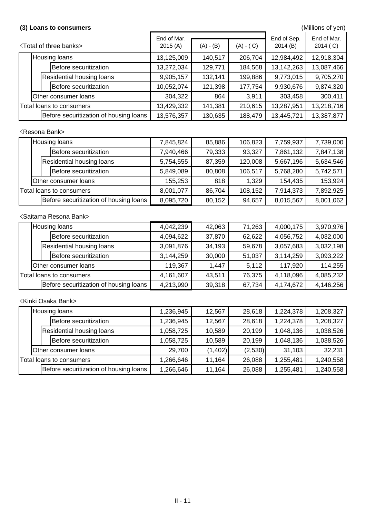### <Resona Bank>

### <Saitama Resona Bank>

### (3) Loans to consumers **and a set of the consumers** (Millions of yen)

| <b><total banks="" of="" three=""></total></b> |                                        | End of Mar.<br>2015(A) | $(A) - (B)$ | $(A) - (C)$ | End of Sep.<br>2014(B) | End of Mar.<br>2014 (C) |
|------------------------------------------------|----------------------------------------|------------------------|-------------|-------------|------------------------|-------------------------|
|                                                | <b>Housing loans</b>                   | 13,125,009             | 140,517     | 206,704     | 12,984,492             | 12,918,304              |
|                                                | Before securitization                  | 13,272,034             | 129,771     | 184,568     | 13,142,263             | 13,087,466              |
|                                                | <b>Residential housing loans</b>       | 9,905,157              | 132,141     | 199,886     | 9,773,015              | 9,705,270               |
|                                                | Before securitization                  | 10,052,074             | 121,398     | 177,754     | 9,930,676              | 9,874,320               |
|                                                | <b>Other consumer loans</b>            | 304,322                | 864         | 3,911       | 303,458                | 300,411                 |
| Total loans to consumers                       |                                        | 13,429,332             | 141,381     | 210,615     | 13,287,951             | 13,218,716              |
|                                                | Before securitization of housing loans | 13,576,357             | 130,635     | 188,479     | 13,445,721             | 13,387,877              |

|                          | Housing loans                          | 7,845,824 | 85,886 | 106,823 | 7,759,937 | 7,739,000 |
|--------------------------|----------------------------------------|-----------|--------|---------|-----------|-----------|
|                          | Before securitization                  | 7,940,466 | 79,333 | 93,327  | 7,861,132 | 7,847,138 |
|                          | <b>Residential housing loans</b>       | 5,754,555 | 87,359 | 120,008 | 5,667,196 | 5,634,546 |
|                          | Before securitization                  | 5,849,089 | 80,808 | 106,517 | 5,768,280 | 5,742,571 |
|                          | Other consumer loans                   | 155,253   | 818    | 1,329   | 154,435   | 153,924   |
| Total loans to consumers |                                        | 8,001,077 | 86,704 | 108,152 | 7,914,373 | 7,892,925 |
|                          | Before securitization of housing loans | 8,095,720 | 80,152 | 94,657  | 8,015,567 | 8,001,062 |

<Kinki Osaka Bank>

|                          |  | <b>Housing loans</b>                   | 4,042,239 | 42,063 | 71,263    | 4,000,175 | 3,970,976 |
|--------------------------|--|----------------------------------------|-----------|--------|-----------|-----------|-----------|
|                          |  | Before securitization                  | 4,094,622 | 37,870 | 62,622    | 4,056,752 | 4,032,000 |
|                          |  | <b>Residential housing loans</b>       | 3,091,876 | 34,193 | 59,678    | 3,057,683 | 3,032,198 |
|                          |  | Before securitization                  | 3,144,259 | 30,000 | 51,037    | 3,114,259 | 3,093,222 |
|                          |  | <b>Other consumer loans</b>            | 119,367   | 1,447  | 5,112     | 117,920   | 114,255   |
| Total loans to consumers |  | 4,161,607                              | 43,511    | 76,375 | 4,118,096 | 4,085,232 |           |
|                          |  | Before securitization of housing loans | 4,213,990 | 39,318 | 67,734    | 4,174,672 | 4,146,256 |

| Housing loans            |                                        | 1,236,945 | 12,567  | 28,618  | 1,224,378 | 1,208,327 |
|--------------------------|----------------------------------------|-----------|---------|---------|-----------|-----------|
|                          | Before securitization                  | 1,236,945 | 12,567  | 28,618  | 1,224,378 | 1,208,327 |
|                          | <b>Residential housing loans</b>       | 1,058,725 | 10,589  | 20,199  | 1,048,136 | 1,038,526 |
|                          | Before securitization                  | 1,058,725 | 10,589  | 20,199  | 1,048,136 | 1,038,526 |
|                          | <b>Other consumer loans</b>            | 29,700    | (1,402) | (2,530) | 31,103    | 32,231    |
| Total loans to consumers |                                        | 1,266,646 | 11.164  | 26,088  | 1,255,481 | 1,240,558 |
|                          | Before securitization of housing loans | 1,266,646 | 11,164  | 26,088  | 1,255,481 | 1,240,558 |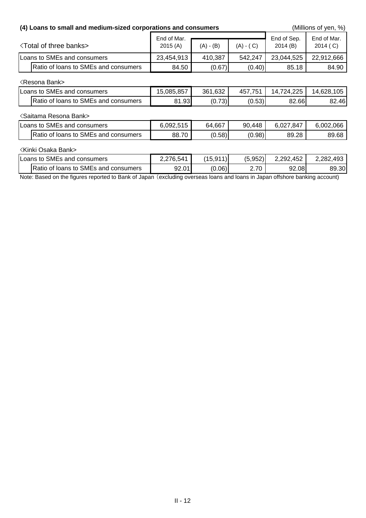| (4) Loans to small and medium-sized corporations and consumers |                        | (Millions of yen, %) |             |                        |                         |
|----------------------------------------------------------------|------------------------|----------------------|-------------|------------------------|-------------------------|
| <b>Total of three banks&gt;</b>                                | End of Mar.<br>2015(A) | $(A) - (B)$          | $(A) - (C)$ | End of Sep.<br>2014(B) | End of Mar.<br>2014 (C) |
| Loans to SMEs and consumers                                    | 23,454,913             | 410,387              | 542,247     | 23,044,525             | 22,912,666              |
| Ratio of loans to SMEs and consumers                           | 84.50                  | (0.67)               | (0.40)      | 85.18                  | 84.90                   |
| <b>KResona Bank&gt;</b>                                        |                        |                      |             |                        |                         |
| Loans to SMEs and consumers                                    | 15,085,857             | 361,632              | 457,751     | 14,724,225             | 14,628,105              |
| Ratio of loans to SMEs and consumers                           | 81.93                  | (0.73)               | (0.53)      | 82.66                  | 82.46                   |
| <saitama bank="" resona=""></saitama>                          |                        |                      |             |                        |                         |
| Loans to SMEs and consumers                                    | 6,092,515              | 64,667               | 90,448      | 6,027,847              | 6,002,066               |
| Ratio of loans to SMEs and consumers                           | 88.70                  | (0.58)               | (0.98)      | 89.28                  | 89.68                   |
| <b>Kinki Osaka Bank&gt;</b>                                    |                        |                      |             |                        |                         |
| Loans to SMEs and consumers                                    | 2,276,541              | (15, 911)            | (5,952)     | 2,292,452              | 2,282,493               |
| Ratio of loans to SMEs and consumers                           | 92.01                  | (0.06)               | 2.70        | 92.08                  | 89.30                   |

Note: Based on the figures reported to Bank of Japan (excluding overseas loans and loans in Japan offshore banking account)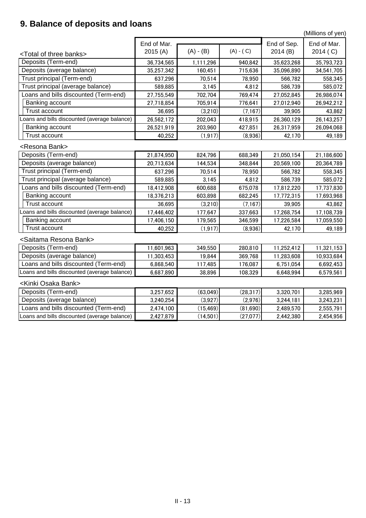# **9. Balance of deposits and loans**

(Millions of yen)

|                                              | End of Mar. |             |             | End of Sep. | End of Mar. |
|----------------------------------------------|-------------|-------------|-------------|-------------|-------------|
| <total banks="" of="" three=""></total>      | 2015 (A)    | $(A) - (B)$ | $(A) - (C)$ | 2014(B)     | 2014 (C)    |
| Deposits (Term-end)                          | 36,734,565  | 1,111,296   | 940,842     | 35,623,268  | 35,793,723  |
| Deposits (average balance)                   | 35,257,342  | 160,451     | 715,636     | 35,096,890  | 34,541,705  |
| Trust principal (Term-end)                   | 637,296     | 70,514      | 78,950      | 566,782     | 558,345     |
| Trust principal (average balance)            | 589,885     | 3,145       | 4,812       | 586,739     | 585,072     |
| Loans and bills discounted (Term-end)        | 27,755,549  | 702,704     | 769,474     | 27,052,845  | 26,986,074  |
| Banking account                              | 27,718,854  | 705,914     | 776,641     | 27,012,940  | 26,942,212  |
| <b>Trust account</b>                         | 36,695      | (3,210)     | (7, 167)    | 39,905      | 43,862      |
| -cans and bills discounted (average balance) | 26,562,172  | 202,043     | 418,915     | 26,360,129  | 26,143,257  |
| Banking account                              | 26,521,919  | 203,960     | 427,851     | 26,317,959  | 26,094,068  |
| <b>Trust account</b>                         | 40,252      | (1, 917)    | (8,936)     | 42,170      | 49,189      |
| <resona bank=""></resona>                    |             |             |             |             |             |
| Deposits (Term-end)                          | 21,874,950  | 824,796     | 688,349     | 21,050,154  | 21,186,600  |
| Deposits (average balance)                   | 20,713,634  | 144,534     | 348,844     | 20,569,100  | 20,364,789  |
| Trust principal (Term-end)                   | 637,296     | 70,514      | 78,950      | 566,782     | 558,345     |
| Trust principal (average balance)            | 589,885     | 3,145       | 4,812       | 586,739     | 585,072     |
| coans and bills discounted (Term-end)        | 18,412,908  | 600,688     | 675,078     | 17,812,220  | 17,737,830  |
| Banking account                              | 18,376,213  | 603,898     | 682,245     | 17,772,315  | 17,693,968  |
| <b>Trust account</b>                         | 36,695      | (3,210)     | (7, 167)    | 39,905      | 43,862      |
| -oans and bills discounted (average balance) | 17,446,402  | 177,647     | 337,663     | 17,268,754  | 17,108,739  |
| Banking account                              | 17,406,150  | 179,565     | 346,599     | 17,226,584  | 17,059,550  |
| <b>Trust account</b>                         | 40,252      | (1, 917)    | (8,936)     | 42,170      | 49,189      |
| <saitama bank="" resona=""></saitama>        |             |             |             |             |             |
| Deposits (Term-end)                          | 11,601,963  | 349,550     | 280,810     | 11,252,412  | 11,321,153  |
| Deposits (average balance)                   | 11,303,453  | 19,844      | 369,768     | 11,283,608  | 10,933,684  |
| Loans and bills discounted (Term-end)        | 6,868,540   | 117,485     | 176,087     | 6,751,054   | 6,692,453   |
| Loans and bills discounted (average balance) | 6,687,890   | 38,896      | 108,329     | 6,648,994   | 6,579,561   |
| <kinki bank="" osaka=""></kinki>             |             |             |             |             |             |
| Deposits (Term-end)                          | 3,257,652   | (63,049)    | (28, 317)   | 3,320,701   | 3,285,969   |
| Deposits (average balance)                   | 3,240,254   | (3,927)     | (2,976)     | 3,244,181   | 3,243,231   |
| Loans and bills discounted (Term-end)        | 2,474,100   | (15, 469)   | (81,690)    | 2,489,570   | 2,555,791   |
| Loans and bills discounted (average balance) |             |             |             |             |             |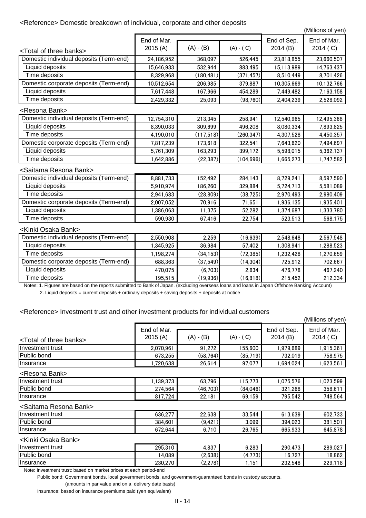### <Reference> Domestic breakdown of individual, corporate and other deposits

(Millions of yen)

Notes: 1. Figures are based on the reports submitted to Bank of Japan. (excluding overseas loans and loans in Japan Offshore Banking Account) 2. Liquid deposits = current deposits + ordinary deposits + saving deposits + deposits at notice

### <Reference> Investment trust and other investment products for individual customers

|                                         | End of Mar. |             |             | End of Sep. | End of Mar. |
|-----------------------------------------|-------------|-------------|-------------|-------------|-------------|
| <total banks="" of="" three=""></total> | 2015(A)     | $(A) - (B)$ | $(A) - (C)$ | 2014(B)     | 2014 (C)    |
| Domestic individual deposits (Term-end) | 24,186,952  | 368,097     | 526,445     | 23,818,855  | 23,660,507  |
| Liquid deposits                         | 15,646,933  | 532,944     | 883,495     | 15,113,989  | 14,763,437  |
| Time deposits                           | 8,329,968   | (180, 481)  | (371, 457)  | 8,510,449   | 8,701,426   |
| Domestic corporate deposits (Term-end)  | 10,512,654  | 206,985     | 379,887     | 10,305,669  | 10,132,766  |
| Liquid deposits                         | 7,617,448   | 167,966     | 454,289     | 7,449,482   | 7,163,158   |
| Time deposits                           | 2,429,332   | 25,093      | (98, 760)   | 2,404,239   | 2,528,092   |
| <resona bank=""></resona>               |             |             |             |             |             |
| Domestic individual deposits (Term-end) | 12,754,310  | 213,345     | 258,941     | 12,540,965  | 12,495,368  |
| Liquid deposits                         | 8,390,033   | 309,699     | 496,208     | 8,080,334   | 7,893,825   |
| Time deposits                           | 4,190,010   | (117,518)   | (260, 347)  | 4,307,528   | 4,450,357   |
| Domestic corporate deposits (Term-end)  | 7,817,239   | 173,618     | 322,541     | 7,643,620   | 7,494,697   |
| Liquid deposits                         | 5,761,309   | 163,293     | 399,172     | 5,598,015   | 5,362,137   |
| Time deposits                           | 1,642,886   | (22, 387)   | (104, 696)  | 1,665,273   | 1,747,582   |
| <saitama bank="" resona=""></saitama>   |             |             |             |             |             |
| Domestic individual deposits (Term-end) | 8,881,733   | 152,492     | 284,143     | 8,729,241   | 8,597,590   |
| Liquid deposits                         | 5,910,974   | 186,260     | 329,884     | 5,724,713   | 5,581,089   |
| Time deposits                           | 2,941,683   | (28, 809)   | (38, 725)   | 2,970,493   | 2,980,409   |
| Domestic corporate deposits (Term-end)  | 2,007,052   | 70,916      | 71,651      | 1,936,135   | 1,935,401   |
| Liquid deposits                         | 1,386,063   | 11,375      | 52,282      | 1,374,687   | 1,333,780   |
| Time deposits                           | 590,930     | 67,416      | 22,754      | 523,513     | 568,175     |
| <kinki bank="" osaka=""></kinki>        |             |             |             |             |             |
| Domestic individual deposits (Term-end) | 2,550,908   | 2,259       | (16, 639)   | 2,548,648   | 2,567,548   |
| Liquid deposits                         | 1,345,925   | 36,984      | 57,402      | 1,308,941   | 1,288,523   |
| Time deposits                           | 1,198,274   | (34, 153)   | (72, 385)   | 1,232,428   | 1,270,659   |
| Domestic corporate deposits (Term-end)  | 688,363     | (37, 549)   | (14, 304)   | 725,912     | 702,667     |
| Liquid deposits                         | 470,075     | (6,703)     | 2,834       | 476,778     | 467,240     |
| Time deposits                           | 195,515     | (19, 936)   | (16, 818)   | 215,452     | 212,334     |
|                                         |             |             |             |             |             |

<Resona Bank>

#### <Saitama Resona Bank>

#### <Kinki Osaka Bank>

Note: Investment trust: based on market prices at each period-end

Public bond: Government bonds, local government bonds, and government-guaranteed bonds in custody accounts.

(amounts in par value and on a delivery date basis)

Insurance: based on insurance premiums paid (yen equivalent)

|                                         |                        |             |             |                        | (Millions of yen)       |
|-----------------------------------------|------------------------|-------------|-------------|------------------------|-------------------------|
| <total banks="" of="" three=""></total> | End of Mar.<br>2015(A) | $(A) - (B)$ | $(A) - (C)$ | End of Sep.<br>2014(B) | End of Mar.<br>2014 (C) |
| Investment trust                        | 2,070,961              | 91,272      | 155,600     | 1,979,689              | 1,915,361               |
| <b>Public bond</b>                      | 673,255                | (58, 764)   | (85,719)    | 732,019                | 758,975                 |
| <i>Insurance</i>                        | ,720,638               | 26,614      | 97,077      | .694,024               | 1,623,561               |

| Investment trust   | 636,277 | 22,638                  | 33,544      | 613,639 | 602.<br>,733 |
|--------------------|---------|-------------------------|-------------|---------|--------------|
| <b>Public bond</b> | 384,601 | (9, 421)                | 3,099       | 394,023 | 381,501      |
| Insurance          | 672,644 | 710 <sub>1</sub><br>ν., | .765<br>26, | 665,933 | 645,878      |

| IInvestment trust  | 139,373                         | ,796<br>c0<br><b>სა</b> | 15.770<br>ັບ<br><u>، ب</u> | .075,576                | .023,599 |
|--------------------|---------------------------------|-------------------------|----------------------------|-------------------------|----------|
| <b>Public bond</b> | 274,564                         | (46,703)                | (84,046)                   | .268<br>32 <sup>2</sup> | 358,61   |
| Insurance          | 724<br>$\sim$<br>O 1<br>οι<br>. | 22,181                  | 69,159                     | 795,542                 | 748,564  |

| IInvestment trust  | 295,310 | 4,837   | 6,283        | 290,473                                   | 289,027 |
|--------------------|---------|---------|--------------|-------------------------------------------|---------|
| <b>Public bond</b> | 089ء    | (2,638) | (773)<br>(4) | 707<br>16,<br>$\sim$ $\sim$ $\sim$ $\sim$ | 18,862  |
| <b>Insurance</b>   | 230,270 | (2,278) | .151         | 232,548                                   | 229,118 |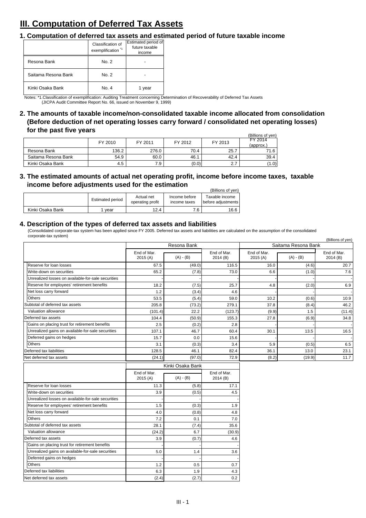# **III. Computation of Deferred Tax Assets**

### **1. Computation of deferred tax assets and estimated period of future taxable income**

#### **4. Description of the types of deferred tax assets and liabilities**

11.3 (5.8) 17.1

|                  |                  |                                |                               | (Billions of yen)                      |
|------------------|------------------|--------------------------------|-------------------------------|----------------------------------------|
|                  | Estimated period | Actual net<br>operating profit | Income before<br>income taxes | Taxable income<br>  before adjustments |
| Kinki Osaka Bank | vear             | 12.4                           | 7.6                           | 16.6                                   |

|                     |         |         |         |         | (Billions of yen) |  |          |
|---------------------|---------|---------|---------|---------|-------------------|--|----------|
|                     | FY 2010 | FY 2011 | FY 2012 | FY 2013 | FY 2014           |  |          |
|                     |         |         |         |         |                   |  | (approx. |
| Resona Bank         | 136.2   | 276.0   | 70.4    | 25.7    | 71.6              |  |          |
| Saitama Resona Bank | 54.9    | 60.0    | 46.1    | 42.4    | 39.4              |  |          |
| Kinki Osaka Bank    | 4.5     | 7.9     | (0.0)   | 2.7     | (1.0)             |  |          |

Notes: \*1.Classification of exemplification: Auditing Treatment concerning Determination of Recoverability of Deferred Tax Assets (JICPA Audit Committee Report No. 66, issued on November 9, 1999)

### **2. The amounts of taxable income/non-consolidated taxable income allocated from consolidation (Before deduction of net operating losses carry forward / consolidated net operating losses) for the past five years**

|                     | Classification of<br>exemplification <sup>*1</sup> | Estimated period of<br>future taxable<br>income |
|---------------------|----------------------------------------------------|-------------------------------------------------|
| Resona Bank         | No. 2                                              |                                                 |
| Saitama Resona Bank | No. 2                                              |                                                 |
| Kinki Osaka Bank    | No. 4                                              | 1 year                                          |

|                                                    |                        |             |                        |                        |                     | (Billions of yen)      |
|----------------------------------------------------|------------------------|-------------|------------------------|------------------------|---------------------|------------------------|
|                                                    |                        | Resona Bank |                        |                        | Saitama Resona Bank |                        |
|                                                    | End of Mar.<br>2015(A) | $(A) - (B)$ | End of Mar.<br>2014(B) | End of Mar.<br>2015(A) | $(A) - (B)$         | End of Mar.<br>2014(B) |
| Reserve for loan losses                            | 67.5                   | (49.0)      | 116.5                  | 16.0                   | (4.6)               | 20.7                   |
| Write-down on securities                           | 65.2                   | (7.8)       | 73.0                   | 6.6                    | (1.0)               | 7.6                    |
| Unrealized losses on available-for-sale securities |                        |             |                        |                        |                     |                        |
| Reserve for employees' retirement benefits         | 18.2                   | (7.5)       | 25.7                   | 4.8                    | (2.0)               | 6.9                    |
| Net loss carry forward                             | 1.2                    | (3.4)       | 4.6                    |                        |                     |                        |
| <b>Others</b>                                      | 53.5                   | (5.4)       | 59.0                   | 10.2                   | (0.6)               | 10.9                   |
| Subtotal of deferred tax assets                    | 205.8                  | (73.2)      | 279.1                  | 37.8                   | (8.4)               | 46.2                   |
| Valuation allowance                                | (101.4)                | 22.2        | (123.7)                | (9.9)                  | 1.5                 | (11.4)                 |
| Deferred tax assets                                | 104.4                  | (50.9)      | 155.3                  | 27.8                   | (6.9)               | 34.8                   |
| Gains on placing trust for retirement benefits     | 2.5                    | (0.2)       | 2.8                    |                        |                     |                        |
| Unrealized gains on available-for-sale securities  | 107.1                  | 46.7        | 60.4                   | 30.1                   | 13.5                | 16.5                   |
| Deferred gains on hedges                           | 15.7                   | 0.0         | 15.6                   |                        |                     |                        |
| <b>Others</b>                                      | 3.1                    | (0.3)       | 3.4                    | 5.9                    | (0.5)               | 6.5                    |
| Deferred tax liabilities                           | 128.5                  | 46.1        | 82.4                   | 36.1                   | 13.0                | 23.1                   |
| Net deferred tax assets                            | (24.1)                 | (97.0)      | 72.9                   | (8.2)                  | (19.9)              | 11.7                   |
|                                                    | Kinki Osaka Bank       |             |                        |                        |                     |                        |
|                                                    | End of Mar.<br>2015(A) | $(A) - (B)$ | End of Mar.<br>2014(B) |                        |                     |                        |

(Consolidated corporate-tax system has been applied since FY 2005. Deferred tax assets and liabilities are calculated on the assumption of the consolidated corporate-tax system)

| Write-down on securities                           | 3.9    | (0.5) | 4.5    |
|----------------------------------------------------|--------|-------|--------|
| Unrealized losses on available-for-sale securities |        |       |        |
| Reserve for employees' retirement benefits         | 1.5    | (0.3) | 1.9    |
| Net loss carry forward                             | 4.0    | (0.8) | 4.8    |
| <b>Others</b>                                      | 7.2    | 0.1   | 7.0    |
| Subtotal of deferred tax assets                    | 28.1   | (7.4) | 35.6   |
| Valuation allowance                                | (24.2) | 6.7   | (30.9) |
| Deferred tax assets                                | 3.9    | (0.7) | 4.6    |
| Gains on placing trust for retirement benefits     |        |       |        |
| Unrealized gains on available-for-sale securities  | 5.0    | 1.4   | 3.6    |
| Deferred gains on hedges                           |        |       |        |
| <b>Others</b>                                      | 1.2    | 0.5   | 0.7    |
| Deferred tax liabilities                           | 6.3    | 1.9   | 4.3    |
| Net deferred tax assets                            | (2.4)  | (2.7) | 0.2    |

### **3. The estimated amounts of actual net operating profit, income before income taxes, taxable income before adjustments used for the estimation**

Reserve for loan losses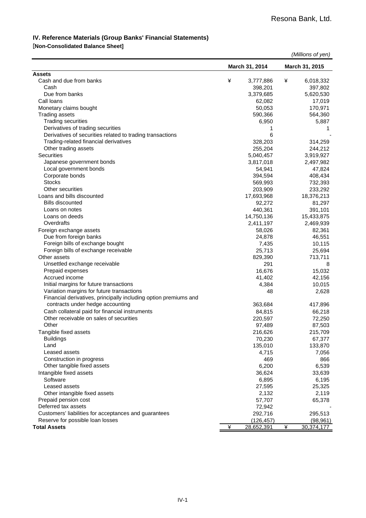#### **IV. Reference Materials (Group Banks' Financial Statements)**

#### [**Non-Consolidated Balance Sheet]**

|                                                                  |   |                   |   | (Millions of yen) |
|------------------------------------------------------------------|---|-------------------|---|-------------------|
|                                                                  |   | March 31, 2014    |   | March 31, 2015    |
| <b>Assets</b>                                                    |   |                   |   |                   |
| Cash and due from banks                                          | ¥ | 3,777,886         | ¥ | 6,018,332         |
| Cash                                                             |   | 398,201           |   | 397,802           |
| Due from banks                                                   |   | 3,379,685         |   | 5,620,530         |
| Call loans                                                       |   | 62,082            |   | 17,019            |
| Monetary claims bought                                           |   | 50,053            |   | 170,971           |
| <b>Trading assets</b>                                            |   | 590,366           |   | 564,360           |
| <b>Trading securities</b>                                        |   | 6,950             |   | 5,887             |
| Derivatives of trading securities                                |   | 1                 |   | 1                 |
| Derivatives of securities related to trading transactions        |   | 6                 |   |                   |
| Trading-related financial derivatives                            |   | 328,203           |   | 314,259           |
| Other trading assets                                             |   | 255,204           |   | 244,212           |
| <b>Securities</b>                                                |   | 5,040,457         |   | 3,919,927         |
| Japanese government bonds                                        |   | 3,817,018         |   | 2,497,982         |
| Local government bonds                                           |   | 54,941            |   | 47,824            |
| Corporate bonds                                                  |   | 394,594           |   | 408,434           |
| <b>Stocks</b>                                                    |   | 569,993           |   | 732,393           |
| Other securities                                                 |   | 203,909           |   | 233,292           |
| Loans and bills discounted                                       |   | 17,693,968        |   | 18,376,213        |
| <b>Bills discounted</b>                                          |   | 92,272            |   | 81,297            |
| Loans on notes                                                   |   | 440,361           |   | 391,101           |
| Loans on deeds                                                   |   | 14,750,136        |   | 15,433,875        |
| Overdrafts                                                       |   | 2,411,197         |   | 2,469,939         |
| Foreign exchange assets                                          |   | 58,026            |   | 82,361            |
| Due from foreign banks                                           |   | 24,878            |   | 46,551            |
| Foreign bills of exchange bought                                 |   | 7,435             |   | 10,115            |
| Foreign bills of exchange receivable                             |   | 25,713            |   | 25,694            |
| Other assets                                                     |   | 829,390           |   | 713,711           |
| Unsettled exchange receivable                                    |   | 291               |   | 8                 |
| Prepaid expenses                                                 |   | 16,676            |   | 15,032            |
| Accrued income                                                   |   | 41,402            |   | 42,156            |
| Initial margins for future transactions                          |   | 4,384             |   | 10,015            |
| Variation margins for future transactions                        |   | 48                |   | 2,628             |
| Financial derivatives, principally including option premiums and |   |                   |   |                   |
| contracts under hedge accounting                                 |   | 363,684           |   | 417,896           |
| Cash collateral paid for financial instruments                   |   | 84,815            |   | 66,218            |
| Other receivable on sales of securities                          |   | 220,597           |   | 72,250            |
| Other                                                            |   | 97,489            |   | 87,503            |
| Tangible fixed assets                                            |   | 216,626           |   | 215,709           |
| <b>Buildings</b>                                                 |   | 70,230            |   | 67,377            |
| Land                                                             |   | 135,010           |   | 133,870           |
| Leased assets                                                    |   | 4,715             |   | 7,056             |
| Construction in progress                                         |   | 469               |   | 866               |
| Other tangible fixed assets                                      |   | 6,200             |   | 6,539             |
| Intangible fixed assets                                          |   | 36,624            |   | 33,639            |
| Software                                                         |   | 6,895             |   | 6,195             |
| Leased assets                                                    |   | 27,595            |   | 25,325            |
| Other intangible fixed assets                                    |   | 2,132             |   | 2,119             |
| Prepaid pension cost                                             |   | 57,707            |   | 65,378            |
| Deferred tax assets                                              |   | 72,942            |   |                   |
| Customers' liabilities for acceptances and guarantees            |   | 292,716           |   | 295,513           |
| Reserve for possible loan losses                                 |   | (126,457)         |   | (98, 961)         |
| <b>Total Assets</b>                                              | ¥ | <u>28,652,391</u> | ¥ | 30,374,177        |
|                                                                  |   |                   |   |                   |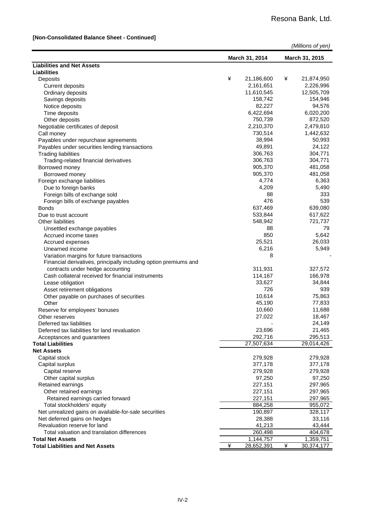#### **[Non-Consolidated Balance Sheet - Continued]**

|                                                                                                               |   |                |   | (Millions of yen) |
|---------------------------------------------------------------------------------------------------------------|---|----------------|---|-------------------|
|                                                                                                               |   | March 31, 2014 |   | March 31, 2015    |
| <b>Liabilities and Net Assets</b>                                                                             |   |                |   |                   |
| <b>Liabilities</b>                                                                                            |   |                |   |                   |
| Deposits                                                                                                      | ¥ | 21,186,600     | ¥ | 21,874,950        |
| <b>Current deposits</b>                                                                                       |   | 2,161,651      |   | 2,226,996         |
| Ordinary deposits                                                                                             |   | 11,610,545     |   | 12,505,709        |
| Savings deposits                                                                                              |   | 158,742        |   | 154,946           |
| Notice deposits                                                                                               |   | 82,227         |   | 94,576            |
| Time deposits                                                                                                 |   | 6,422,694      |   | 6,020,200         |
| Other deposits                                                                                                |   | 750,739        |   | 872,520           |
| Negotiable certificates of deposit                                                                            |   | 2,210,370      |   | 2,479,810         |
| Call money                                                                                                    |   | 730,514        |   | 1,442,632         |
| Payables under repurchase agreements                                                                          |   | 38,994         |   | 50,993            |
| Payables under securities lending transactions                                                                |   | 49,891         |   | 24,122            |
| <b>Trading liabilities</b>                                                                                    |   | 306,763        |   | 304,771           |
| Trading-related financial derivatives                                                                         |   | 306,763        |   | 304,771           |
| Borrowed money                                                                                                |   | 905,370        |   | 481,058           |
| Borrowed money                                                                                                |   | 905,370        |   | 481,058           |
| Foreign exchange liabilities                                                                                  |   | 4,774          |   | 6,363             |
| Due to foreign banks                                                                                          |   | 4,209          |   | 5,490             |
| Foreign bills of exchange sold                                                                                |   | 88             |   | 333               |
| Foreign bills of exchange payables                                                                            |   | 476            |   | 539               |
| <b>Bonds</b>                                                                                                  |   | 637,469        |   | 639,080           |
| Due to trust account                                                                                          |   | 533,844        |   | 617,622           |
| <b>Other liabilities</b>                                                                                      |   | 548,942        |   | 721,737           |
| Unsettled exchange payables                                                                                   |   | 88             |   | 79                |
| Accrued income taxes                                                                                          |   | 850            |   | 5,642             |
| Accrued expenses                                                                                              |   | 25,521         |   | 26,033            |
| Unearned income                                                                                               |   | 6,216          |   | 5,949             |
| Variation margins for future transactions<br>Financial derivatives, principally including option premiums and |   | 8              |   |                   |
| contracts under hedge accounting                                                                              |   | 311,931        |   | 327,572           |
| Cash collateral received for financial instruments                                                            |   | 114,167        |   | 166,978           |
| Lease obligation                                                                                              |   | 33,627         |   | 34,844            |
| Asset retirement obligations                                                                                  |   | 726            |   | 939               |
| Other payable on purchases of securities                                                                      |   | 10,614         |   | 75,863            |
| Other                                                                                                         |   | 45,190         |   | 77,833            |
| Reserve for employees' bonuses                                                                                |   | 10,660         |   | 11,688            |
| Other reserves                                                                                                |   | 27,022         |   | 18,467            |
| Deferred tax liabilities                                                                                      |   |                |   | 24,149            |
| Deferred tax liabilities for land revaluation                                                                 |   | 23,696         |   | 21,465            |
| Acceptances and guarantees                                                                                    |   | 292,716        |   | 295,513           |
| <b>Total Liabilities</b>                                                                                      |   | 27,507,634     |   | 29,014,426        |
| <b>Net Assets</b>                                                                                             |   |                |   |                   |
| Capital stock                                                                                                 |   | 279,928        |   | 279,928           |
| Capital surplus                                                                                               |   | 377,178        |   | 377,178           |
| Capital reserve                                                                                               |   | 279,928        |   | 279,928           |
| Other capital surplus                                                                                         |   | 97,250         |   | 97,250            |
| Retained earnings                                                                                             |   | 227,151        |   | 297,965           |
| Other retained earnings                                                                                       |   | 227,151        |   | 297,965           |
| Retained earnings carried forward                                                                             |   | 227,151        |   | 297,965           |
| Total stockholders' equity                                                                                    |   | 884,258        |   | 955,072           |
| Net unrealized gains on available-for-sale securities                                                         |   | 190,897        |   | 328,117           |
| Net deferred gains on hedges                                                                                  |   | 28,388         |   | 33,116            |
| Revaluation reserve for land                                                                                  |   | 41,213         |   | 43,444            |
| Total valuation and translation differences                                                                   |   | 260,498        |   | 404,678           |
| <b>Total Net Assets</b>                                                                                       |   | 1,144,757      |   | 1,359,751         |
| <b>Total Liabilities and Net Assets</b>                                                                       | ¥ | 28,652,391     | ¥ | 30,374,177        |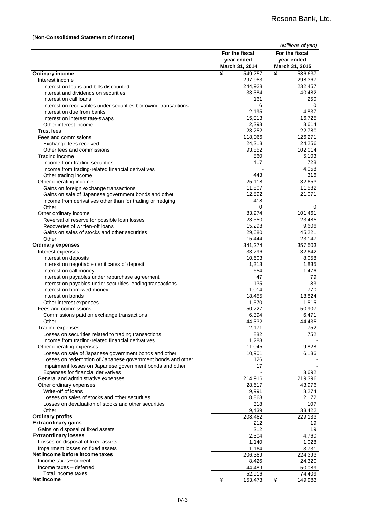#### **[Non-Consolidated Statement of Income]**

|                                                                 |                 | (Millions of yen) |
|-----------------------------------------------------------------|-----------------|-------------------|
|                                                                 | For the fiscal  | For the fiscal    |
|                                                                 | year ended      | year ended        |
|                                                                 | March 31, 2014  | March 31, 2015    |
| <b>Ordinary income</b>                                          | ¥<br>549,757    | ¥<br>586,637      |
| Interest income                                                 | 297,983         | 298,367           |
| Interest on loans and bills discounted                          | 244,928         | 232,457           |
| Interest and dividends on securities                            | 33,384          | 40,482            |
| Interest on call loans                                          | 161             | 250               |
| Interest on receivables under securities borrowing transactions | 6               | 0                 |
| Interest on due from banks                                      | 2,195<br>15,013 | 4,837<br>16,725   |
| Interest on interest rate-swaps<br>Other interest income        | 2,293           | 3,614             |
| <b>Trust fees</b>                                               | 23,752          | 22,780            |
| Fees and commissions                                            | 118,066         | 126,271           |
| Exchange fees received                                          | 24,213          | 24,256            |
| Other fees and commissions                                      | 93,852          | 102,014           |
| Trading income                                                  | 860             | 5,103             |
| Income from trading securities                                  | 417             | 728               |
| Income from trading-related financial derivatives               |                 | 4,058             |
| Other trading income                                            | 443             | 316               |
| Other operating income                                          | 25,118          | 32,653            |
| Gains on foreign exchange transactions                          | 11,807          | 11,582            |
| Gains on sale of Japanese government bonds and other            | 12,892          | 21,071            |
| Income from derivatives other than for trading or hedging       | 418             |                   |
| Other                                                           | 0               | 0                 |
| Other ordinary income                                           | 83,974          | 101,461           |
| Reversal of reserve for possible loan losses                    | 23,550          | 23,485            |
| Recoveries of written-off loans                                 | 15,298          | 9,606             |
| Gains on sales of stocks and other securities                   | 29,680          | 45,221            |
| Other                                                           | 15,444          | 23,147            |
| <b>Ordinary expenses</b>                                        | 341,274         | 357,503           |
| Interest expenses<br>Interest on deposits                       | 33,796          | 32,642<br>8,058   |
| Interest on negotiable certificates of deposit                  | 10,603<br>1,313 | 1,835             |
| Interest on call money                                          | 654             | 1,476             |
| Interest on payables under repurchase agreement                 | 47              | 79                |
| Interest on payables under securities lending transactions      | 135             | 83                |
| Interest on borrowed money                                      | 1,014           | 770               |
| Interest on bonds                                               | 18,455          | 18,824            |
| Other interest expenses                                         | 1,570           | 1,515             |
| Fees and commissions                                            | 50,727          | 50,907            |
| Commissions paid on exchange transactions                       | 6,394           | 6,471             |
| Other                                                           | 44,332          | 44,435            |
| <b>Trading expenses</b>                                         | 2,171           | 752               |
| Losses on securities related to trading transactions            | 882             | 752               |
| Income from trading-related financial derivatives               | 1,288           |                   |
| Other operating expenses                                        | 11,045          | 9,828             |
| Losses on sale of Japanese government bonds and other           | 10,901          | 6,136             |
| Losses on redemption of Japanese government bonds and other     | 126             |                   |
| Impairment losses on Japanese government bonds and other        | 17              |                   |
| Expenses for financial derivatives                              |                 | 3,692             |
| General and administrative expenses                             | 214,916         | 219,396           |
| Other ordinary expenses<br>Write-off of loans                   | 28,617          | 43,976            |
| Losses on sales of stocks and other securities                  | 9,991<br>8,868  | 8,274<br>2,172    |
| Losses on devaluation of stocks and other securities            | 318             | 107               |
| Other                                                           | 9,439           | 33,422            |
| <b>Ordinary profits</b>                                         | 208,482         | 229,133           |
| <b>Extraordinary gains</b>                                      | 212             | 19                |
| Gains on disposal of fixed assets                               | 212             | 19                |
| <b>Extraordinary losses</b>                                     | 2,304           | 4,760             |
| Losses on disposal of fixed assets                              | 1,140           | 1,028             |
| Impairment losses on fixed assets                               | 1,164           | 3,731             |
| Net income before income taxes                                  | 206,389         | 224,393           |
| $Income taxes-current$                                          | 8,426           | 24,320            |
| Income taxes - deferred                                         | 44,489          | 50,089            |
| Total income taxes                                              | 52,916          | 74,409            |
| Net income                                                      | ¥<br>153,473    | ¥<br>149,983      |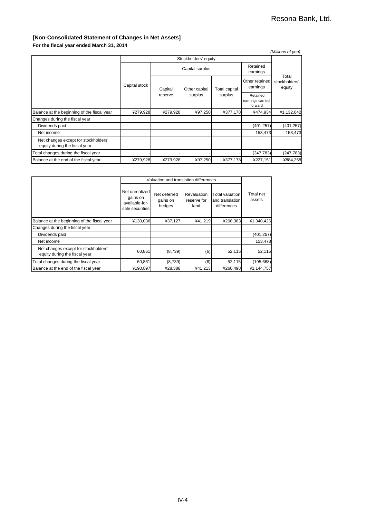#### **[Non-Consolidated Statement of Changes in Net Assets]**

**For the fiscal year ended March 31, 2014**

|                                                                       |               |                 |               |                                 |                            | (Millions of yen)                |                                         |
|-----------------------------------------------------------------------|---------------|-----------------|---------------|---------------------------------|----------------------------|----------------------------------|-----------------------------------------|
| Stockholders' equity                                                  |               |                 |               |                                 |                            |                                  |                                         |
|                                                                       |               | Capital surplus |               |                                 | Retained<br>earnings       |                                  |                                         |
|                                                                       | Capital stock | Capital         | Other capital | <b>Total capital</b><br>surplus | Other retained<br>earnings | Total<br>stockholders'<br>equity |                                         |
|                                                                       |               | reserve         | surplus       |                                 |                            |                                  | Retained<br>earnings carried<br>forward |
| Balance at the beginning of the fiscal year                           | ¥279,928      | ¥279,928        | ¥97,250       | ¥377,178                        | ¥474,934                   | ¥1,132,042                       |                                         |
| Changes during the fiscal year                                        |               |                 |               |                                 |                            |                                  |                                         |
| Dividends paid                                                        |               |                 |               |                                 | (401, 257)                 | (401, 257)                       |                                         |
| Net income                                                            |               |                 |               |                                 | 153,473                    | 153,473                          |                                         |
| Net changes except for stockholders'<br>equity during the fiscal year |               |                 |               |                                 |                            |                                  |                                         |
| Total changes during the fiscal year                                  |               |                 |               |                                 | (247, 783)                 | (247, 783)                       |                                         |
| Balance at the end of the fiscal year                                 | ¥279,928      | ¥279,928        | ¥97,250       | ¥377,178                        | ¥227,151                   | ¥884,258                         |                                         |

|                                                                       | Valuation and translation differences                           |                                    |                                    |                                                   |                     |
|-----------------------------------------------------------------------|-----------------------------------------------------------------|------------------------------------|------------------------------------|---------------------------------------------------|---------------------|
|                                                                       | Net unrealized<br>gains on<br>available-for-<br>sale securities | Net deferred<br>gains on<br>hedges | Revaluation<br>reserve for<br>land | Total valuation<br>and translation<br>differences | Total net<br>assets |
| Balance at the beginning of the fiscal year                           | ¥130,036                                                        | ¥37,127                            | ¥41,219                            | ¥208,383                                          | ¥1,340,426          |
| Changes during the fiscal year                                        |                                                                 |                                    |                                    |                                                   |                     |
| Dividends paid                                                        |                                                                 |                                    |                                    |                                                   | (401, 257)          |
| Net income                                                            |                                                                 |                                    |                                    |                                                   | 153,473             |
| Net changes except for stockholders'<br>equity during the fiscal year | 60.861                                                          | (8,739)                            | (6)                                | 52,115                                            | 52,115              |
| Total changes during the fiscal year                                  | 60,861                                                          | (8,739)                            | (6)                                | 52,115                                            | (195, 668)          |
| Balance at the end of the fiscal year                                 | ¥190,897                                                        | ¥28,388                            | ¥41,213                            | ¥260,498                                          | ¥1,144,757          |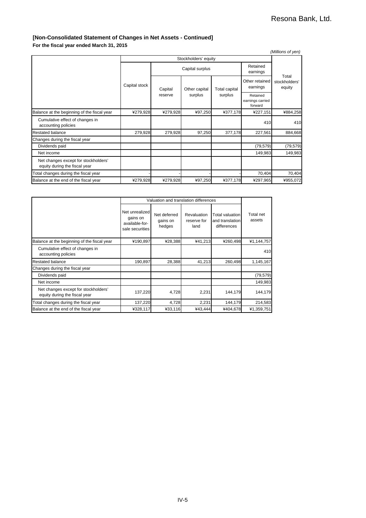#### **[Non-Consolidated Statement of Changes in Net Assets - Continued]**

**For the fiscal year ended March 31, 2015**

|                                                                       |                 |          |                      |               |                            | (Millions of yen)       |  |                                         |  |
|-----------------------------------------------------------------------|-----------------|----------|----------------------|---------------|----------------------------|-------------------------|--|-----------------------------------------|--|
| Stockholders' equity                                                  |                 |          |                      |               |                            |                         |  |                                         |  |
|                                                                       | Capital surplus |          | Retained<br>earnings | Total         |                            |                         |  |                                         |  |
|                                                                       | Capital stock   | Capital  | Other capital        | Total capital | Other retained<br>earnings | stockholders'<br>equity |  |                                         |  |
|                                                                       |                 | reserve  |                      |               | surplus                    | surplus                 |  | Retained<br>earnings carried<br>forward |  |
| Balance at the beginning of the fiscal year                           | ¥279,928        | ¥279,928 | ¥97,250              | ¥377,178      | ¥227,151                   | ¥884,258                |  |                                         |  |
| Cumulative effect of changes in<br>accounting policies                |                 |          |                      |               | 410                        | 410                     |  |                                         |  |
| <b>Restated balance</b>                                               | 279,928         | 279,928  | 97,250               | 377,178       | 227,561                    | 884,668                 |  |                                         |  |
| Changes during the fiscal year                                        |                 |          |                      |               |                            |                         |  |                                         |  |
| Dividends paid                                                        |                 |          |                      |               | (79, 579)                  | (79, 579)               |  |                                         |  |
| Net income                                                            |                 |          |                      |               | 149,983                    | 149,983                 |  |                                         |  |
| Net changes except for stockholders'<br>equity during the fiscal year |                 |          |                      |               |                            |                         |  |                                         |  |
| Total changes during the fiscal year                                  |                 |          |                      |               | 70,404                     | 70,404                  |  |                                         |  |
| Balance at the end of the fiscal year                                 | ¥279,928        | ¥279,928 | ¥97,250              | ¥377,178      | ¥297,965                   | ¥955,072                |  |                                         |  |

|                                                                       | Valuation and translation differences                           |                                    |                                    |                                                          |                     |
|-----------------------------------------------------------------------|-----------------------------------------------------------------|------------------------------------|------------------------------------|----------------------------------------------------------|---------------------|
|                                                                       | Net unrealized<br>gains on<br>available-for-<br>sale securities | Net deferred<br>gains on<br>hedges | Revaluation<br>reserve for<br>land | <b>Total valuation</b><br>and translation<br>differences | Total net<br>assets |
| Balance at the beginning of the fiscal year                           | ¥190,897                                                        | ¥28,388                            | ¥41,213                            | ¥260,498                                                 | ¥1,144,757          |
| Cumulative effect of changes in<br>accounting policies                |                                                                 |                                    |                                    |                                                          | 410                 |
| Restated balance                                                      | 190,897                                                         | 28,388                             | 41,213                             | 260,498                                                  | 1,145,167           |
| Changes during the fiscal year                                        |                                                                 |                                    |                                    |                                                          |                     |
| Dividends paid                                                        |                                                                 |                                    |                                    |                                                          | (79, 579)           |
| Net income                                                            |                                                                 |                                    |                                    |                                                          | 149,983             |
| Net changes except for stockholders'<br>equity during the fiscal year | 137,220                                                         | 4,728                              | 2,231                              | 144,179                                                  | 144,179             |
| Total changes during the fiscal year                                  | 137,220                                                         | 4,728                              | 2,231                              | 144,179                                                  | 214,583             |
| Balance at the end of the fiscal year                                 | ¥328,117                                                        | ¥33,116                            | ¥43.444                            | ¥404.678                                                 | ¥1,359,751          |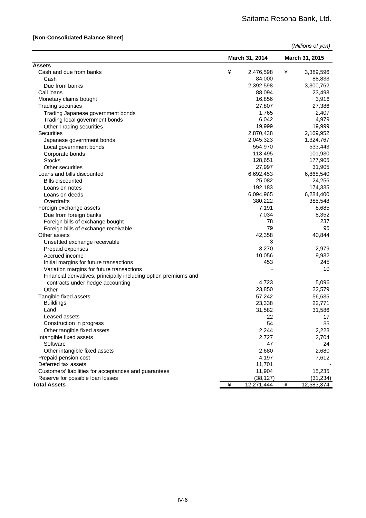#### **[Non-Consolidated Balance Sheet]**

| (Millions of yen) |  |  |
|-------------------|--|--|
|-------------------|--|--|

|                                                                  | March 31, 2014 |              | March 31, 2015 |              |
|------------------------------------------------------------------|----------------|--------------|----------------|--------------|
| <b>Assets</b>                                                    |                |              |                |              |
| Cash and due from banks                                          | ¥              | 2,476,598    | ¥              | 3,389,596    |
| Cash                                                             |                | 84,000       |                | 88,833       |
| Due from banks                                                   |                | 2,392,598    |                | 3,300,762    |
| Call loans                                                       |                | 88,094       |                | 23,498       |
| Monetary claims bought                                           |                | 16,856       |                | 3,916        |
| <b>Trading securities</b>                                        |                | 27,807       |                | 27,386       |
| Trading Japanese government bonds                                |                | 1,765        |                | 2,407        |
| Trading local government bonds                                   |                | 6,042        |                | 4,979        |
| <b>Other Trading securities</b>                                  |                | 19,999       |                | 19,999       |
| <b>Securities</b>                                                |                | 2,870,438    |                | 2,169,952    |
| Japanese government bonds                                        |                | 2,045,323    |                | 1,324,767    |
| Local government bonds                                           |                | 554,970      |                | 533,443      |
| Corporate bonds                                                  |                | 113,495      |                | 101,930      |
| <b>Stocks</b>                                                    |                | 128,651      |                | 177,905      |
| Other securities                                                 |                | 27,997       |                | 31,905       |
| Loans and bills discounted                                       |                | 6,692,453    |                | 6,868,540    |
| <b>Bills discounted</b>                                          |                | 25,082       |                | 24,256       |
| Loans on notes                                                   |                | 192,183      |                | 174,335      |
| Loans on deeds                                                   |                | 6,094,965    |                | 6,284,400    |
| Overdrafts                                                       |                | 380,222      |                | 385,548      |
| Foreign exchange assets                                          |                | 7,191        |                | 8,685        |
| Due from foreign banks                                           |                | 7,034        |                | 8,352        |
| Foreign bills of exchange bought                                 |                | 78           |                | 237          |
| Foreign bills of exchange receivable                             |                | 79           |                | 95           |
| Other assets                                                     |                | 42,358       |                | 40,844       |
| Unsettled exchange receivable                                    |                | 3            |                |              |
| Prepaid expenses                                                 |                | 3,270        |                | 2,979        |
| Accrued income                                                   |                | 10,056       |                | 9,932        |
| Initial margins for future transactions                          |                | 453          |                | 245          |
| Variation margins for future transactions                        |                |              |                | 10           |
| Financial derivatives, principally including option premiums and |                |              |                |              |
| contracts under hedge accounting                                 |                | 4,723        |                | 5,096        |
| Other                                                            |                | 23,850       |                | 22,579       |
| Tangible fixed assets                                            |                | 57,242       |                | 56,635       |
| <b>Buildings</b>                                                 |                | 23,338       |                | 22,771       |
| Land                                                             |                |              |                |              |
| Leased assets                                                    |                | 31,582<br>22 |                | 31,586<br>17 |
| Construction in progress                                         |                | 54           |                | 35           |
|                                                                  |                |              |                |              |
| Other tangible fixed assets                                      |                | 2,244        |                | 2,223        |
| Intangible fixed assets                                          |                | 2,727        |                | 2,704        |
| Software                                                         |                | 47           |                | 24           |
| Other intangible fixed assets                                    |                | 2,680        |                | 2,680        |
| Prepaid pension cost                                             |                | 4,197        |                | 7,612        |
| Deferred tax assets                                              |                | 11,701       |                |              |
| Customers' liabilities for acceptances and guarantees            |                | 11,904       |                | 15,235       |
| Reserve for possible loan losses                                 |                | (38, 127)    |                | (31, 234)    |
| <b>Total Assets</b>                                              | ¥              | 12,271,444   | ¥              | 12,583,374   |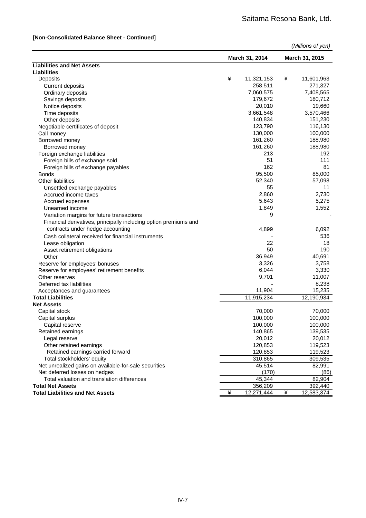#### **[Non-Consolidated Balance Sheet - Continued]**

|                                                                  |   |                |   | (Millions of yen) |
|------------------------------------------------------------------|---|----------------|---|-------------------|
|                                                                  |   | March 31, 2014 |   | March 31, 2015    |
| <b>Liabilities and Net Assets</b>                                |   |                |   |                   |
| Liabilities                                                      |   |                |   |                   |
| Deposits                                                         | ¥ | 11,321,153     | ¥ | 11,601,963        |
| <b>Current deposits</b>                                          |   | 258,511        |   | 271,327           |
| Ordinary deposits                                                |   | 7,060,575      |   | 7,408,565         |
| Savings deposits                                                 |   | 179,672        |   | 180,712           |
| Notice deposits                                                  |   | 20,010         |   | 19,660            |
| Time deposits                                                    |   | 3,661,548      |   | 3,570,466         |
| Other deposits                                                   |   | 140,834        |   | 151,230           |
| Negotiable certificates of deposit                               |   | 123,790        |   | 116,130           |
| Call money                                                       |   | 130,000        |   | 100,000           |
| Borrowed money                                                   |   | 161,260        |   | 188,980           |
| Borrowed money                                                   |   | 161,260        |   | 188,980           |
| Foreign exchange liabilities                                     |   | 213            |   | 192               |
|                                                                  |   | 51             |   | 111               |
| Foreign bills of exchange sold                                   |   |                |   |                   |
| Foreign bills of exchange payables                               |   | 162            |   | 81                |
| <b>Bonds</b>                                                     |   | 95,500         |   | 85,000            |
| Other liabilities                                                |   | 52,340         |   | 57,098            |
| Unsettled exchange payables                                      |   | 55             |   | 11                |
| Accrued income taxes                                             |   | 2,860          |   | 2,730             |
| Accrued expenses                                                 |   | 5,643          |   | 5,275             |
| Unearned income                                                  |   | 1,849          |   | 1,552             |
| Variation margins for future transactions                        |   | 9              |   |                   |
| Financial derivatives, principally including option premiums and |   |                |   |                   |
| contracts under hedge accounting                                 |   | 4,899          |   | 6,092             |
| Cash collateral received for financial instruments               |   |                |   | 536               |
| Lease obligation                                                 |   | 22             |   | 18                |
| Asset retirement obligations                                     |   | 50             |   | 190               |
| Other                                                            |   | 36,949         |   | 40,691            |
| Reserve for employees' bonuses                                   |   | 3,326          |   | 3,758             |
| Reserve for employees' retirement benefits                       |   | 6,044          |   | 3,330             |
| Other reserves                                                   |   | 9,701          |   | 11,007            |
| Deferred tax liabilities                                         |   |                |   | 8,238             |
| Acceptances and guarantees                                       |   | 11,904         |   | 15,235            |
| <b>Total Liabilities</b>                                         |   | 11,915,234     |   | 12,190,934        |
| <b>Net Assets</b>                                                |   |                |   |                   |
| Capital stock                                                    |   | 70,000         |   | 70,000            |
| Capital surplus                                                  |   | 100,000        |   | 100,000           |
| Capital reserve                                                  |   | 100,000        |   | 100,000           |
| Retained earnings                                                |   | 140,865        |   | 139,535           |
| Legal reserve                                                    |   | 20,012         |   | 20,012            |
| Other retained earnings                                          |   | 120,853        |   | 119,523           |
| Retained earnings carried forward                                |   |                |   |                   |
|                                                                  |   | 120,853        |   | 119,523           |
| Total stockholders' equity                                       |   | 310,865        |   | 309,535           |
| Net unrealized gains on available-for-sale securities            |   | 45,514         |   | 82,991            |
| Net deferred losses on hedges                                    |   | (170)          |   | (86)              |
| Total valuation and translation differences                      |   | 45,344         |   | 82,904            |
| <b>Total Net Assets</b>                                          |   | 356,209        |   | 392,440           |
| <b>Total Liabilities and Net Assets</b>                          | ¥ | 12,271,444     | ¥ | 12,583,374        |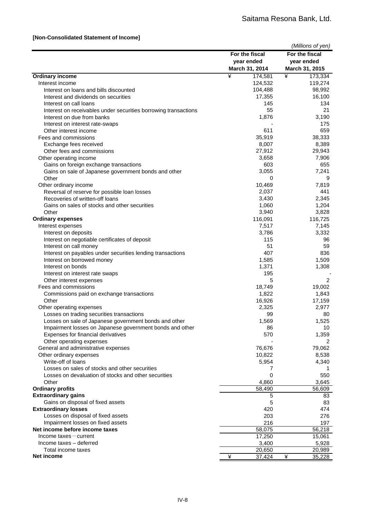|                                                                  |                | (Millions of yen) |
|------------------------------------------------------------------|----------------|-------------------|
|                                                                  | For the fiscal | For the fiscal    |
|                                                                  | year ended     | year ended        |
|                                                                  | March 31, 2014 | March 31, 2015    |
| <b>Ordinary income</b>                                           | ¥<br>174,581   | ¥<br>173,334      |
| Interest income                                                  | 124,532        | 119,274           |
| Interest on loans and bills discounted                           | 104,488        | 98,992            |
| Interest and dividends on securities                             | 17,355         | 16,100            |
| Interest on call loans                                           | 145            | 134               |
| Interest on receivables under securities borrowing transactions  | 55             | 21                |
| Interest on due from banks                                       | 1,876          | 3,190             |
| Interest on interest rate-swaps                                  |                | 175               |
| Other interest income                                            | 611            | 659               |
| Fees and commissions                                             | 35,919         | 38,333            |
| Exchange fees received                                           | 8,007          | 8,389             |
| Other fees and commissions                                       | 27,912         | 29,943            |
|                                                                  | 3,658          | 7,906             |
| Other operating income<br>Gains on foreign exchange transactions | 603            | 655               |
|                                                                  | 3,055          | 7,241             |
| Gains on sale of Japanese government bonds and other<br>Other    | 0              | 9                 |
|                                                                  | 10,469         | 7,819             |
| Other ordinary income                                            |                |                   |
| Reversal of reserve for possible loan losses                     | 2,037          | 441               |
| Recoveries of written-off loans                                  | 3,430          | 2,345             |
| Gains on sales of stocks and other securities                    | 1,060          | 1,204             |
| Other                                                            | 3,940          | 3,828             |
| <b>Ordinary expenses</b>                                         | 116,091        | 116,725           |
| Interest expenses                                                | 7,517          | 7,145             |
| Interest on deposits                                             | 3,786          | 3,332             |
| Interest on negotiable certificates of deposit                   | 115            | 96                |
| Interest on call money                                           | 51             | 59                |
| Interest on payables under securities lending transactions       | 407            | 836               |
| Interest on borrowed money                                       | 1,585          | 1,509             |
| Interest on bonds                                                | 1,371          | 1,308             |
| Interest on interest rate swaps                                  | 195            |                   |
| Other interest expenses                                          | 5              | 2                 |
| Fees and commissions                                             | 18,749         | 19,002            |
| Commissions paid on exchange transactions                        | 1,822          | 1,843             |
| Other                                                            | 16,926         | 17,159            |
| Other operating expenses                                         | 2,325          | 2,977             |
| Losses on trading securities transactions                        | 99             | 80                |
| Losses on sale of Japanese government bonds and other            | 1,569          | 1,525             |
| Impairment losses on Japanese government bonds and other         | 86             | 10                |
| Expenses for financial derivatives                               | 570            | 1,359             |
| Other operating expenses                                         |                | 2                 |
| General and administrative expenses                              | 76,676         | 79,062            |
| Other ordinary expenses                                          | 10,822         | 8,538             |
| Write-off of loans                                               | 5,954          | 4,340             |
| Losses on sales of stocks and other securities                   | 7              |                   |
| Losses on devaluation of stocks and other securities             | 0              | 550               |
| Other                                                            | 4,860          | 3,645             |
| <b>Ordinary profits</b>                                          | 58,490         | 56,609            |
| <b>Extraordinary gains</b>                                       | 5              | 83                |
| Gains on disposal of fixed assets                                | 5              | 83                |
| <b>Extraordinary losses</b>                                      | 420            | 474               |
| Losses on disposal of fixed assets                               | 203            | 276               |
| Impairment losses on fixed assets                                | 216            | 197               |
| Net income before income taxes                                   | 58,075         | 56,218            |
| $Income taxes - current$                                         | 17,250         | 15,061            |
| Income taxes - deferred                                          | 3,400          | 5,928             |
| Total income taxes                                               | 20,650         | 20,989            |
| Net income                                                       | ¥<br>37,424    | ¥<br>35,228       |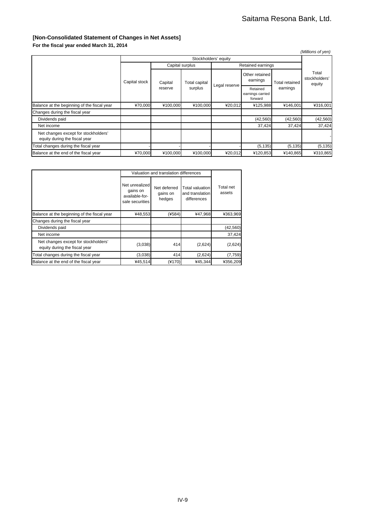#### **[Non-Consolidated Statement of Changes in Net Assets]**

**For the fiscal year ended March 31, 2014**

| (Millions of yen)                                                     |                      |                    |                 |               |                                         |                            |                                  |  |
|-----------------------------------------------------------------------|----------------------|--------------------|-----------------|---------------|-----------------------------------------|----------------------------|----------------------------------|--|
|                                                                       | Stockholders' equity |                    |                 |               |                                         |                            |                                  |  |
|                                                                       |                      |                    | Capital surplus |               | Retained earnings                       |                            |                                  |  |
|                                                                       | Capital stock        | Capital<br>reserve | Total capital   | Legal reserve | Other retained<br>earnings              | Total retained<br>earnings | Total<br>stockholders'<br>equity |  |
|                                                                       |                      |                    | surplus         |               | Retained<br>earnings carried<br>forward |                            |                                  |  |
| Balance at the beginning of the fiscal year                           | ¥70,000              | ¥100,000           | ¥100,000        | ¥20,012       | ¥125,988                                | ¥146,001                   | ¥316,001                         |  |
| Changes during the fiscal year                                        |                      |                    |                 |               |                                         |                            |                                  |  |
| Dividends paid                                                        |                      |                    |                 |               | (42, 560)                               | (42, 560)                  | (42, 560)                        |  |
| Net income                                                            |                      |                    |                 |               | 37,424                                  | 37,424                     | 37,424                           |  |
| Net changes except for stockholders'<br>equity during the fiscal year |                      |                    |                 |               |                                         |                            |                                  |  |
| Total changes during the fiscal year                                  |                      |                    |                 |               | (5, 135)                                | (5, 135)                   | (5, 135)                         |  |
| Balance at the end of the fiscal year                                 | ¥70,000              | ¥100,000           | ¥100,000        | ¥20,012       | ¥120,853                                | ¥140,865                   | ¥310,865                         |  |

|                                                                       | Valuation and translation differences                           |                                    |                                                   |                     |
|-----------------------------------------------------------------------|-----------------------------------------------------------------|------------------------------------|---------------------------------------------------|---------------------|
|                                                                       | Net unrealized<br>gains on<br>available-for-<br>sale securities | Net deferred<br>gains on<br>hedges | Total valuation<br>and translation<br>differences | Total net<br>assets |
| Balance at the beginning of the fiscal year                           | ¥48,553                                                         | (4584)                             | ¥47.968                                           | ¥363.969            |
| Changes during the fiscal year                                        |                                                                 |                                    |                                                   |                     |
| Dividends paid                                                        |                                                                 |                                    |                                                   | (42, 560)           |
| Net income                                                            |                                                                 |                                    |                                                   | 37,424              |
| Net changes except for stockholders'<br>equity during the fiscal year | (3,038)                                                         | 414                                | (2,624)                                           | (2,624)             |
| Total changes during the fiscal year                                  | (3,038)                                                         | 414                                | (2,624)                                           | (7, 759)            |
| Balance at the end of the fiscal year                                 | ¥45,514                                                         | (¥170)                             | ¥45,344                                           | ¥356.209            |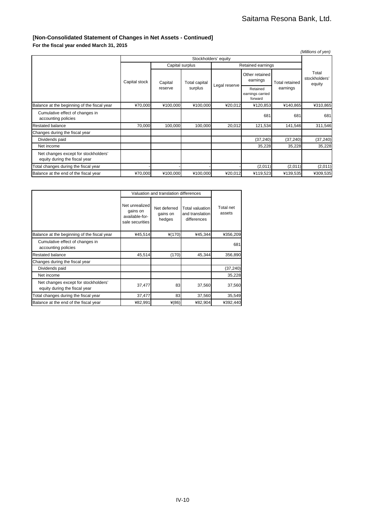#### **[Non-Consolidated Statement of Changes in Net Assets - Continued]**

**For the fiscal year ended March 31, 2015**

|                                                                       |                      |                 |               |               |                                         |                       | (Millions of yen)                |
|-----------------------------------------------------------------------|----------------------|-----------------|---------------|---------------|-----------------------------------------|-----------------------|----------------------------------|
|                                                                       | Stockholders' equity |                 |               |               |                                         |                       |                                  |
|                                                                       |                      | Capital surplus |               |               | Retained earnings                       |                       |                                  |
|                                                                       | Capital stock        | Capital         | Total capital |               | Other retained<br>earnings              | <b>Total retained</b> | Total<br>stockholders'<br>equity |
|                                                                       |                      | reserve         | surplus       | Legal reserve | Retained<br>earnings carried<br>forward | earnings              |                                  |
| Balance at the beginning of the fiscal year                           | ¥70,000              | ¥100,000        | ¥100,000      | ¥20,012       | ¥120,853                                | ¥140,865              | ¥310,865                         |
| Cumulative effect of changes in<br>accounting policies                |                      |                 |               |               | 681                                     | 681                   | 681                              |
| <b>Restated balance</b>                                               | 70,000               | 100,000         | 100,000       | 20,012        | 121,534                                 | 141,546               | 311,546                          |
| Changes during the fiscal year                                        |                      |                 |               |               |                                         |                       |                                  |
| Dividends paid                                                        |                      |                 |               |               | (37, 240)                               | (37, 240)             | (37, 240)                        |
| Net income                                                            |                      |                 |               |               | 35,228                                  | 35,228                | 35,228                           |
| Net changes except for stockholders'<br>equity during the fiscal year |                      |                 |               |               |                                         |                       |                                  |
| Total changes during the fiscal year                                  |                      |                 |               |               | (2,011)                                 | (2,011)               | (2,011)                          |
| Balance at the end of the fiscal year                                 | ¥70,000              | ¥100,000        | ¥100,000      | ¥20,012       | ¥119,523                                | ¥139,535              | ¥309,535                         |

|                                                                       | Valuation and translation differences                           |                                    |                                                   |                     |
|-----------------------------------------------------------------------|-----------------------------------------------------------------|------------------------------------|---------------------------------------------------|---------------------|
|                                                                       | Net unrealized<br>gains on<br>available-for-<br>sale securities | Net deferred<br>gains on<br>hedges | Total valuation<br>and translation<br>differences | Total net<br>assets |
| Balance at the beginning of the fiscal year                           | ¥45,514                                                         | ¥(170)                             | ¥45,344                                           | ¥356,209            |
| Cumulative effect of changes in<br>accounting policies                |                                                                 |                                    |                                                   | 681                 |
| Restated balance                                                      | 45,514                                                          | (170)                              | 45,344                                            | 356,890             |
| Changes during the fiscal year                                        |                                                                 |                                    |                                                   |                     |
| Dividends paid                                                        |                                                                 |                                    |                                                   | (37, 240)           |
| Net income                                                            |                                                                 |                                    |                                                   | 35,228              |
| Net changes except for stockholders'<br>equity during the fiscal year | 37,477                                                          | 83                                 | 37,560                                            | 37,560              |
| Total changes during the fiscal year                                  | 37,477                                                          | 83                                 | 37,560                                            | 35,549              |
| Balance at the end of the fiscal year                                 | ¥82,991                                                         | $*(86)$                            | ¥82,904                                           | ¥392,440            |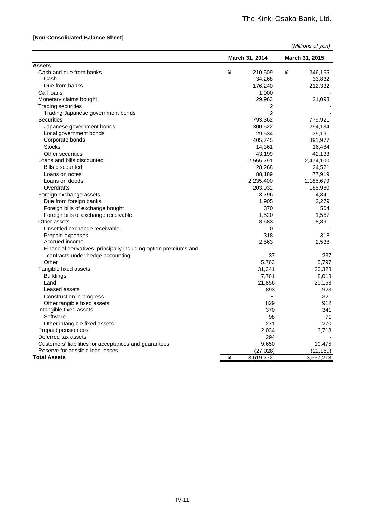#### **[Non-Consolidated Balance Sheet]**

|                                                                  |   | March 31, 2014 | March 31, 2015 |  |
|------------------------------------------------------------------|---|----------------|----------------|--|
| <b>Assets</b>                                                    |   |                |                |  |
| Cash and due from banks                                          | ¥ | 210,509        | ¥<br>246,165   |  |
| Cash                                                             |   | 34,268         | 33,832         |  |
| Due from banks                                                   |   | 176,240        | 212,332        |  |
| Call loans                                                       |   | 1,000          |                |  |
| Monetary claims bought                                           |   | 29,963         | 21,098         |  |
| <b>Trading securities</b>                                        |   | 2              |                |  |
| Trading Japanese government bonds                                |   | $\overline{2}$ |                |  |
| <b>Securities</b>                                                |   | 793,362        | 779,921        |  |
| Japanese government bonds                                        |   | 300,522        | 294,134        |  |
| Local government bonds                                           |   | 29,534         | 35,191         |  |
| Corporate bonds                                                  |   | 405,745        | 391,977        |  |
| <b>Stocks</b>                                                    |   | 14,361         | 16,484         |  |
| Other securities                                                 |   | 43,199         | 42,133         |  |
| Loans and bills discounted                                       |   | 2,555,791      | 2,474,100      |  |
| <b>Bills discounted</b>                                          |   | 28,268         | 24,521         |  |
| Loans on notes                                                   |   | 88,189         | 77,919         |  |
| Loans on deeds                                                   |   | 2,235,400      | 2,185,679      |  |
| Overdrafts                                                       |   | 203,932        | 185,980        |  |
| Foreign exchange assets                                          |   | 3,796          | 4,341          |  |
| Due from foreign banks                                           |   | 1,905          | 2,279          |  |
| Foreign bills of exchange bought                                 |   | 370            | 504            |  |
| Foreign bills of exchange receivable                             |   | 1,520          | 1,557          |  |
| Other assets                                                     |   | 8,683          | 8,891          |  |
| Unsettled exchange receivable                                    |   | 0              |                |  |
| Prepaid expenses                                                 |   | 318            | 318            |  |
| Accrued income                                                   |   | 2,563          | 2,538          |  |
| Financial derivatives, principally including option premiums and |   |                |                |  |
| contracts under hedge accounting                                 |   | 37             | 237            |  |
| Other                                                            |   | 5,763          | 5,797          |  |
| Tangible fixed assets                                            |   | 31,341         | 30,328         |  |
| <b>Buildings</b>                                                 |   | 7,761          | 8,018          |  |
| Land                                                             |   | 21,856         | 20,153         |  |
| Leased assets                                                    |   | 893            | 923            |  |
| Construction in progress                                         |   |                | 321            |  |
| Other tangible fixed assets                                      |   | 829            | 912            |  |
| Intangible fixed assets                                          |   | 370            | 341            |  |
| Software                                                         |   | 98             | 71             |  |
| Other intangible fixed assets                                    |   | 271            | 270            |  |
| Prepaid pension cost                                             |   | 2,034          | 3,713          |  |
| Deferred tax assets                                              |   | 294            |                |  |
| Customers' liabilities for acceptances and guarantees            |   |                |                |  |
| Reserve for possible loan losses                                 |   | 9,650          | 10,475         |  |
| <b>Total Assets</b>                                              |   | (27, 028)      | (22, 159)      |  |
|                                                                  | ¥ | 3,619,772      | 3,557,218      |  |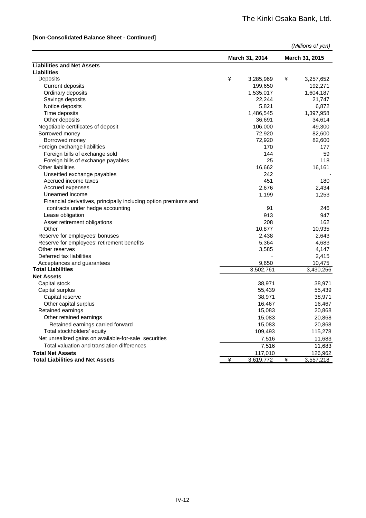#### [**Non-Consolidated Balance Sheet - Continued]**

|                                                                  |   |                |   | (Millions of yen) |
|------------------------------------------------------------------|---|----------------|---|-------------------|
|                                                                  |   | March 31, 2014 |   | March 31, 2015    |
| <b>Liabilities and Net Assets</b>                                |   |                |   |                   |
| <b>Liabilities</b>                                               |   |                |   |                   |
| Deposits                                                         | ¥ | 3,285,969      | ¥ | 3,257,652         |
| <b>Current deposits</b>                                          |   | 199,650        |   | 192,271           |
| Ordinary deposits                                                |   | 1,535,017      |   | 1,604,187         |
| Savings deposits                                                 |   | 22,244         |   | 21,747            |
| Notice deposits                                                  |   | 5,821          |   | 6,872             |
| Time deposits                                                    |   | 1,486,545      |   | 1,397,958         |
| Other deposits                                                   |   | 36,691         |   | 34,614            |
| Negotiable certificates of deposit                               |   | 106,000        |   | 49,300            |
| Borrowed money                                                   |   | 72,920         |   | 82,600            |
| Borrowed money                                                   |   | 72,920         |   | 82,600            |
| Foreign exchange liabilities                                     |   | 170            |   | 177               |
| Foreign bills of exchange sold                                   |   | 144            |   | 59                |
| Foreign bills of exchange payables                               |   | 25             |   | 118               |
| <b>Other liabilities</b>                                         |   | 16,662         |   | 16,161            |
| Unsettled exchange payables                                      |   | 242            |   |                   |
| Accrued income taxes                                             |   | 451            |   | 180               |
| Accrued expenses                                                 |   | 2,676          |   | 2,434             |
| Unearned income                                                  |   | 1,199          |   | 1,253             |
| Financial derivatives, principally including option premiums and |   |                |   |                   |
| contracts under hedge accounting                                 |   | 91             |   | 246               |
| Lease obligation                                                 |   | 913            |   | 947               |
| Asset retirement obligations                                     |   | 208            |   | 162               |
| Other                                                            |   | 10,877         |   | 10,935            |
| Reserve for employees' bonuses                                   |   | 2,438          |   | 2,643             |
| Reserve for employees' retirement benefits                       |   | 5,364          |   | 4,683             |
| Other reserves                                                   |   | 3,585          |   | 4,147             |
| Deferred tax liabilities                                         |   |                |   | 2,415             |
| Acceptances and guarantees                                       |   | 9,650          |   | 10,475            |
| <b>Total Liabilities</b>                                         |   | 3,502,761      |   | 3,430,256         |
| <b>Net Assets</b>                                                |   |                |   |                   |
| Capital stock                                                    |   | 38,971         |   | 38,971            |
| Capital surplus                                                  |   | 55,439         |   | 55,439            |
| Capital reserve                                                  |   | 38,971         |   | 38,971            |
| Other capital surplus                                            |   | 16,467         |   | 16,467            |
| Retained earnings                                                |   | 15,083         |   | 20,868            |
| Other retained earnings                                          |   | 15,083         |   | 20,868            |
| Retained earnings carried forward                                |   | 15,083         |   | 20,868            |
| Total stockholders' equity                                       |   | 109,493        |   | 115,278           |
| Net unrealized gains on available-for-sale securities            |   | 7,516          |   | 11,683            |
| Total valuation and translation differences                      |   | 7,516          |   | 11,683            |
| <b>Total Net Assets</b>                                          |   | 117,010        |   | 126,962           |
| <b>Total Liabilities and Net Assets</b>                          | ¥ | 3,619,772      | ¥ | 3,557,218         |
|                                                                  |   |                |   |                   |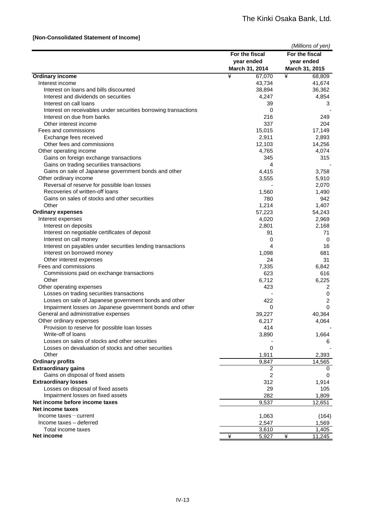#### **[Non-Consolidated Statement of Income]**

|                                                                 |                | (Millions of yen)       |
|-----------------------------------------------------------------|----------------|-------------------------|
|                                                                 | For the fiscal | For the fiscal          |
|                                                                 | year ended     | year ended              |
|                                                                 | March 31, 2014 | March 31, 2015          |
| <b>Ordinary income</b>                                          | ¥<br>67,070    | ¥<br>68,809             |
| Interest income                                                 | 43,734         | 41,674                  |
| Interest on loans and bills discounted                          | 38,894         | 36,362                  |
| Interest and dividends on securities                            | 4,247          | 4,854                   |
| Interest on call loans                                          | 39             | 3                       |
| Interest on receivables under securities borrowing transactions | 0              |                         |
| Interest on due from banks                                      | 216            | 249                     |
| Other interest income                                           | 337            | 204                     |
| Fees and commissions                                            | 15,015         | 17,149                  |
| Exchange fees received                                          | 2,911          | 2,893                   |
| Other fees and commissions                                      | 12,103         | 14,256                  |
| Other operating income                                          | 4,765          | 4,074                   |
| Gains on foreign exchange transactions                          | 345            | 315                     |
| Gains on trading securities transactions                        | 4              |                         |
| Gains on sale of Japanese government bonds and other            | 4,415          | 3,758                   |
| Other ordinary income                                           | 3,555          | 5,910                   |
| Reversal of reserve for possible loan losses                    |                | 2,070                   |
| Recoveries of written-off loans                                 | 1,560          | 1,490                   |
| Gains on sales of stocks and other securities                   | 780            | 942                     |
| Other                                                           | 1,214          | 1,407                   |
| <b>Ordinary expenses</b>                                        | 57,223         | 54,243                  |
| Interest expenses<br>Interest on deposits                       | 4,020          | 2,969                   |
| Interest on negotiable certificates of deposit                  | 2,801          | 2,168                   |
| Interest on call money                                          | 91<br>0        | 71<br>0                 |
| Interest on payables under securities lending transactions      | 4              | 16                      |
| Interest on borrowed money                                      | 1,098          | 681                     |
| Other interest expenses                                         | 24             | 31                      |
| Fees and commissions                                            | 7,335          | 6,842                   |
| Commissions paid on exchange transactions                       | 623            | 616                     |
| Other                                                           | 6,712          | 6,225                   |
| Other operating expenses                                        | 423            | $\overline{\mathbf{c}}$ |
| Losses on trading securities transactions                       |                | 0                       |
| Losses on sale of Japanese government bonds and other           | 422            | $\overline{\mathbf{c}}$ |
| Impairment losses on Japanese government bonds and other        | 0              | $\mathbf 0$             |
| General and administrative expenses                             | 39,227         | 40,364                  |
| Other ordinary expenses                                         | 6,217          | 4,064                   |
| Provision to reserve for possible loan losses                   | 414            |                         |
| Write-off of loans                                              | 3,890          | 1,664                   |
| Losses on sales of stocks and other securities                  |                | 6                       |
| Losses on devaluation of stocks and other securities            | 0              |                         |
| Other                                                           | 1,911          | 2,393                   |
| <b>Ordinary profits</b>                                         | 9,847          | 14,565                  |
| <b>Extraordinary gains</b>                                      | 2              | 0                       |
| Gains on disposal of fixed assets                               | $\overline{c}$ | 0                       |
| <b>Extraordinary losses</b>                                     | 312            | 1,914                   |
| Losses on disposal of fixed assets                              | 29             | 105                     |
| Impairment losses on fixed assets                               | 282            | 1,809                   |
| Net income before income taxes                                  | 9,537          | 12,651                  |
| <b>Net income taxes</b>                                         |                |                         |
| $Income$ taxes $-$ current                                      | 1,063          | (164)                   |
| Income taxes - deferred                                         | 2,547          | 1,569                   |
| Total income taxes                                              | 3,610          | 1,405                   |
| <b>Net income</b>                                               | ¥<br>5,927     | ¥<br>11,245             |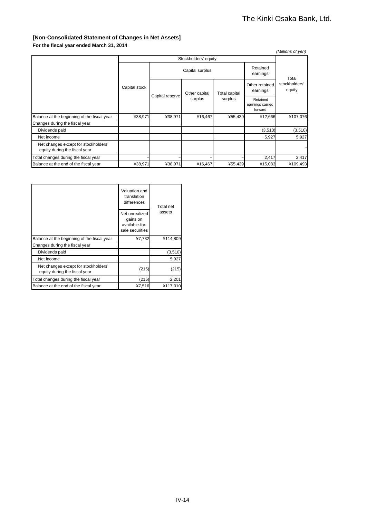### **[Non-Consolidated Statement of Changes in Net Assets]**

| ---------------                                                       |                      |                 |                 |                          |                                         | (Millions of yen)       |  |
|-----------------------------------------------------------------------|----------------------|-----------------|-----------------|--------------------------|-----------------------------------------|-------------------------|--|
|                                                                       | Stockholders' equity |                 |                 |                          |                                         |                         |  |
|                                                                       |                      |                 | Capital surplus |                          | Retained<br>earnings                    | Total                   |  |
|                                                                       | Capital stock        |                 | Other capital   | Total capital<br>surplus | Other retained<br>earnings              | stockholders'<br>equity |  |
|                                                                       |                      | Capital reserve | surplus         |                          | Retained<br>earnings carried<br>forward |                         |  |
| Balance at the beginning of the fiscal year                           | ¥38,971              | ¥38,971         | ¥16,467         | ¥55,439                  | ¥12,666                                 | ¥107,076                |  |
| Changes during the fiscal year                                        |                      |                 |                 |                          |                                         |                         |  |
| Dividends paid                                                        |                      |                 |                 |                          | (3,510)                                 | (3, 510)                |  |
| Net income                                                            |                      |                 |                 |                          | 5,927                                   | 5,927                   |  |
| Net changes except for stockholders'<br>equity during the fiscal year |                      |                 |                 |                          |                                         |                         |  |
| Total changes during the fiscal year                                  |                      |                 |                 |                          | 2,417                                   | 2,417                   |  |
| Balance at the end of the fiscal year                                 | ¥38,971              | ¥38,971         | ¥16,467         | ¥55,439                  | ¥15,083                                 | ¥109,493                |  |

|                                                                       | Valuation and<br>translation<br>differences                     | Total net |  |
|-----------------------------------------------------------------------|-----------------------------------------------------------------|-----------|--|
|                                                                       | Net unrealized<br>gains on<br>available-for-<br>sale securities | assets    |  |
| Balance at the beginning of the fiscal year                           | ¥7,732                                                          | ¥114,809  |  |
| Changes during the fiscal year                                        |                                                                 |           |  |
| Dividends paid                                                        |                                                                 | (3,510)   |  |
| Net income                                                            |                                                                 | 5,927     |  |
| Net changes except for stockholders'<br>equity during the fiscal year | (215)                                                           | (215)     |  |
| Total changes during the fiscal year                                  | (215)                                                           | 2,201     |  |
| Balance at the end of the fiscal year                                 | ¥7,516                                                          | ¥117,010  |  |